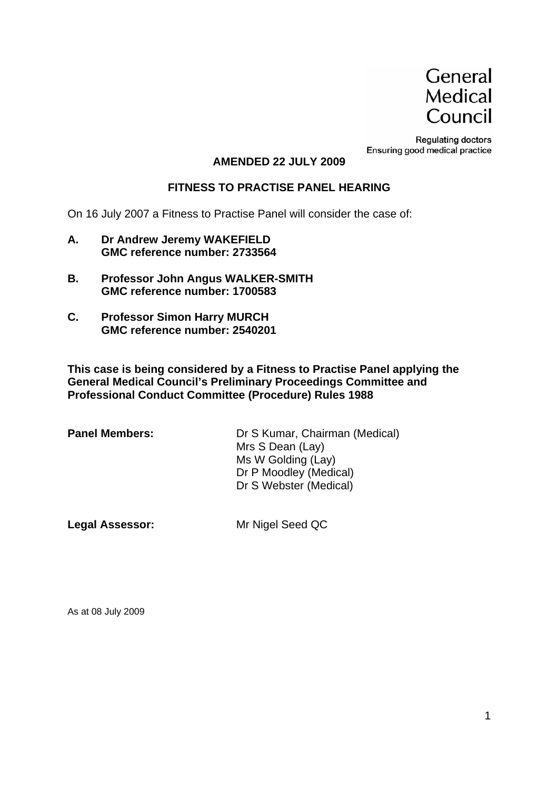

**Regulating doctors** Ensuring good medical practice

#### **AMENDED 22 JULY 2009**

#### **FITNESS TO PRACTISE PANEL HEARING**

On 16 July 2007 a Fitness to Practise Panel will consider the case of:

- **A. Dr Andrew Jeremy WAKEFIELD GMC reference number: 2733564**
- **B. Professor John Angus WALKER-SMITH GMC reference number: 1700583**
- **C. Professor Simon Harry MURCH GMC reference number: 2540201**

**This case is being considered by a Fitness to Practise Panel applying the General Medical Council's Preliminary Proceedings Committee and Professional Conduct Committee (Procedure) Rules 1988** 

| <b>Panel Members:</b> | Dr S Kumar, Chairman (Medical) |
|-----------------------|--------------------------------|
|                       | Mrs S Dean (Lay)               |
|                       | Ms W Golding (Lay)             |
|                       | Dr P Moodley (Medical)         |
|                       | Dr S Webster (Medical)         |
|                       |                                |

**Legal Assessor:** Mr Nigel Seed QC

As at 08 July 2009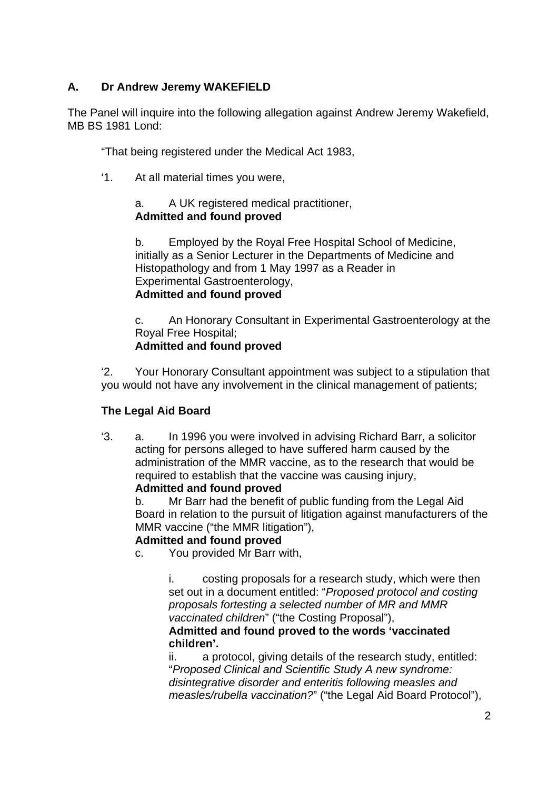## **A. Dr Andrew Jeremy WAKEFIELD**

The Panel will inquire into the following allegation against Andrew Jeremy Wakefield, MB BS 1981 Lond:

"That being registered under the Medical Act 1983,

'1. At all material times you were,

#### a. A UK registered medical practitioner, **Admitted and found proved**

b. Employed by the Royal Free Hospital School of Medicine, initially as a Senior Lecturer in the Departments of Medicine and Histopathology and from 1 May 1997 as a Reader in Experimental Gastroenterology, **Admitted and found proved** 

c. An Honorary Consultant in Experimental Gastroenterology at the Royal Free Hospital; **Admitted and found proved** 

'2. Your Honorary Consultant appointment was subject to a stipulation that you would not have any involvement in the clinical management of patients;

## **The Legal Aid Board**

'3. a. In 1996 you were involved in advising Richard Barr, a solicitor acting for persons alleged to have suffered harm caused by the administration of the MMR vaccine, as to the research that would be required to establish that the vaccine was causing injury,

## **Admitted and found proved**

b. Mr Barr had the benefit of public funding from the Legal Aid Board in relation to the pursuit of litigation against manufacturers of the MMR vaccine ("the MMR litigation"),

## **Admitted and found proved**

c. You provided Mr Barr with,

i. costing proposals for a research study, which were then set out in a document entitled: "*Proposed protocol and costing proposals fortesting a selected number of MR and MMR vaccinated children*" ("the Costing Proposal"),

#### **Admitted and found proved to the words 'vaccinated children'.**

ii. a protocol, giving details of the research study, entitled: "*Proposed Clinical and Scientific Study A new syndrome: disintegrative disorder and enteritis following measles and measles/rubella vaccination?*" ("the Legal Aid Board Protocol"),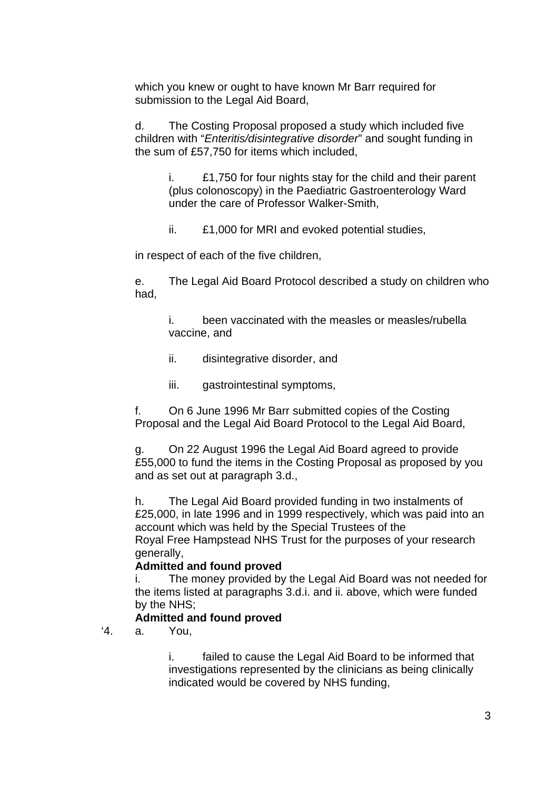which you knew or ought to have known Mr Barr required for submission to the Legal Aid Board,

d. The Costing Proposal proposed a study which included five children with "*Enteritis/disintegrative disorder*" and sought funding in the sum of £57,750 for items which included,

i. £1,750 for four nights stay for the child and their parent (plus colonoscopy) in the Paediatric Gastroenterology Ward under the care of Professor Walker-Smith,

ii. £1,000 for MRI and evoked potential studies,

in respect of each of the five children,

e. The Legal Aid Board Protocol described a study on children who had,

i. been vaccinated with the measles or measles/rubella vaccine, and

- ii. disintegrative disorder, and
- iii. gastrointestinal symptoms,

f. On 6 June 1996 Mr Barr submitted copies of the Costing Proposal and the Legal Aid Board Protocol to the Legal Aid Board,

g. On 22 August 1996 the Legal Aid Board agreed to provide £55,000 to fund the items in the Costing Proposal as proposed by you and as set out at paragraph 3.d.,

h. The Legal Aid Board provided funding in two instalments of £25,000, in late 1996 and in 1999 respectively, which was paid into an account which was held by the Special Trustees of the Royal Free Hampstead NHS Trust for the purposes of your research generally,

#### **Admitted and found proved**

i. The money provided by the Legal Aid Board was not needed for the items listed at paragraphs 3.d.i. and ii. above, which were funded by the NHS;

#### **Admitted and found proved**

'4. a. You,

i. failed to cause the Legal Aid Board to be informed that investigations represented by the clinicians as being clinically indicated would be covered by NHS funding,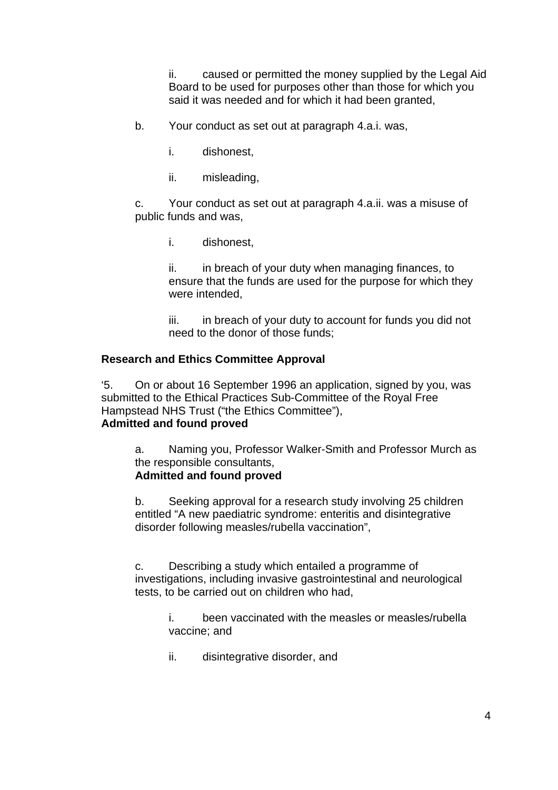ii. caused or permitted the money supplied by the Legal Aid Board to be used for purposes other than those for which you said it was needed and for which it had been granted,

b. Your conduct as set out at paragraph 4.a.i. was,

- i. dishonest,
- ii. misleading,

c. Your conduct as set out at paragraph 4.a.ii. was a misuse of public funds and was,

i. dishonest,

ii. in breach of your duty when managing finances, to ensure that the funds are used for the purpose for which they were intended,

iii. in breach of your duty to account for funds you did not need to the donor of those funds;

#### **Research and Ethics Committee Approval**

'5. On or about 16 September 1996 an application, signed by you, was submitted to the Ethical Practices Sub-Committee of the Royal Free Hampstead NHS Trust ("the Ethics Committee"), **Admitted and found proved**

a. Naming you, Professor Walker-Smith and Professor Murch as the responsible consultants,

#### **Admitted and found proved**

b. Seeking approval for a research study involving 25 children entitled "A new paediatric syndrome: enteritis and disintegrative disorder following measles/rubella vaccination",

c. Describing a study which entailed a programme of investigations, including invasive gastrointestinal and neurological tests, to be carried out on children who had,

> i. been vaccinated with the measles or measles/rubella vaccine; and

ii. disintegrative disorder, and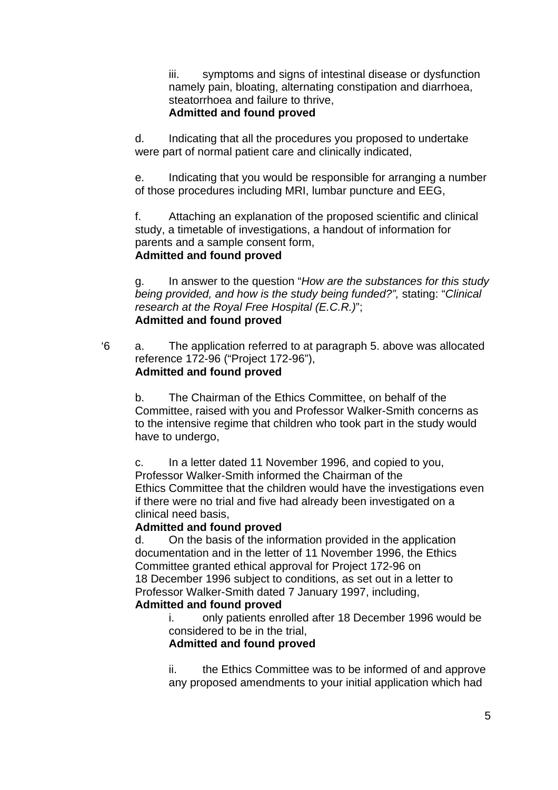iii. symptoms and signs of intestinal disease or dysfunction namely pain, bloating, alternating constipation and diarrhoea, steatorrhoea and failure to thrive, **Admitted and found proved** 

d. Indicating that all the procedures you proposed to undertake were part of normal patient care and clinically indicated,

e. Indicating that you would be responsible for arranging a number of those procedures including MRI, lumbar puncture and EEG,

f. Attaching an explanation of the proposed scientific and clinical study, a timetable of investigations, a handout of information for parents and a sample consent form, **Admitted and found proved**

g. In answer to the question "*How are the substances for this study being provided, and how is the study being funded?",* stating: "*Clinical research at the Royal Free Hospital (E.C.R.)*"; **Admitted and found proved**

'6 a. The application referred to at paragraph 5. above was allocated reference 172-96 ("Project 172-96"), **Admitted and found proved**

b. The Chairman of the Ethics Committee, on behalf of the Committee, raised with you and Professor Walker-Smith concerns as to the intensive regime that children who took part in the study would have to undergo,

c. In a letter dated 11 November 1996, and copied to you, Professor Walker-Smith informed the Chairman of the Ethics Committee that the children would have the investigations even if there were no trial and five had already been investigated on a clinical need basis,

## **Admitted and found proved**

d. On the basis of the information provided in the application documentation and in the letter of 11 November 1996, the Ethics Committee granted ethical approval for Project 172-96 on 18 December 1996 subject to conditions, as set out in a letter to Professor Walker-Smith dated 7 January 1997, including, **Admitted and found proved**

> i. only patients enrolled after 18 December 1996 would be considered to be in the trial,

#### **Admitted and found proved**

ii. the Ethics Committee was to be informed of and approve any proposed amendments to your initial application which had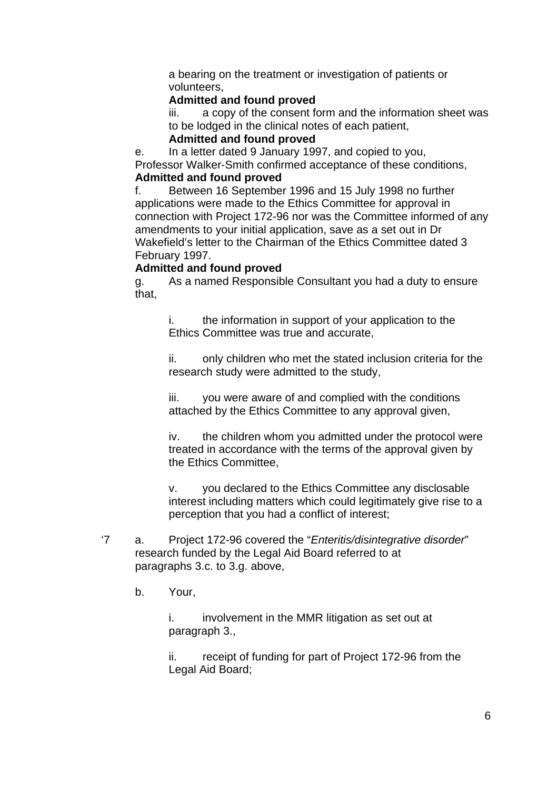a bearing on the treatment or investigation of patients or volunteers,

## **Admitted and found proved**

iii. a copy of the consent form and the information sheet was to be lodged in the clinical notes of each patient,

## **Admitted and found proved**

e. In a letter dated 9 January 1997, and copied to you,

Professor Walker-Smith confirmed acceptance of these conditions, **Admitted and found proved**

f. Between 16 September 1996 and 15 July 1998 no further applications were made to the Ethics Committee for approval in connection with Project 172-96 nor was the Committee informed of any amendments to your initial application, save as a set out in Dr Wakefield's letter to the Chairman of the Ethics Committee dated 3 February 1997.

## **Admitted and found proved**

g. As a named Responsible Consultant you had a duty to ensure that,

i. the information in support of your application to the Ethics Committee was true and accurate,

ii. only children who met the stated inclusion criteria for the research study were admitted to the study,

iii. you were aware of and complied with the conditions attached by the Ethics Committee to any approval given,

iv. the children whom you admitted under the protocol were treated in accordance with the terms of the approval given by the Ethics Committee,

v. you declared to the Ethics Committee any disclosable interest including matters which could legitimately give rise to a perception that you had a conflict of interest;

- '7 a. Project 172-96 covered the "*Enteritis/disintegrative disorder*" research funded by the Legal Aid Board referred to at paragraphs 3.c. to 3.g. above,
	- b. Your,

i. involvement in the MMR litigation as set out at paragraph 3.,

ii. receipt of funding for part of Project 172-96 from the Legal Aid Board;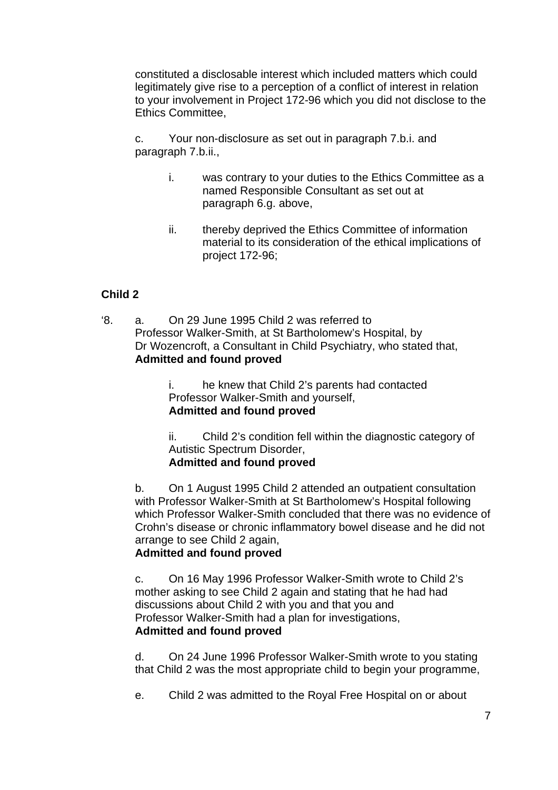constituted a disclosable interest which included matters which could legitimately give rise to a perception of a conflict of interest in relation to your involvement in Project 172-96 which you did not disclose to the Ethics Committee,

c. Your non-disclosure as set out in paragraph 7.b.i. and paragraph 7.b.ii.,

- i. was contrary to your duties to the Ethics Committee as a named Responsible Consultant as set out at paragraph 6.g. above,
- ii. thereby deprived the Ethics Committee of information material to its consideration of the ethical implications of project 172-96;

## **Child 2**

'8. a. On 29 June 1995 Child 2 was referred to Professor Walker-Smith, at St Bartholomew's Hospital, by Dr Wozencroft, a Consultant in Child Psychiatry, who stated that, **Admitted and found proved**

> i. he knew that Child 2's parents had contacted Professor Walker-Smith and yourself, **Admitted and found proved**

ii. Child 2's condition fell within the diagnostic category of Autistic Spectrum Disorder, **Admitted and found proved** 

b. On 1 August 1995 Child 2 attended an outpatient consultation with Professor Walker-Smith at St Bartholomew's Hospital following which Professor Walker-Smith concluded that there was no evidence of Crohn's disease or chronic inflammatory bowel disease and he did not arrange to see Child 2 again,

## **Admitted and found proved**

c. On 16 May 1996 Professor Walker-Smith wrote to Child 2's mother asking to see Child 2 again and stating that he had had discussions about Child 2 with you and that you and Professor Walker-Smith had a plan for investigations, **Admitted and found proved** 

d. On 24 June 1996 Professor Walker-Smith wrote to you stating that Child 2 was the most appropriate child to begin your programme,

e. Child 2 was admitted to the Royal Free Hospital on or about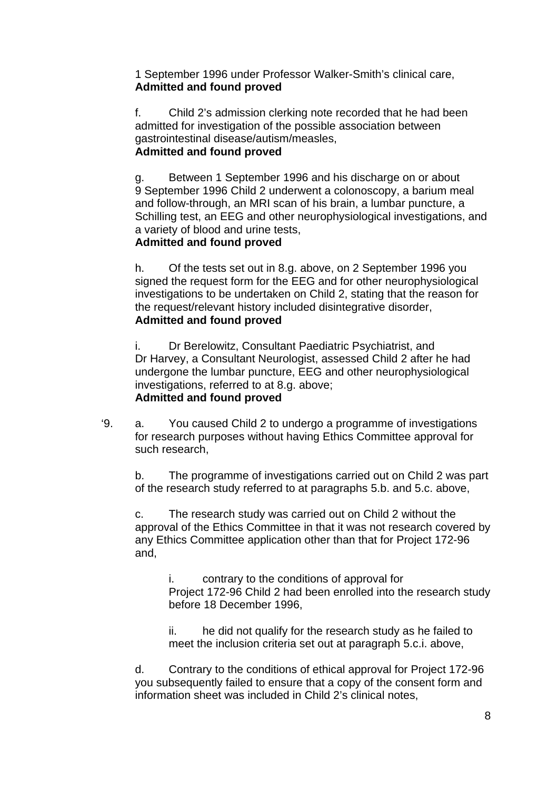1 September 1996 under Professor Walker-Smith's clinical care, **Admitted and found proved**

f. Child 2's admission clerking note recorded that he had been admitted for investigation of the possible association between gastrointestinal disease/autism/measles, **Admitted and found proved**

g. Between 1 September 1996 and his discharge on or about 9 September 1996 Child 2 underwent a colonoscopy, a barium meal and follow-through, an MRI scan of his brain, a lumbar puncture, a Schilling test, an EEG and other neurophysiological investigations, and a variety of blood and urine tests,

## **Admitted and found proved**

h. Of the tests set out in 8.g. above, on 2 September 1996 you signed the request form for the EEG and for other neurophysiological investigations to be undertaken on Child 2, stating that the reason for the request/relevant history included disintegrative disorder, **Admitted and found proved** 

i. Dr Berelowitz, Consultant Paediatric Psychiatrist, and Dr Harvey, a Consultant Neurologist, assessed Child 2 after he had undergone the lumbar puncture, EEG and other neurophysiological investigations, referred to at 8.g. above; **Admitted and found proved**

'9. a. You caused Child 2 to undergo a programme of investigations for research purposes without having Ethics Committee approval for such research,

b. The programme of investigations carried out on Child 2 was part of the research study referred to at paragraphs 5.b. and 5.c. above,

c. The research study was carried out on Child 2 without the approval of the Ethics Committee in that it was not research covered by any Ethics Committee application other than that for Project 172-96 and,

i. contrary to the conditions of approval for Project 172-96 Child 2 had been enrolled into the research study before 18 December 1996,

ii. he did not qualify for the research study as he failed to meet the inclusion criteria set out at paragraph 5.c.i. above,

d. Contrary to the conditions of ethical approval for Project 172-96 you subsequently failed to ensure that a copy of the consent form and information sheet was included in Child 2's clinical notes,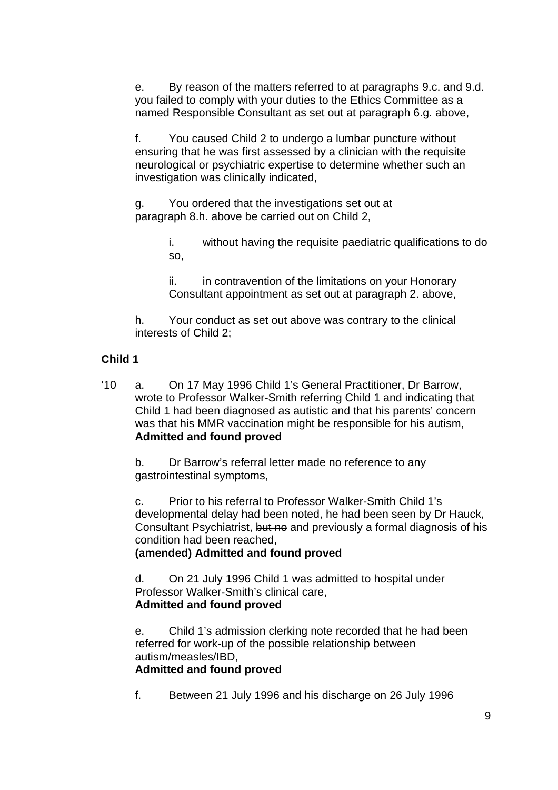e. By reason of the matters referred to at paragraphs 9.c. and 9.d. you failed to comply with your duties to the Ethics Committee as a named Responsible Consultant as set out at paragraph 6.g. above,

f. You caused Child 2 to undergo a lumbar puncture without ensuring that he was first assessed by a clinician with the requisite neurological or psychiatric expertise to determine whether such an investigation was clinically indicated,

g. You ordered that the investigations set out at paragraph 8.h. above be carried out on Child 2,

> i. without having the requisite paediatric qualifications to do so,

ii. in contravention of the limitations on your Honorary Consultant appointment as set out at paragraph 2. above,

h. Your conduct as set out above was contrary to the clinical interests of Child 2;

## **Child 1**

'10 a. On 17 May 1996 Child 1's General Practitioner, Dr Barrow, wrote to Professor Walker-Smith referring Child 1 and indicating that Child 1 had been diagnosed as autistic and that his parents' concern was that his MMR vaccination might be responsible for his autism, **Admitted and found proved**

b. Dr Barrow's referral letter made no reference to any gastrointestinal symptoms,

c. Prior to his referral to Professor Walker-Smith Child 1's developmental delay had been noted, he had been seen by Dr Hauck, Consultant Psychiatrist, but no and previously a formal diagnosis of his condition had been reached,

#### **(amended) Admitted and found proved**

d. On 21 July 1996 Child 1 was admitted to hospital under Professor Walker-Smith's clinical care, **Admitted and found proved**

e. Child 1's admission clerking note recorded that he had been referred for work-up of the possible relationship between autism/measles/IBD, **Admitted and found proved**

f. Between 21 July 1996 and his discharge on 26 July 1996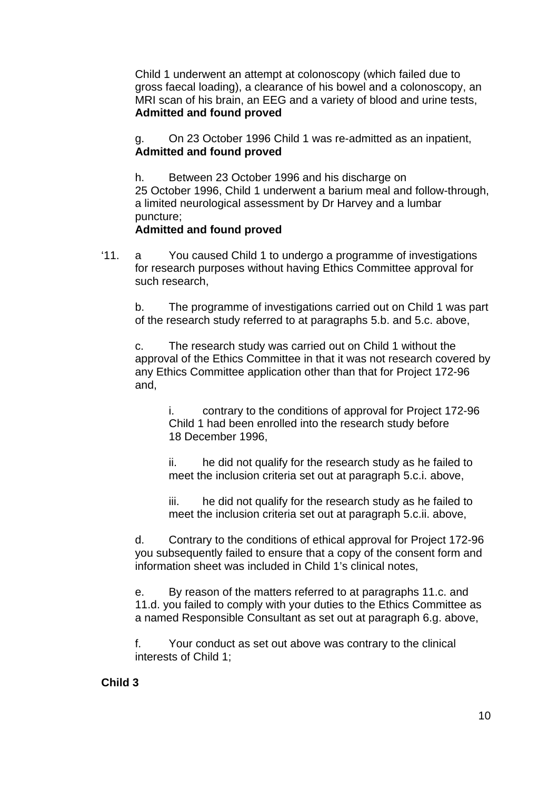Child 1 underwent an attempt at colonoscopy (which failed due to gross faecal loading), a clearance of his bowel and a colonoscopy, an MRI scan of his brain, an EEG and a variety of blood and urine tests, **Admitted and found proved**

g. On 23 October 1996 Child 1 was re-admitted as an inpatient, **Admitted and found proved**

h. Between 23 October 1996 and his discharge on 25 October 1996, Child 1 underwent a barium meal and follow-through, a limited neurological assessment by Dr Harvey and a lumbar puncture;

#### **Admitted and found proved**

'11. a You caused Child 1 to undergo a programme of investigations for research purposes without having Ethics Committee approval for such research,

b. The programme of investigations carried out on Child 1 was part of the research study referred to at paragraphs 5.b. and 5.c. above,

c. The research study was carried out on Child 1 without the approval of the Ethics Committee in that it was not research covered by any Ethics Committee application other than that for Project 172-96 and,

i. contrary to the conditions of approval for Project 172-96 Child 1 had been enrolled into the research study before 18 December 1996,

ii. he did not qualify for the research study as he failed to meet the inclusion criteria set out at paragraph 5.c.i. above,

iii. he did not qualify for the research study as he failed to meet the inclusion criteria set out at paragraph 5.c.ii. above,

d. Contrary to the conditions of ethical approval for Project 172-96 you subsequently failed to ensure that a copy of the consent form and information sheet was included in Child 1's clinical notes,

e. By reason of the matters referred to at paragraphs 11.c. and 11.d. you failed to comply with your duties to the Ethics Committee as a named Responsible Consultant as set out at paragraph 6.g. above,

f. Your conduct as set out above was contrary to the clinical interests of Child 1;

#### **Child 3**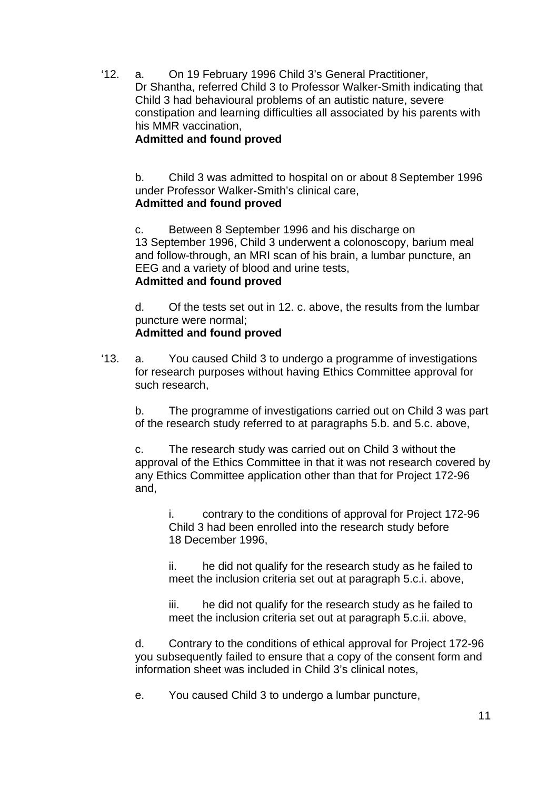'12. a. On 19 February 1996 Child 3's General Practitioner, Dr Shantha, referred Child 3 to Professor Walker-Smith indicating that Child 3 had behavioural problems of an autistic nature, severe constipation and learning difficulties all associated by his parents with his MMR vaccination,

## **Admitted and found proved**

b. Child 3 was admitted to hospital on or about 8 September 1996 under Professor Walker-Smith's clinical care, **Admitted and found proved**

c. Between 8 September 1996 and his discharge on 13 September 1996, Child 3 underwent a colonoscopy, barium meal and follow-through, an MRI scan of his brain, a lumbar puncture, an EEG and a variety of blood and urine tests, **Admitted and found proved**

d. Of the tests set out in 12. c. above, the results from the lumbar puncture were normal;

## **Admitted and found proved**

'13. a. You caused Child 3 to undergo a programme of investigations for research purposes without having Ethics Committee approval for such research,

b. The programme of investigations carried out on Child 3 was part of the research study referred to at paragraphs 5.b. and 5.c. above,

c. The research study was carried out on Child 3 without the approval of the Ethics Committee in that it was not research covered by any Ethics Committee application other than that for Project 172-96 and,

i. contrary to the conditions of approval for Project 172-96 Child 3 had been enrolled into the research study before 18 December 1996,

ii. he did not qualify for the research study as he failed to meet the inclusion criteria set out at paragraph 5.c.i. above,

iii. he did not qualify for the research study as he failed to meet the inclusion criteria set out at paragraph 5.c.ii. above,

d. Contrary to the conditions of ethical approval for Project 172-96 you subsequently failed to ensure that a copy of the consent form and information sheet was included in Child 3's clinical notes,

e. You caused Child 3 to undergo a lumbar puncture,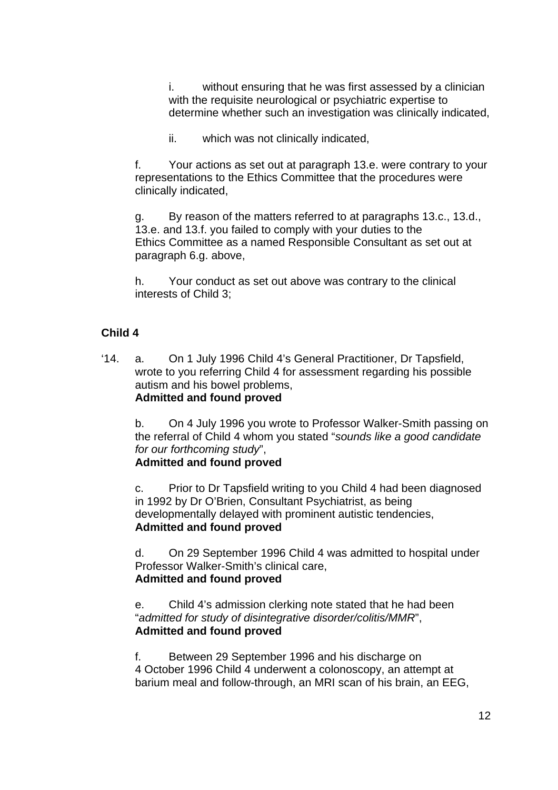i. without ensuring that he was first assessed by a clinician with the requisite neurological or psychiatric expertise to determine whether such an investigation was clinically indicated,

ii. which was not clinically indicated,

f. Your actions as set out at paragraph 13.e. were contrary to your representations to the Ethics Committee that the procedures were clinically indicated,

g. By reason of the matters referred to at paragraphs 13.c., 13.d., 13.e. and 13.f. you failed to comply with your duties to the Ethics Committee as a named Responsible Consultant as set out at paragraph 6.g. above,

h. Your conduct as set out above was contrary to the clinical interests of Child 3;

#### **Child 4**

'14. a. On 1 July 1996 Child 4's General Practitioner, Dr Tapsfield, wrote to you referring Child 4 for assessment regarding his possible autism and his bowel problems, **Admitted and found proved**

b. On 4 July 1996 you wrote to Professor Walker-Smith passing on the referral of Child 4 whom you stated "*sounds like a good candidate for our forthcoming study*",

## **Admitted and found proved**

c. Prior to Dr Tapsfield writing to you Child 4 had been diagnosed in 1992 by Dr O'Brien, Consultant Psychiatrist, as being developmentally delayed with prominent autistic tendencies, **Admitted and found proved**

d. On 29 September 1996 Child 4 was admitted to hospital under Professor Walker-Smith's clinical care, **Admitted and found proved**

e. Child 4's admission clerking note stated that he had been "*admitted for study of disintegrative disorder/colitis/MMR*", **Admitted and found proved**

f. Between 29 September 1996 and his discharge on 4 October 1996 Child 4 underwent a colonoscopy, an attempt at barium meal and follow-through, an MRI scan of his brain, an EEG,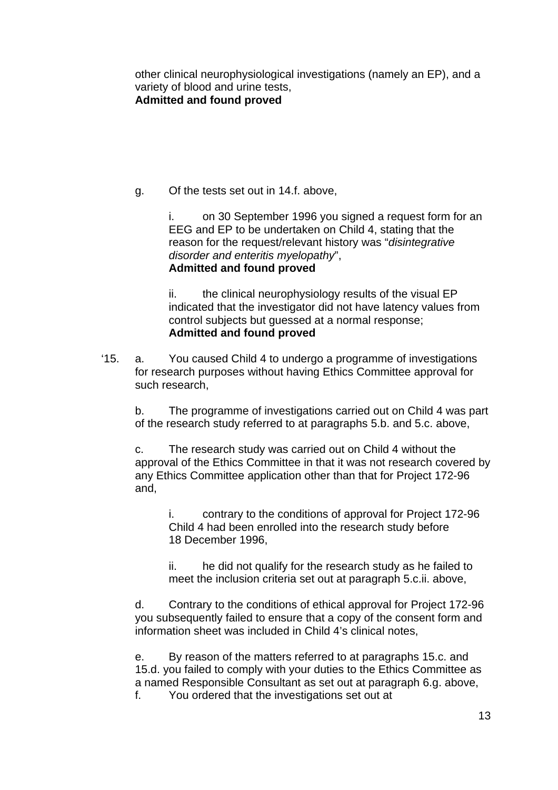other clinical neurophysiological investigations (namely an EP), and a variety of blood and urine tests,

## **Admitted and found proved**

g. Of the tests set out in 14.f. above,

i. on 30 September 1996 you signed a request form for an EEG and EP to be undertaken on Child 4, stating that the reason for the request/relevant history was "*disintegrative disorder and enteritis myelopathy*", **Admitted and found proved**

ii. the clinical neurophysiology results of the visual EP indicated that the investigator did not have latency values from control subjects but guessed at a normal response; **Admitted and found proved**

'15. a. You caused Child 4 to undergo a programme of investigations for research purposes without having Ethics Committee approval for such research,

b. The programme of investigations carried out on Child 4 was part of the research study referred to at paragraphs 5.b. and 5.c. above,

c. The research study was carried out on Child 4 without the approval of the Ethics Committee in that it was not research covered by any Ethics Committee application other than that for Project 172-96 and,

i. contrary to the conditions of approval for Project 172-96 Child 4 had been enrolled into the research study before 18 December 1996,

ii. he did not qualify for the research study as he failed to meet the inclusion criteria set out at paragraph 5.c.ii. above,

d. Contrary to the conditions of ethical approval for Project 172-96 you subsequently failed to ensure that a copy of the consent form and information sheet was included in Child 4's clinical notes,

e. By reason of the matters referred to at paragraphs 15.c. and 15.d. you failed to comply with your duties to the Ethics Committee as a named Responsible Consultant as set out at paragraph 6.g. above, f. You ordered that the investigations set out at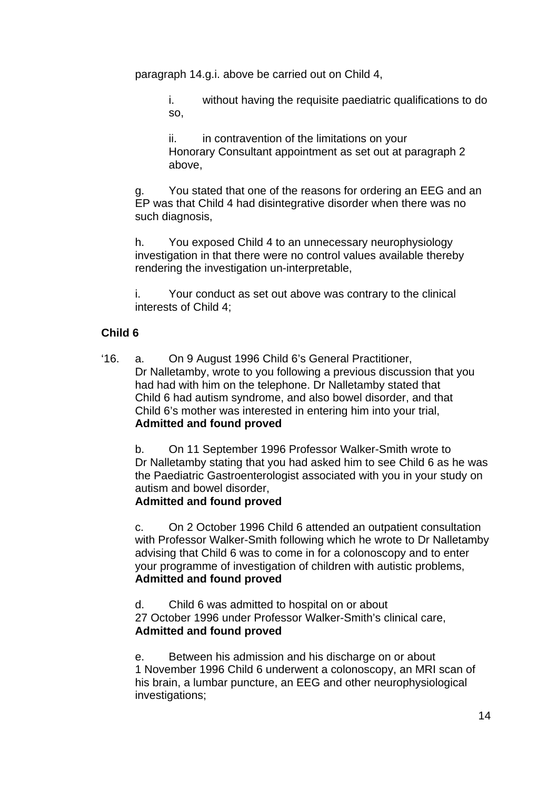paragraph 14.g.i. above be carried out on Child 4,

i. without having the requisite paediatric qualifications to do so,

ii. in contravention of the limitations on your Honorary Consultant appointment as set out at paragraph 2 above,

g. You stated that one of the reasons for ordering an EEG and an EP was that Child 4 had disintegrative disorder when there was no such diagnosis,

h. You exposed Child 4 to an unnecessary neurophysiology investigation in that there were no control values available thereby rendering the investigation un-interpretable,

i. Your conduct as set out above was contrary to the clinical interests of Child 4;

## **Child 6**

'16. a. On 9 August 1996 Child 6's General Practitioner, Dr Nalletamby, wrote to you following a previous discussion that you had had with him on the telephone. Dr Nalletamby stated that Child 6 had autism syndrome, and also bowel disorder, and that Child 6's mother was interested in entering him into your trial, **Admitted and found proved**

b. On 11 September 1996 Professor Walker-Smith wrote to Dr Nalletamby stating that you had asked him to see Child 6 as he was the Paediatric Gastroenterologist associated with you in your study on autism and bowel disorder,

## **Admitted and found proved**

c. On 2 October 1996 Child 6 attended an outpatient consultation with Professor Walker-Smith following which he wrote to Dr Nalletamby advising that Child 6 was to come in for a colonoscopy and to enter your programme of investigation of children with autistic problems, **Admitted and found proved**

d. Child 6 was admitted to hospital on or about 27 October 1996 under Professor Walker-Smith's clinical care, **Admitted and found proved**

e. Between his admission and his discharge on or about 1 November 1996 Child 6 underwent a colonoscopy, an MRI scan of his brain, a lumbar puncture, an EEG and other neurophysiological investigations;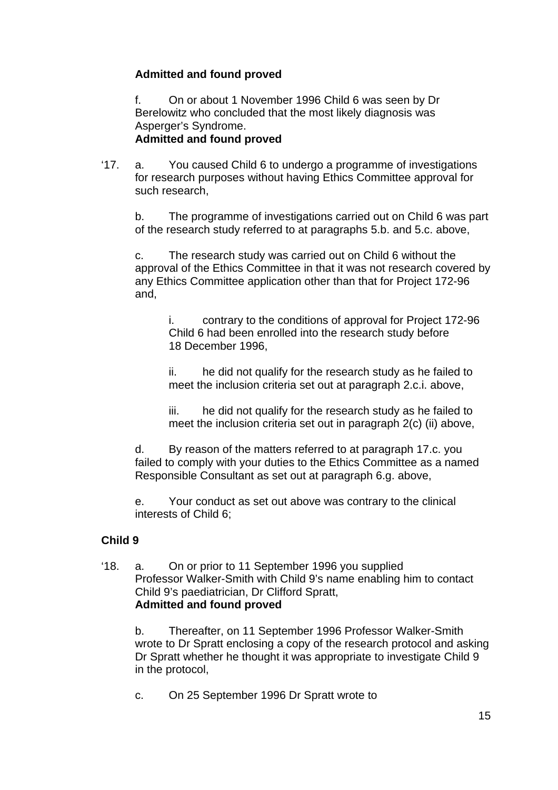## **Admitted and found proved**

f. On or about 1 November 1996 Child 6 was seen by Dr Berelowitz who concluded that the most likely diagnosis was Asperger's Syndrome. **Admitted and found proved**

'17. a. You caused Child 6 to undergo a programme of investigations for research purposes without having Ethics Committee approval for such research,

b. The programme of investigations carried out on Child 6 was part of the research study referred to at paragraphs 5.b. and 5.c. above,

c. The research study was carried out on Child 6 without the approval of the Ethics Committee in that it was not research covered by any Ethics Committee application other than that for Project 172-96 and,

i. contrary to the conditions of approval for Project 172-96 Child 6 had been enrolled into the research study before 18 December 1996,

ii. he did not qualify for the research study as he failed to meet the inclusion criteria set out at paragraph 2.c.i. above,

iii. he did not qualify for the research study as he failed to meet the inclusion criteria set out in paragraph 2(c) (ii) above,

d. By reason of the matters referred to at paragraph 17.c. you failed to comply with your duties to the Ethics Committee as a named Responsible Consultant as set out at paragraph 6.g. above,

e. Your conduct as set out above was contrary to the clinical interests of Child 6;

## **Child 9**

'18. a. On or prior to 11 September 1996 you supplied Professor Walker-Smith with Child 9's name enabling him to contact Child 9's paediatrician, Dr Clifford Spratt, **Admitted and found proved**

b. Thereafter, on 11 September 1996 Professor Walker-Smith wrote to Dr Spratt enclosing a copy of the research protocol and asking Dr Spratt whether he thought it was appropriate to investigate Child 9 in the protocol,

c. On 25 September 1996 Dr Spratt wrote to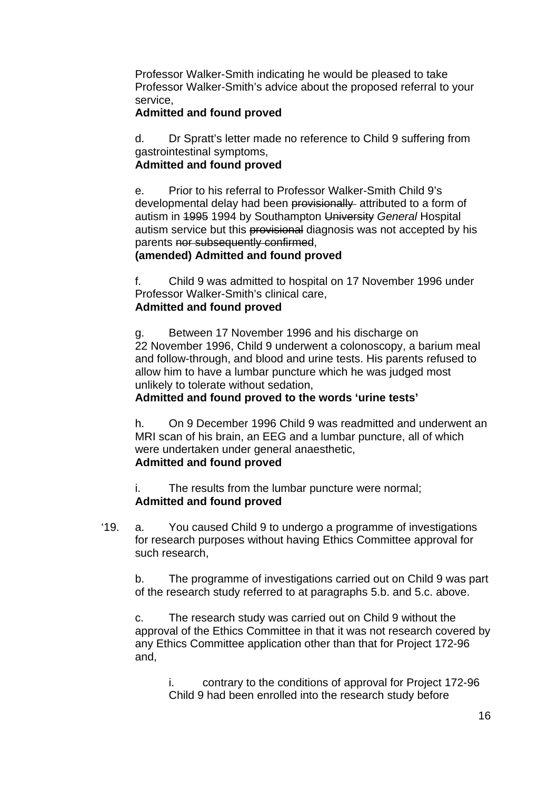Professor Walker-Smith indicating he would be pleased to take Professor Walker-Smith's advice about the proposed referral to your service,

## **Admitted and found proved**

d. Dr Spratt's letter made no reference to Child 9 suffering from gastrointestinal symptoms,

## **Admitted and found proved**

e. Prior to his referral to Professor Walker-Smith Child 9's developmental delay had been provisionally attributed to a form of autism in 1995 1994 by Southampton University *General* Hospital autism service but this provisional diagnosis was not accepted by his parents nor subsequently confirmed,

## **(amended) Admitted and found proved**

f. Child 9 was admitted to hospital on 17 November 1996 under Professor Walker-Smith's clinical care, **Admitted and found proved**

Between 17 November 1996 and his discharge on 22 November 1996, Child 9 underwent a colonoscopy, a barium meal and follow-through, and blood and urine tests. His parents refused to allow him to have a lumbar puncture which he was judged most unlikely to tolerate without sedation,

## **Admitted and found proved to the words 'urine tests'**

h. On 9 December 1996 Child 9 was readmitted and underwent an MRI scan of his brain, an EEG and a lumbar puncture, all of which were undertaken under general anaesthetic, **Admitted and found proved**

i. The results from the lumbar puncture were normal; **Admitted and found proved**

'19. a. You caused Child 9 to undergo a programme of investigations for research purposes without having Ethics Committee approval for such research,

b. The programme of investigations carried out on Child 9 was part of the research study referred to at paragraphs 5.b. and 5.c. above.

c. The research study was carried out on Child 9 without the approval of the Ethics Committee in that it was not research covered by any Ethics Committee application other than that for Project 172-96 and,

i. contrary to the conditions of approval for Project 172-96 Child 9 had been enrolled into the research study before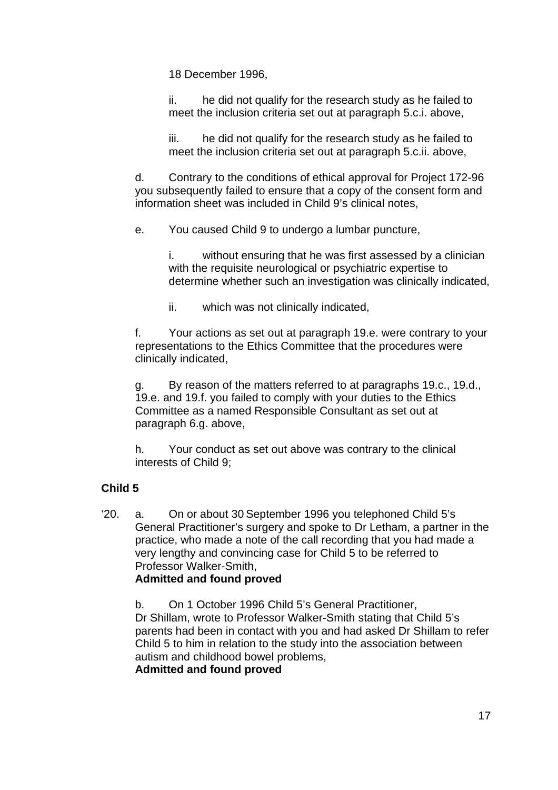18 December 1996,

ii. he did not qualify for the research study as he failed to meet the inclusion criteria set out at paragraph 5.c.i. above,

iii. he did not qualify for the research study as he failed to meet the inclusion criteria set out at paragraph 5.c.ii. above,

d. Contrary to the conditions of ethical approval for Project 172-96 you subsequently failed to ensure that a copy of the consent form and information sheet was included in Child 9's clinical notes,

e. You caused Child 9 to undergo a lumbar puncture,

i. without ensuring that he was first assessed by a clinician with the requisite neurological or psychiatric expertise to determine whether such an investigation was clinically indicated,

ii. which was not clinically indicated,

f. Your actions as set out at paragraph 19.e. were contrary to your representations to the Ethics Committee that the procedures were clinically indicated,

g. By reason of the matters referred to at paragraphs 19.c., 19.d., 19.e. and 19.f. you failed to comply with your duties to the Ethics Committee as a named Responsible Consultant as set out at paragraph 6.g. above,

h. Your conduct as set out above was contrary to the clinical interests of Child 9;

## **Child 5**

'20. a. On or about 30 September 1996 you telephoned Child 5's General Practitioner's surgery and spoke to Dr Letham, a partner in the practice, who made a note of the call recording that you had made a very lengthy and convincing case for Child 5 to be referred to Professor Walker-Smith,

## **Admitted and found proved**

b. On 1 October 1996 Child 5's General Practitioner, Dr Shillam, wrote to Professor Walker-Smith stating that Child 5's parents had been in contact with you and had asked Dr Shillam to refer Child 5 to him in relation to the study into the association between autism and childhood bowel problems, **Admitted and found proved**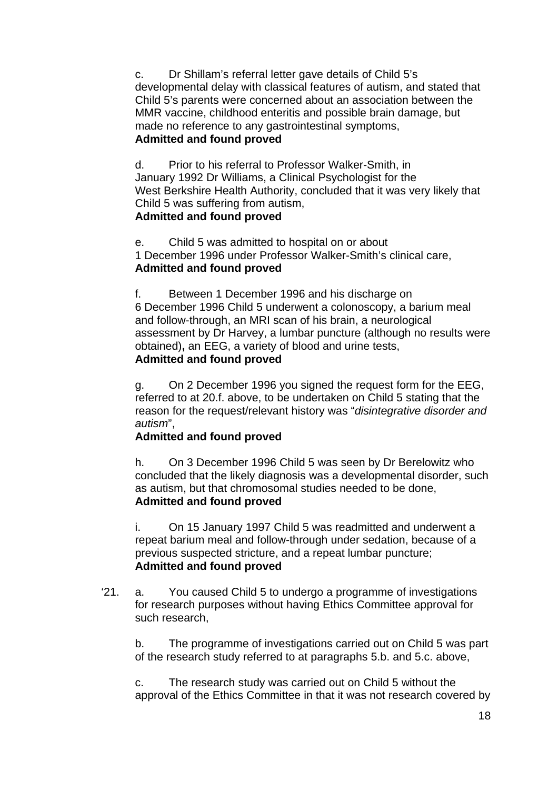c. Dr Shillam's referral letter gave details of Child 5's developmental delay with classical features of autism, and stated that Child 5's parents were concerned about an association between the MMR vaccine, childhood enteritis and possible brain damage, but made no reference to any gastrointestinal symptoms, **Admitted and found proved**

d. Prior to his referral to Professor Walker-Smith, in January 1992 Dr Williams, a Clinical Psychologist for the West Berkshire Health Authority, concluded that it was very likely that Child 5 was suffering from autism, **Admitted and found proved** 

e. Child 5 was admitted to hospital on or about 1 December 1996 under Professor Walker-Smith's clinical care, **Admitted and found proved**

f. Between 1 December 1996 and his discharge on 6 December 1996 Child 5 underwent a colonoscopy, a barium meal and follow-through, an MRI scan of his brain, a neurological assessment by Dr Harvey, a lumbar puncture (although no results were obtained)**,** an EEG, a variety of blood and urine tests, **Admitted and found proved**

g. On 2 December 1996 you signed the request form for the EEG, referred to at 20.f. above, to be undertaken on Child 5 stating that the reason for the request/relevant history was "*disintegrative disorder and autism*",

## **Admitted and found proved**

h. On 3 December 1996 Child 5 was seen by Dr Berelowitz who concluded that the likely diagnosis was a developmental disorder, such as autism, but that chromosomal studies needed to be done, **Admitted and found proved**

i. On 15 January 1997 Child 5 was readmitted and underwent a repeat barium meal and follow-through under sedation, because of a previous suspected stricture, and a repeat lumbar puncture; **Admitted and found proved**

'21. a. You caused Child 5 to undergo a programme of investigations for research purposes without having Ethics Committee approval for such research,

b. The programme of investigations carried out on Child 5 was part of the research study referred to at paragraphs 5.b. and 5.c. above,

c. The research study was carried out on Child 5 without the approval of the Ethics Committee in that it was not research covered by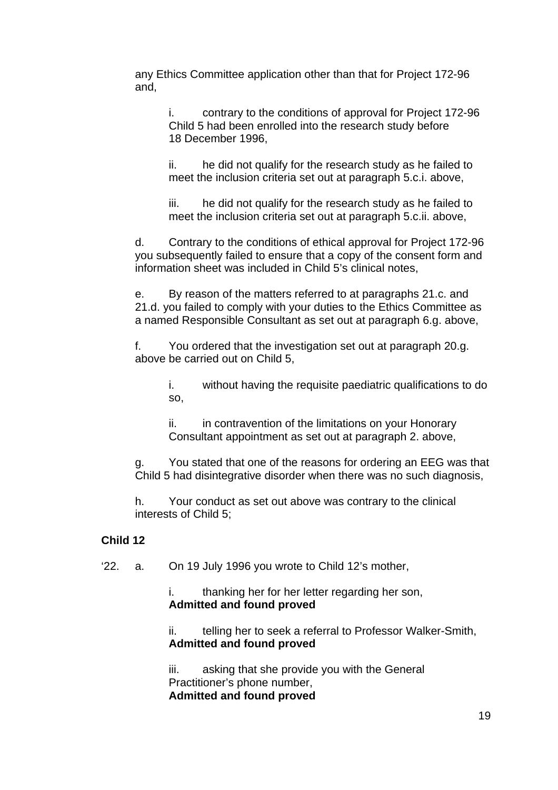any Ethics Committee application other than that for Project 172-96 and,

i. contrary to the conditions of approval for Project 172-96 Child 5 had been enrolled into the research study before 18 December 1996,

ii. he did not qualify for the research study as he failed to meet the inclusion criteria set out at paragraph 5.c.i. above,

iii. he did not qualify for the research study as he failed to meet the inclusion criteria set out at paragraph 5.c.ii. above,

d. Contrary to the conditions of ethical approval for Project 172-96 you subsequently failed to ensure that a copy of the consent form and information sheet was included in Child 5's clinical notes,

e. By reason of the matters referred to at paragraphs 21.c. and 21.d. you failed to comply with your duties to the Ethics Committee as a named Responsible Consultant as set out at paragraph 6.g. above,

f. You ordered that the investigation set out at paragraph 20.g. above be carried out on Child 5,

> i. without having the requisite paediatric qualifications to do so,

ii. in contravention of the limitations on your Honorary Consultant appointment as set out at paragraph 2. above,

You stated that one of the reasons for ordering an EEG was that Child 5 had disintegrative disorder when there was no such diagnosis,

h. Your conduct as set out above was contrary to the clinical interests of Child 5;

#### **Child 12**

'22. a. On 19 July 1996 you wrote to Child 12's mother,

i. thanking her for her letter regarding her son, **Admitted and found proved**

ii. telling her to seek a referral to Professor Walker-Smith, **Admitted and found proved**

iii. asking that she provide you with the General Practitioner's phone number, **Admitted and found proved**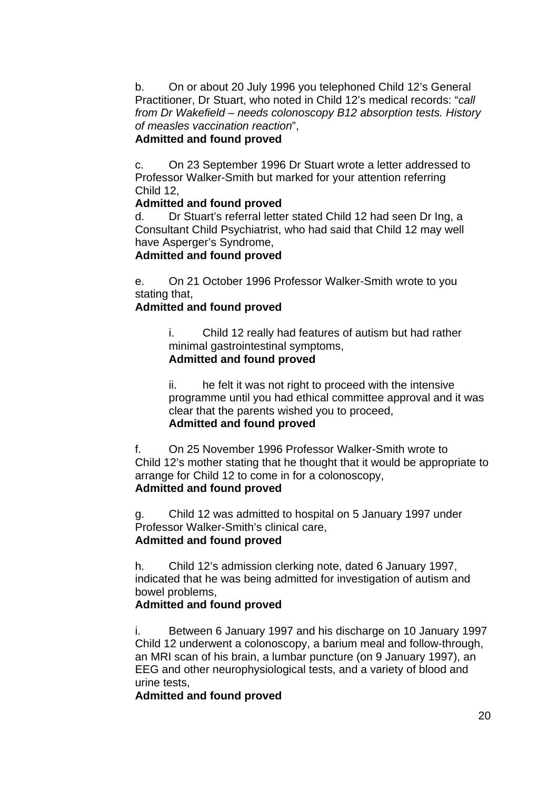b. On or about 20 July 1996 you telephoned Child 12's General Practitioner, Dr Stuart, who noted in Child 12's medical records: "*call from Dr Wakefield – needs colonoscopy B12 absorption tests. History of measles vaccination reaction*",

## **Admitted and found proved**

c. On 23 September 1996 Dr Stuart wrote a letter addressed to Professor Walker-Smith but marked for your attention referring Child 12,

## **Admitted and found proved**

d. Dr Stuart's referral letter stated Child 12 had seen Dr Ing, a Consultant Child Psychiatrist, who had said that Child 12 may well have Asperger's Syndrome,

## **Admitted and found proved**

e. On 21 October 1996 Professor Walker-Smith wrote to you stating that,

## **Admitted and found proved**

i. Child 12 really had features of autism but had rather minimal gastrointestinal symptoms, **Admitted and found proved**

## ii. he felt it was not right to proceed with the intensive programme until you had ethical committee approval and it was

clear that the parents wished you to proceed,

## **Admitted and found proved**

f. On 25 November 1996 Professor Walker-Smith wrote to Child 12's mother stating that he thought that it would be appropriate to arrange for Child 12 to come in for a colonoscopy, **Admitted and found proved**

g. Child 12 was admitted to hospital on 5 January 1997 under Professor Walker-Smith's clinical care, **Admitted and found proved**

h. Child 12's admission clerking note, dated 6 January 1997, indicated that he was being admitted for investigation of autism and bowel problems,

## **Admitted and found proved**

i. Between 6 January 1997 and his discharge on 10 January 1997 Child 12 underwent a colonoscopy, a barium meal and follow-through, an MRI scan of his brain, a lumbar puncture (on 9 January 1997), an EEG and other neurophysiological tests, and a variety of blood and urine tests,

## **Admitted and found proved**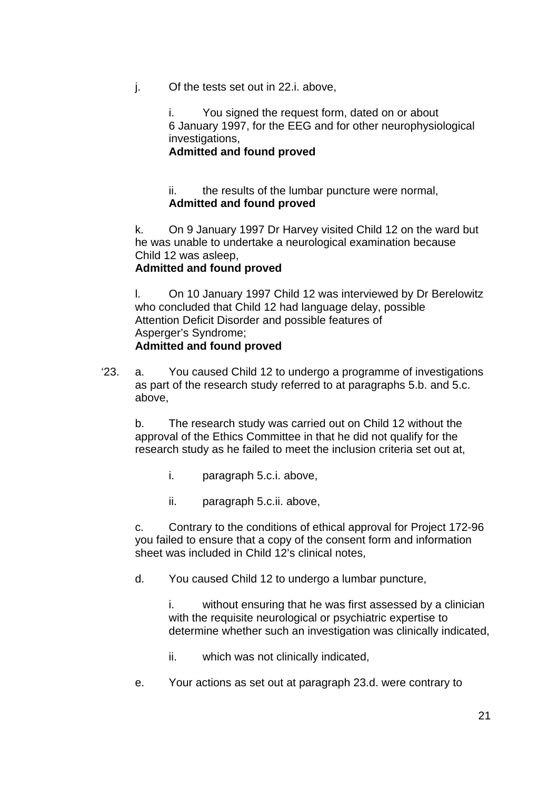j. Of the tests set out in 22.i. above,

i. You signed the request form, dated on or about 6 January 1997, for the EEG and for other neurophysiological investigations,

#### **Admitted and found proved**

#### ii. the results of the lumbar puncture were normal, **Admitted and found proved**

k. On 9 January 1997 Dr Harvey visited Child 12 on the ward but he was unable to undertake a neurological examination because Child 12 was asleep,

## **Admitted and found proved**

l. On 10 January 1997 Child 12 was interviewed by Dr Berelowitz who concluded that Child 12 had language delay, possible Attention Deficit Disorder and possible features of Asperger's Syndrome; **Admitted and found proved**

'23. a. You caused Child 12 to undergo a programme of investigations as part of the research study referred to at paragraphs 5.b. and 5.c. above,

b. The research study was carried out on Child 12 without the approval of the Ethics Committee in that he did not qualify for the research study as he failed to meet the inclusion criteria set out at,

- i. paragraph 5.c.i. above,
- ii. paragraph 5.c.ii. above,

c. Contrary to the conditions of ethical approval for Project 172-96 you failed to ensure that a copy of the consent form and information sheet was included in Child 12's clinical notes,

d. You caused Child 12 to undergo a lumbar puncture,

i. without ensuring that he was first assessed by a clinician with the requisite neurological or psychiatric expertise to determine whether such an investigation was clinically indicated,

- ii. which was not clinically indicated,
- e. Your actions as set out at paragraph 23.d. were contrary to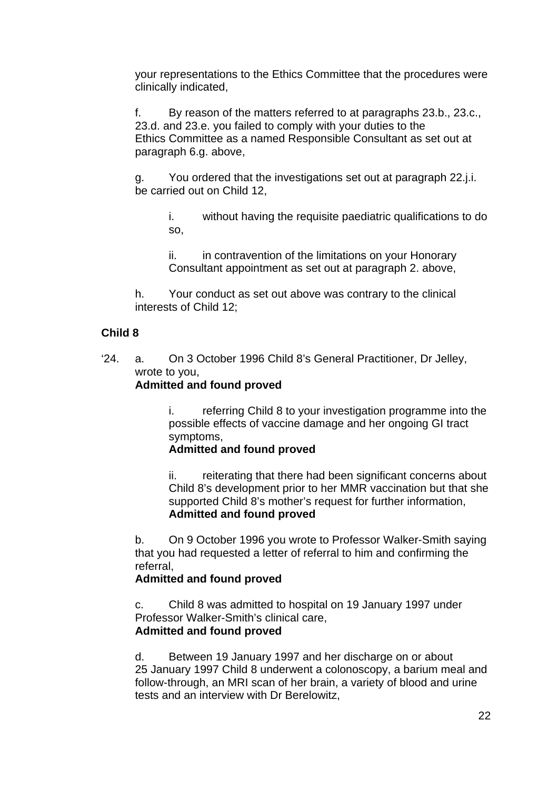your representations to the Ethics Committee that the procedures were clinically indicated,

f. By reason of the matters referred to at paragraphs 23.b., 23.c., 23.d. and 23.e. you failed to comply with your duties to the Ethics Committee as a named Responsible Consultant as set out at paragraph 6.g. above,

g. You ordered that the investigations set out at paragraph 22.j.i. be carried out on Child 12,

i. without having the requisite paediatric qualifications to do so,

ii. in contravention of the limitations on your Honorary Consultant appointment as set out at paragraph 2. above,

h. Your conduct as set out above was contrary to the clinical interests of Child 12;

## **Child 8**

'24. a. On 3 October 1996 Child 8's General Practitioner, Dr Jelley, wrote to you,

## **Admitted and found proved**

i. referring Child 8 to your investigation programme into the possible effects of vaccine damage and her ongoing GI tract symptoms,

#### **Admitted and found proved**

ii. reiterating that there had been significant concerns about Child 8's development prior to her MMR vaccination but that she supported Child 8's mother's request for further information, **Admitted and found proved**

b. On 9 October 1996 you wrote to Professor Walker-Smith saying that you had requested a letter of referral to him and confirming the referral,

## **Admitted and found proved**

 c. Child 8 was admitted to hospital on 19 January 1997 under Professor Walker-Smith's clinical care, **Admitted and found proved**

d. Between 19 January 1997 and her discharge on or about 25 January 1997 Child 8 underwent a colonoscopy, a barium meal and follow-through, an MRI scan of her brain, a variety of blood and urine tests and an interview with Dr Berelowitz,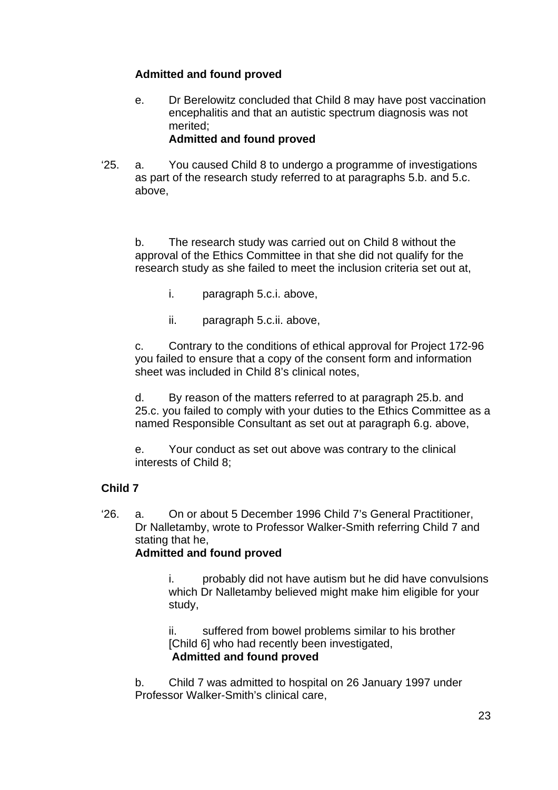## **Admitted and found proved**

- e. Dr Berelowitz concluded that Child 8 may have post vaccination encephalitis and that an autistic spectrum diagnosis was not merited; **Admitted and found proved**
- '25. a. You caused Child 8 to undergo a programme of investigations as part of the research study referred to at paragraphs 5.b. and 5.c. above,

b. The research study was carried out on Child 8 without the approval of the Ethics Committee in that she did not qualify for the research study as she failed to meet the inclusion criteria set out at,

- i. paragraph 5.c.i. above,
- ii. paragraph 5.c.ii. above,

c. Contrary to the conditions of ethical approval for Project 172-96 you failed to ensure that a copy of the consent form and information sheet was included in Child 8's clinical notes,

d. By reason of the matters referred to at paragraph 25.b. and 25.c. you failed to comply with your duties to the Ethics Committee as a named Responsible Consultant as set out at paragraph 6.g. above,

e. Your conduct as set out above was contrary to the clinical interests of Child 8;

## **Child 7**

'26. a. On or about 5 December 1996 Child 7's General Practitioner, Dr Nalletamby, wrote to Professor Walker-Smith referring Child 7 and stating that he.

## **Admitted and found proved**

i. probably did not have autism but he did have convulsions which Dr Nalletamby believed might make him eligible for your study,

ii. suffered from bowel problems similar to his brother [Child 6] who had recently been investigated, **Admitted and found proved**

b. Child 7 was admitted to hospital on 26 January 1997 under Professor Walker-Smith's clinical care,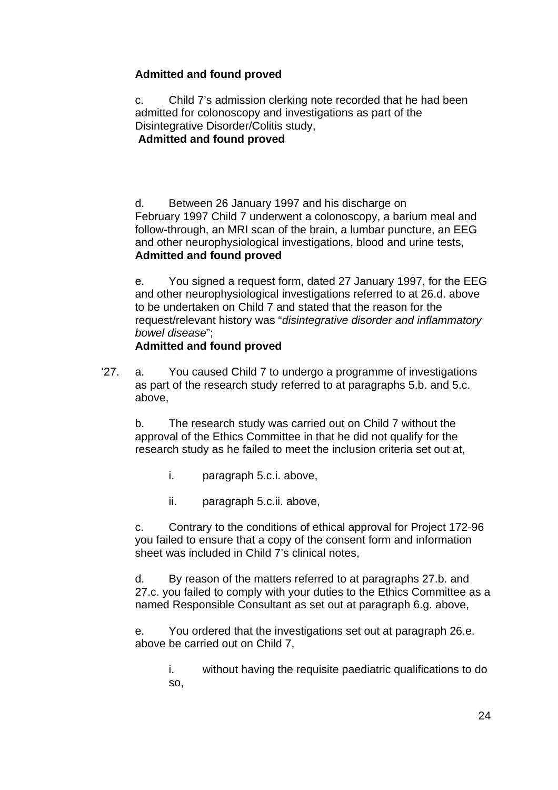## **Admitted and found proved**

c. Child 7's admission clerking note recorded that he had been admitted for colonoscopy and investigations as part of the Disintegrative Disorder/Colitis study, **Admitted and found proved**

d. Between 26 January 1997 and his discharge on February 1997 Child 7 underwent a colonoscopy, a barium meal and follow-through, an MRI scan of the brain, a lumbar puncture, an EEG and other neurophysiological investigations, blood and urine tests, **Admitted and found proved**

e. You signed a request form, dated 27 January 1997, for the EEG and other neurophysiological investigations referred to at 26.d. above to be undertaken on Child 7 and stated that the reason for the request/relevant history was "*disintegrative disorder and inflammatory bowel disease*";

## **Admitted and found proved**

'27. a. You caused Child 7 to undergo a programme of investigations as part of the research study referred to at paragraphs 5.b. and 5.c. above,

b. The research study was carried out on Child 7 without the approval of the Ethics Committee in that he did not qualify for the research study as he failed to meet the inclusion criteria set out at,

- i. paragraph 5.c.i. above,
- ii. paragraph 5.c.ii. above,

c. Contrary to the conditions of ethical approval for Project 172-96 you failed to ensure that a copy of the consent form and information sheet was included in Child 7's clinical notes,

d. By reason of the matters referred to at paragraphs 27.b. and 27.c. you failed to comply with your duties to the Ethics Committee as a named Responsible Consultant as set out at paragraph 6.g. above,

e. You ordered that the investigations set out at paragraph 26.e. above be carried out on Child 7,

i. without having the requisite paediatric qualifications to do so,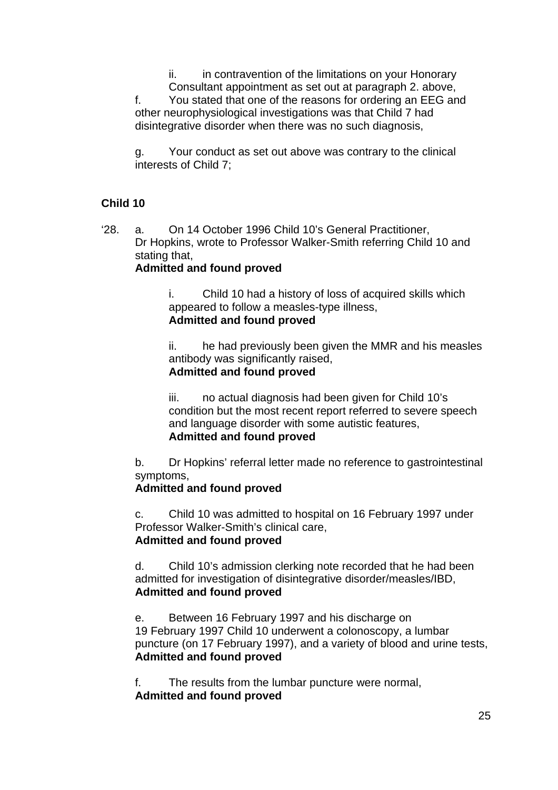ii. in contravention of the limitations on your Honorary Consultant appointment as set out at paragraph 2. above, f. You stated that one of the reasons for ordering an EEG and other neurophysiological investigations was that Child 7 had disintegrative disorder when there was no such diagnosis,

g. Your conduct as set out above was contrary to the clinical interests of Child 7;

## **Child 10**

'28. a. On 14 October 1996 Child 10's General Practitioner, Dr Hopkins, wrote to Professor Walker-Smith referring Child 10 and stating that,

#### **Admitted and found proved**

i. Child 10 had a history of loss of acquired skills which appeared to follow a measles-type illness, **Admitted and found proved**

ii. he had previously been given the MMR and his measles antibody was significantly raised, **Admitted and found proved**

iii. no actual diagnosis had been given for Child 10's condition but the most recent report referred to severe speech and language disorder with some autistic features, **Admitted and found proved**

b. Dr Hopkins' referral letter made no reference to gastrointestinal symptoms,

#### **Admitted and found proved**

c. Child 10 was admitted to hospital on 16 February 1997 under Professor Walker-Smith's clinical care, **Admitted and found proved**

d. Child 10's admission clerking note recorded that he had been admitted for investigation of disintegrative disorder/measles/IBD, **Admitted and found proved**

e. Between 16 February 1997 and his discharge on 19 February 1997 Child 10 underwent a colonoscopy, a lumbar puncture (on 17 February 1997), and a variety of blood and urine tests, **Admitted and found proved**

f. The results from the lumbar puncture were normal, **Admitted and found proved**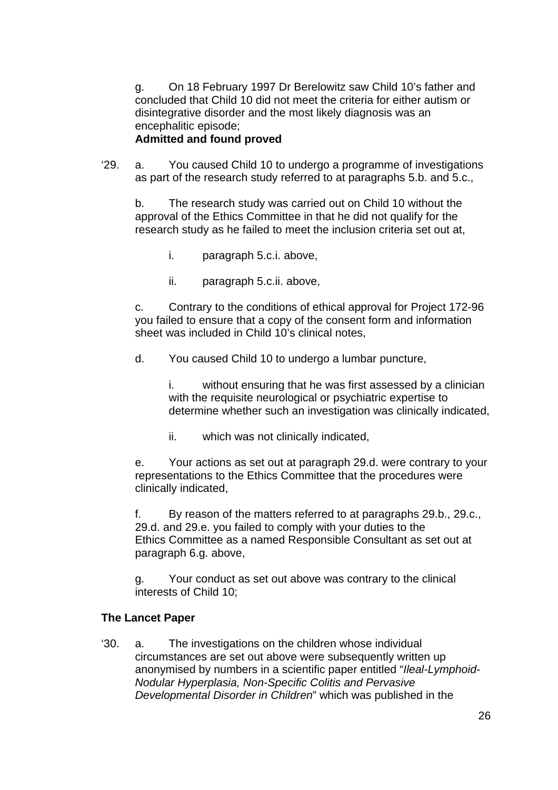g. On 18 February 1997 Dr Berelowitz saw Child 10's father and concluded that Child 10 did not meet the criteria for either autism or disintegrative disorder and the most likely diagnosis was an encephalitic episode; **Admitted and found proved**

#### '29. a. You caused Child 10 to undergo a programme of investigations as part of the research study referred to at paragraphs 5.b. and 5.c.,

b. The research study was carried out on Child 10 without the approval of the Ethics Committee in that he did not qualify for the research study as he failed to meet the inclusion criteria set out at,

- i. paragraph 5.c.i. above,
- ii. paragraph 5.c.ii. above,

c. Contrary to the conditions of ethical approval for Project 172-96 you failed to ensure that a copy of the consent form and information sheet was included in Child 10's clinical notes,

d. You caused Child 10 to undergo a lumbar puncture,

i. without ensuring that he was first assessed by a clinician with the requisite neurological or psychiatric expertise to determine whether such an investigation was clinically indicated,

ii. which was not clinically indicated,

e. Your actions as set out at paragraph 29.d. were contrary to your representations to the Ethics Committee that the procedures were clinically indicated,

f. By reason of the matters referred to at paragraphs 29.b., 29.c., 29.d. and 29.e. you failed to comply with your duties to the Ethics Committee as a named Responsible Consultant as set out at paragraph 6.g. above,

g. Your conduct as set out above was contrary to the clinical interests of Child 10;

## **The Lancet Paper**

'30. a. The investigations on the children whose individual circumstances are set out above were subsequently written up anonymised by numbers in a scientific paper entitled "*Ileal-Lymphoid-Nodular Hyperplasia, Non-Specific Colitis and Pervasive Developmental Disorder in Children*" which was published in the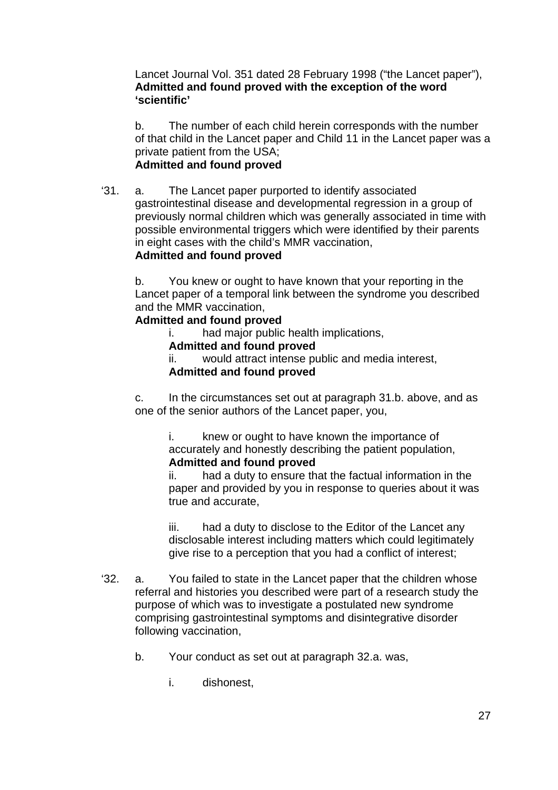Lancet Journal Vol. 351 dated 28 February 1998 ("the Lancet paper"), **Admitted and found proved with the exception of the word 'scientific'**

b. The number of each child herein corresponds with the number of that child in the Lancet paper and Child 11 in the Lancet paper was a private patient from the USA;

## **Admitted and found proved**

'31. a. The Lancet paper purported to identify associated gastrointestinal disease and developmental regression in a group of previously normal children which was generally associated in time with possible environmental triggers which were identified by their parents in eight cases with the child's MMR vaccination,

## **Admitted and found proved**

b. You knew or ought to have known that your reporting in the Lancet paper of a temporal link between the syndrome you described and the MMR vaccination,

#### **Admitted and found proved**

i. had major public health implications,

# **Admitted and found proved**

ii. would attract intense public and media interest, **Admitted and found proved** 

c. In the circumstances set out at paragraph 31.b. above, and as one of the senior authors of the Lancet paper, you,

> i. knew or ought to have known the importance of accurately and honestly describing the patient population, **Admitted and found proved**

ii. had a duty to ensure that the factual information in the paper and provided by you in response to queries about it was true and accurate,

iii. had a duty to disclose to the Editor of the Lancet any disclosable interest including matters which could legitimately give rise to a perception that you had a conflict of interest;

- '32. a. You failed to state in the Lancet paper that the children whose referral and histories you described were part of a research study the purpose of which was to investigate a postulated new syndrome comprising gastrointestinal symptoms and disintegrative disorder following vaccination,
	- b. Your conduct as set out at paragraph 32.a. was,
		- i. dishonest,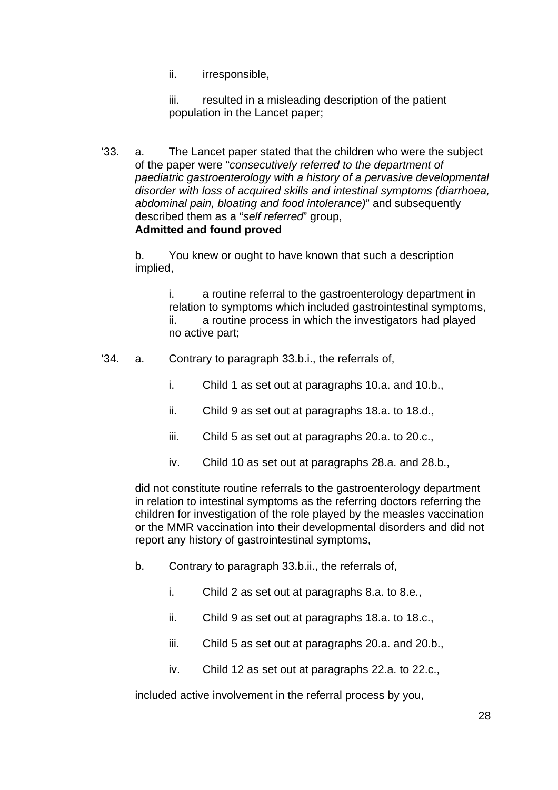ii. irresponsible,

iii. resulted in a misleading description of the patient population in the Lancet paper;

'33. a. The Lancet paper stated that the children who were the subject of the paper were "*consecutively referred to the department of paediatric gastroenterology with a history of a pervasive developmental disorder with loss of acquired skills and intestinal symptoms (diarrhoea, abdominal pain, bloating and food intolerance)*" and subsequently described them as a "*self referred*" group, **Admitted and found proved**

b. You knew or ought to have known that such a description implied,

> i. a routine referral to the gastroenterology department in relation to symptoms which included gastrointestinal symptoms, ii. a routine process in which the investigators had played no active part;

- '34. a. Contrary to paragraph 33.b.i., the referrals of,
	- i. Child 1 as set out at paragraphs 10.a. and 10.b.,
	- ii. Child 9 as set out at paragraphs 18.a. to 18.d.,
	- iii. Child 5 as set out at paragraphs 20.a. to 20.c.,
	- iv. Child 10 as set out at paragraphs 28.a. and 28.b.,

did not constitute routine referrals to the gastroenterology department in relation to intestinal symptoms as the referring doctors referring the children for investigation of the role played by the measles vaccination or the MMR vaccination into their developmental disorders and did not report any history of gastrointestinal symptoms,

- b. Contrary to paragraph 33.b.ii., the referrals of,
	- i. Child 2 as set out at paragraphs 8.a. to 8.e.,
	- ii. Child 9 as set out at paragraphs 18.a. to 18.c.,
	- iii. Child 5 as set out at paragraphs 20.a. and 20.b.,
	- iv. Child 12 as set out at paragraphs 22.a. to 22.c.,

included active involvement in the referral process by you,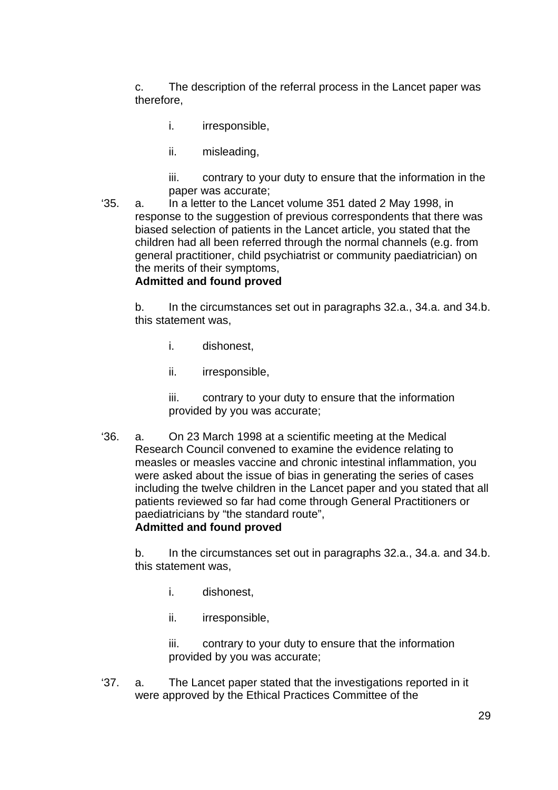c. The description of the referral process in the Lancet paper was therefore,

- i. irresponsible,
- ii. misleading,

iii. contrary to your duty to ensure that the information in the paper was accurate;

'35. a. In a letter to the Lancet volume 351 dated 2 May 1998, in response to the suggestion of previous correspondents that there was biased selection of patients in the Lancet article, you stated that the children had all been referred through the normal channels (e.g. from general practitioner, child psychiatrist or community paediatrician) on the merits of their symptoms,

#### **Admitted and found proved**

b. In the circumstances set out in paragraphs 32.a., 34.a. and 34.b. this statement was,

- i. dishonest,
- ii. irresponsible,

iii. contrary to your duty to ensure that the information provided by you was accurate;

'36. a. On 23 March 1998 at a scientific meeting at the Medical Research Council convened to examine the evidence relating to measles or measles vaccine and chronic intestinal inflammation, you were asked about the issue of bias in generating the series of cases including the twelve children in the Lancet paper and you stated that all patients reviewed so far had come through General Practitioners or paediatricians by "the standard route", **Admitted and found proved**

b. In the circumstances set out in paragraphs 32.a., 34.a. and 34.b. this statement was,

- i. dishonest,
- ii. irresponsible,

iii. contrary to your duty to ensure that the information provided by you was accurate;

'37. a. The Lancet paper stated that the investigations reported in it were approved by the Ethical Practices Committee of the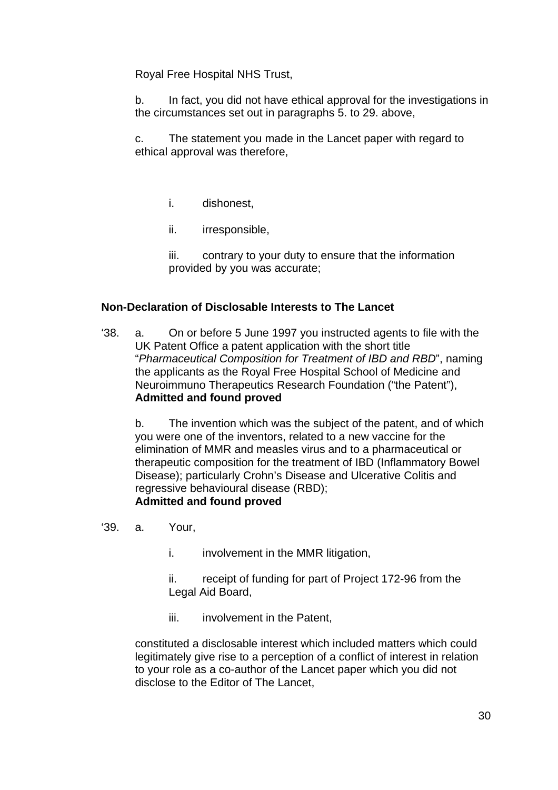Royal Free Hospital NHS Trust,

b. In fact, you did not have ethical approval for the investigations in the circumstances set out in paragraphs 5. to 29. above,

c. The statement you made in the Lancet paper with regard to ethical approval was therefore,

- i. dishonest,
- ii. irresponsible,

iii. contrary to your duty to ensure that the information provided by you was accurate;

## **Non-Declaration of Disclosable Interests to The Lancet**

'38. a. On or before 5 June 1997 you instructed agents to file with the UK Patent Office a patent application with the short title "*Pharmaceutical Composition for Treatment of IBD and RBD*", naming the applicants as the Royal Free Hospital School of Medicine and Neuroimmuno Therapeutics Research Foundation ("the Patent"), **Admitted and found proved**

b. The invention which was the subject of the patent, and of which you were one of the inventors, related to a new vaccine for the elimination of MMR and measles virus and to a pharmaceutical or therapeutic composition for the treatment of IBD (Inflammatory Bowel Disease); particularly Crohn's Disease and Ulcerative Colitis and regressive behavioural disease (RBD); **Admitted and found proved**

- '39. a. Your,
	- i. involvement in the MMR litigation,

ii. receipt of funding for part of Project 172-96 from the Legal Aid Board,

iii. involvement in the Patent,

constituted a disclosable interest which included matters which could legitimately give rise to a perception of a conflict of interest in relation to your role as a co-author of the Lancet paper which you did not disclose to the Editor of The Lancet,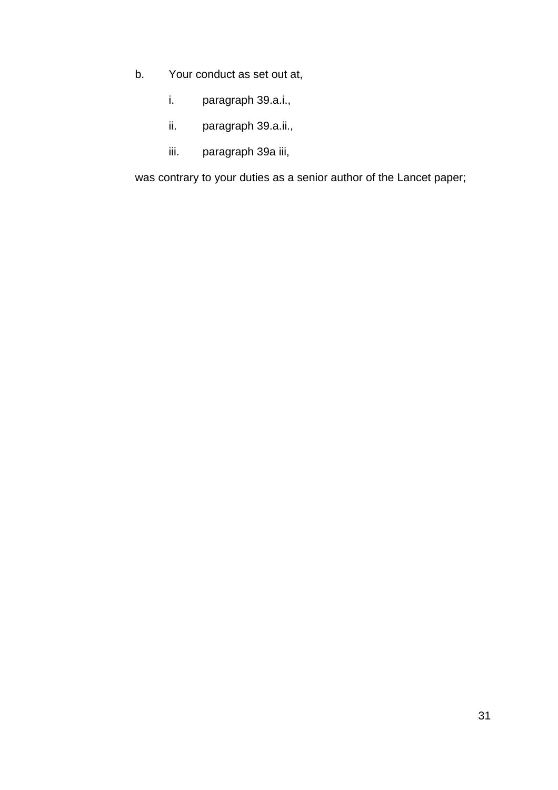- b. Your conduct as set out at,
	- i. paragraph 39.a.i.,
	- ii. paragraph 39.a.ii.,
	- iii. paragraph 39a iii,

was contrary to your duties as a senior author of the Lancet paper;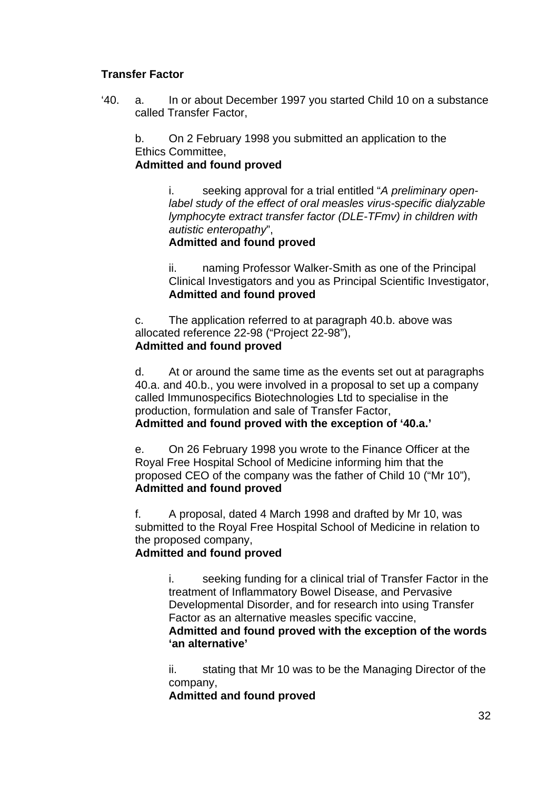## **Transfer Factor**

'40. a. In or about December 1997 you started Child 10 on a substance called Transfer Factor,

b. On 2 February 1998 you submitted an application to the Ethics Committee,

**Admitted and found proved**

i. seeking approval for a trial entitled "*A preliminary openlabel study of the effect of oral measles virus-specific dialyzable lymphocyte extract transfer factor (DLE-TFmv) in children with autistic enteropathy*",

#### **Admitted and found proved**

ii. naming Professor Walker-Smith as one of the Principal Clinical Investigators and you as Principal Scientific Investigator, **Admitted and found proved**

c. The application referred to at paragraph 40.b. above was allocated reference 22-98 ("Project 22-98"), **Admitted and found proved**

d. At or around the same time as the events set out at paragraphs 40.a. and 40.b., you were involved in a proposal to set up a company called Immunospecifics Biotechnologies Ltd to specialise in the production, formulation and sale of Transfer Factor,

**Admitted and found proved with the exception of '40.a.'**

e. On 26 February 1998 you wrote to the Finance Officer at the Royal Free Hospital School of Medicine informing him that the proposed CEO of the company was the father of Child 10 ("Mr 10"), **Admitted and found proved**

f. A proposal, dated 4 March 1998 and drafted by Mr 10, was submitted to the Royal Free Hospital School of Medicine in relation to the proposed company,

## **Admitted and found proved**

i. seeking funding for a clinical trial of Transfer Factor in the treatment of Inflammatory Bowel Disease, and Pervasive Developmental Disorder, and for research into using Transfer Factor as an alternative measles specific vaccine,

**Admitted and found proved with the exception of the words 'an alternative'** 

ii. stating that Mr 10 was to be the Managing Director of the company,

**Admitted and found proved**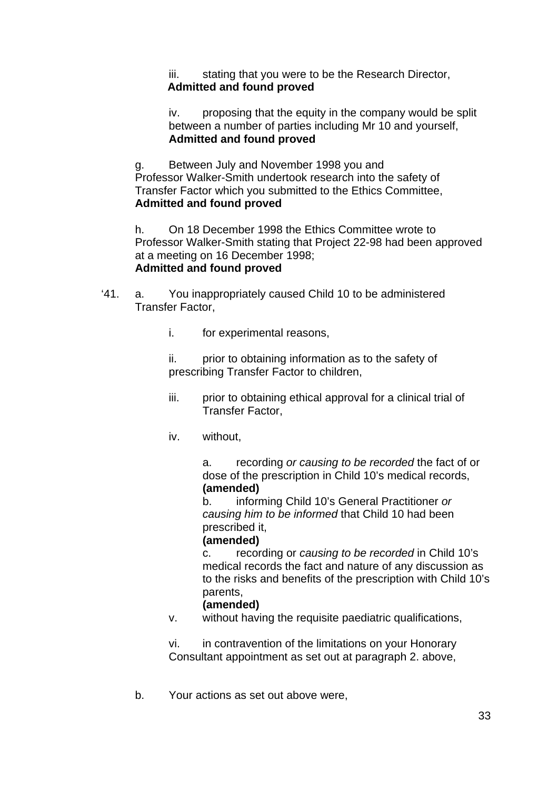iii. stating that you were to be the Research Director, **Admitted and found proved**

iv. proposing that the equity in the company would be split between a number of parties including Mr 10 and yourself, **Admitted and found proved**

g. Between July and November 1998 you and Professor Walker-Smith undertook research into the safety of Transfer Factor which you submitted to the Ethics Committee, **Admitted and found proved**

h. On 18 December 1998 the Ethics Committee wrote to Professor Walker-Smith stating that Project 22-98 had been approved at a meeting on 16 December 1998; **Admitted and found proved**

- '41. a. You inappropriately caused Child 10 to be administered Transfer Factor,
	- i. for experimental reasons,

ii. prior to obtaining information as to the safety of prescribing Transfer Factor to children,

- iii. prior to obtaining ethical approval for a clinical trial of Transfer Factor,
- iv. without,

a. recording *or causing to be recorded* the fact of or dose of the prescription in Child 10's medical records, **(amended)** 

b. informing Child 10's General Practitioner *or causing him to be informed* that Child 10 had been prescribed it,

#### **(amended)**

c. recording or *causing to be recorded* in Child 10's medical records the fact and nature of any discussion as to the risks and benefits of the prescription with Child 10's parents,

#### **(amended)**

v. without having the requisite paediatric qualifications,

vi. in contravention of the limitations on your Honorary Consultant appointment as set out at paragraph 2. above,

b. Your actions as set out above were,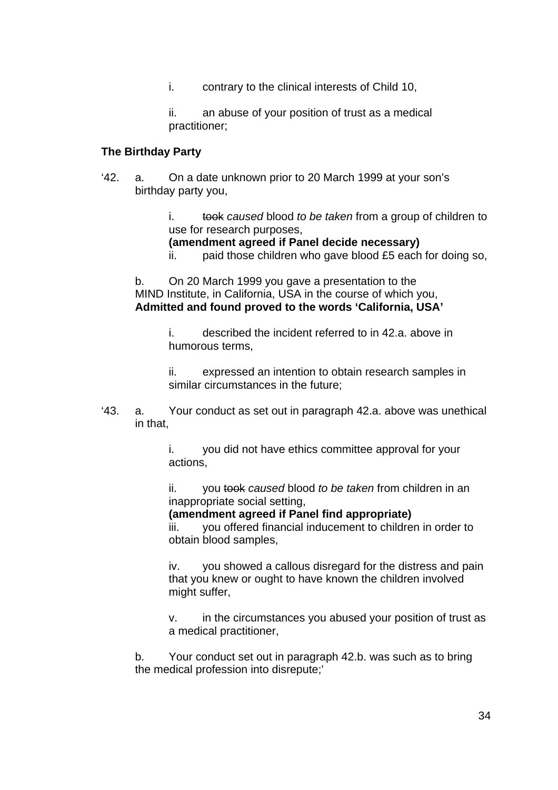i. contrary to the clinical interests of Child 10,

ii. an abuse of your position of trust as a medical practitioner;

#### **The Birthday Party**

'42. a. On a date unknown prior to 20 March 1999 at your son's birthday party you,

> i. took *caused* blood *to be taken* from a group of children to use for research purposes,

- **(amendment agreed if Panel decide necessary)**
- ii. paid those children who gave blood £5 each for doing so,

b. On 20 March 1999 you gave a presentation to the MIND Institute, in California, USA in the course of which you, **Admitted and found proved to the words 'California, USA'**

> i. described the incident referred to in 42.a. above in humorous terms,

ii. expressed an intention to obtain research samples in similar circumstances in the future;

'43. a. Your conduct as set out in paragraph 42.a. above was unethical in that,

> i. you did not have ethics committee approval for your actions,

ii. you took *caused* blood *to be taken* from children in an inappropriate social setting,

**(amendment agreed if Panel find appropriate)** 

iii. you offered financial inducement to children in order to obtain blood samples,

iv. you showed a callous disregard for the distress and pain that you knew or ought to have known the children involved might suffer,

v. in the circumstances you abused your position of trust as a medical practitioner,

b. Your conduct set out in paragraph 42.b. was such as to bring the medical profession into disrepute;'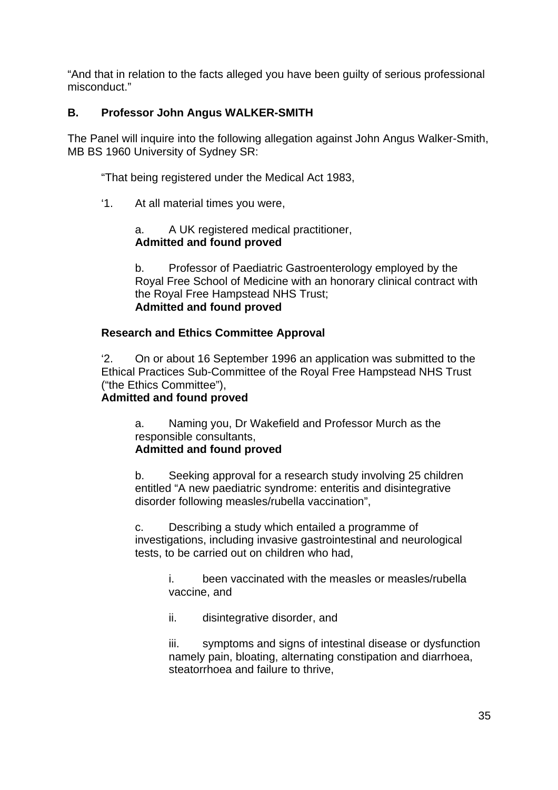"And that in relation to the facts alleged you have been guilty of serious professional misconduct."

## **B. Professor John Angus WALKER-SMITH**

The Panel will inquire into the following allegation against John Angus Walker-Smith, MB BS 1960 University of Sydney SR:

"That being registered under the Medical Act 1983,

'1. At all material times you were,

a. A UK registered medical practitioner, **Admitted and found proved**

b. Professor of Paediatric Gastroenterology employed by the Royal Free School of Medicine with an honorary clinical contract with the Royal Free Hampstead NHS Trust; **Admitted and found proved** 

## **Research and Ethics Committee Approval**

'2. On or about 16 September 1996 an application was submitted to the Ethical Practices Sub-Committee of the Royal Free Hampstead NHS Trust ("the Ethics Committee"),

#### **Admitted and found proved**

a. Naming you, Dr Wakefield and Professor Murch as the responsible consultants, **Admitted and found proved**

b. Seeking approval for a research study involving 25 children entitled "A new paediatric syndrome: enteritis and disintegrative disorder following measles/rubella vaccination",

c. Describing a study which entailed a programme of investigations, including invasive gastrointestinal and neurological tests, to be carried out on children who had,

> i. been vaccinated with the measles or measles/rubella vaccine, and

ii. disintegrative disorder, and

iii. symptoms and signs of intestinal disease or dysfunction namely pain, bloating, alternating constipation and diarrhoea, steatorrhoea and failure to thrive,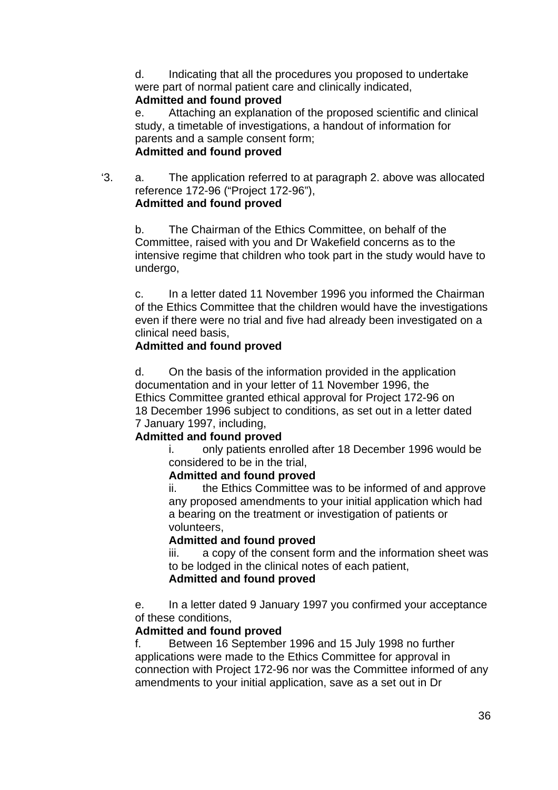d. Indicating that all the procedures you proposed to undertake were part of normal patient care and clinically indicated,

## **Admitted and found proved**

e. Attaching an explanation of the proposed scientific and clinical study, a timetable of investigations, a handout of information for parents and a sample consent form; **Admitted and found proved**

'3. a. The application referred to at paragraph 2. above was allocated reference 172-96 ("Project 172-96"), **Admitted and found proved**

b. The Chairman of the Ethics Committee, on behalf of the Committee, raised with you and Dr Wakefield concerns as to the intensive regime that children who took part in the study would have to undergo,

c. In a letter dated 11 November 1996 you informed the Chairman of the Ethics Committee that the children would have the investigations even if there were no trial and five had already been investigated on a clinical need basis,

## **Admitted and found proved**

d. On the basis of the information provided in the application documentation and in your letter of 11 November 1996, the Ethics Committee granted ethical approval for Project 172-96 on 18 December 1996 subject to conditions, as set out in a letter dated 7 January 1997, including,

## **Admitted and found proved**

i. only patients enrolled after 18 December 1996 would be considered to be in the trial,

#### **Admitted and found proved**

ii. the Ethics Committee was to be informed of and approve any proposed amendments to your initial application which had a bearing on the treatment or investigation of patients or volunteers,

#### **Admitted and found proved**

iii. a copy of the consent form and the information sheet was to be lodged in the clinical notes of each patient, **Admitted and found proved** 

e. In a letter dated 9 January 1997 you confirmed your acceptance of these conditions,

## **Admitted and found proved**

f. Between 16 September 1996 and 15 July 1998 no further applications were made to the Ethics Committee for approval in connection with Project 172-96 nor was the Committee informed of any amendments to your initial application, save as a set out in Dr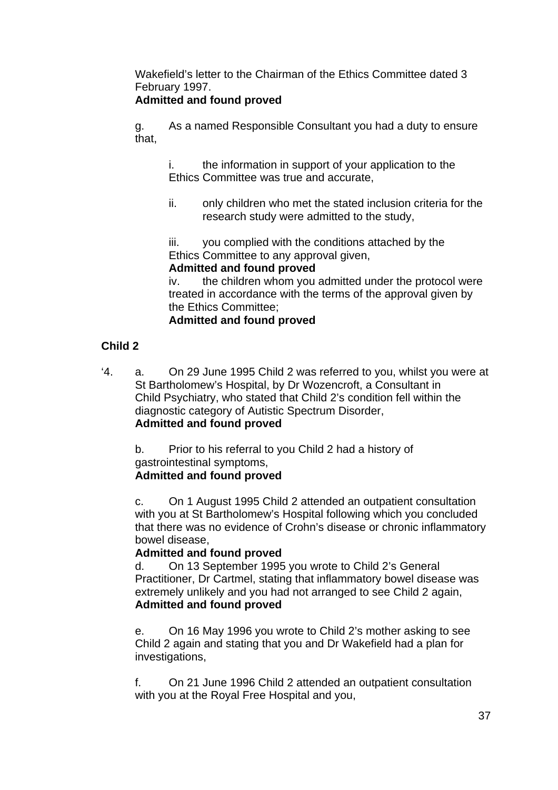Wakefield's letter to the Chairman of the Ethics Committee dated 3 February 1997.

# **Admitted and found proved**

g. As a named Responsible Consultant you had a duty to ensure that,

i. the information in support of your application to the Ethics Committee was true and accurate,

ii. only children who met the stated inclusion criteria for the research study were admitted to the study,

iii. you complied with the conditions attached by the Ethics Committee to any approval given,

## **Admitted and found proved**

iv. the children whom you admitted under the protocol were treated in accordance with the terms of the approval given by the Ethics Committee;

## **Admitted and found proved**

# **Child 2**

'4. a. On 29 June 1995 Child 2 was referred to you, whilst you were at St Bartholomew's Hospital, by Dr Wozencroft, a Consultant in Child Psychiatry, who stated that Child 2's condition fell within the diagnostic category of Autistic Spectrum Disorder, **Admitted and found proved**

b. Prior to his referral to you Child 2 had a history of gastrointestinal symptoms,

# **Admitted and found proved**

c. On 1 August 1995 Child 2 attended an outpatient consultation with you at St Bartholomew's Hospital following which you concluded that there was no evidence of Crohn's disease or chronic inflammatory bowel disease,

# **Admitted and found proved**

d. On 13 September 1995 you wrote to Child 2's General Practitioner, Dr Cartmel, stating that inflammatory bowel disease was extremely unlikely and you had not arranged to see Child 2 again, **Admitted and found proved** 

e. On 16 May 1996 you wrote to Child 2's mother asking to see Child 2 again and stating that you and Dr Wakefield had a plan for investigations,

f. On 21 June 1996 Child 2 attended an outpatient consultation with you at the Royal Free Hospital and you,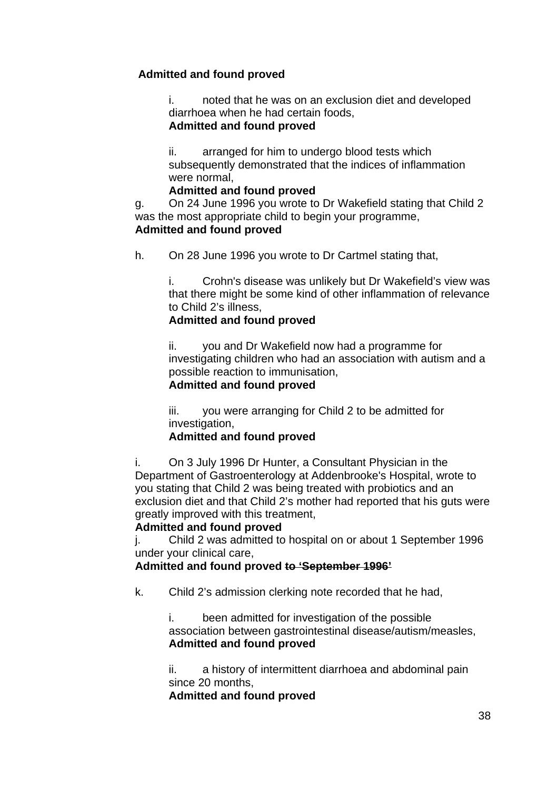# **Admitted and found proved**

i. noted that he was on an exclusion diet and developed diarrhoea when he had certain foods,

## **Admitted and found proved**

ii. arranged for him to undergo blood tests which subsequently demonstrated that the indices of inflammation were normal,

## **Admitted and found proved**

g. On 24 June 1996 you wrote to Dr Wakefield stating that Child 2 was the most appropriate child to begin your programme, **Admitted and found proved**

h. On 28 June 1996 you wrote to Dr Cartmel stating that,

i. Crohn's disease was unlikely but Dr Wakefield's view was that there might be some kind of other inflammation of relevance to Child 2's illness,

## **Admitted and found proved**

ii. you and Dr Wakefield now had a programme for investigating children who had an association with autism and a possible reaction to immunisation,

# **Admitted and found proved**

iii. you were arranging for Child 2 to be admitted for investigation,

# **Admitted and found proved**

i. On 3 July 1996 Dr Hunter, a Consultant Physician in the Department of Gastroenterology at Addenbrooke's Hospital, wrote to you stating that Child 2 was being treated with probiotics and an exclusion diet and that Child 2's mother had reported that his guts were greatly improved with this treatment,

# **Admitted and found proved**

j. Child 2 was admitted to hospital on or about 1 September 1996 under your clinical care,

# **Admitted and found proved to 'September 1996'**

k. Child 2's admission clerking note recorded that he had,

i. been admitted for investigation of the possible association between gastrointestinal disease/autism/measles, **Admitted and found proved**

ii. a history of intermittent diarrhoea and abdominal pain since 20 months,

**Admitted and found proved**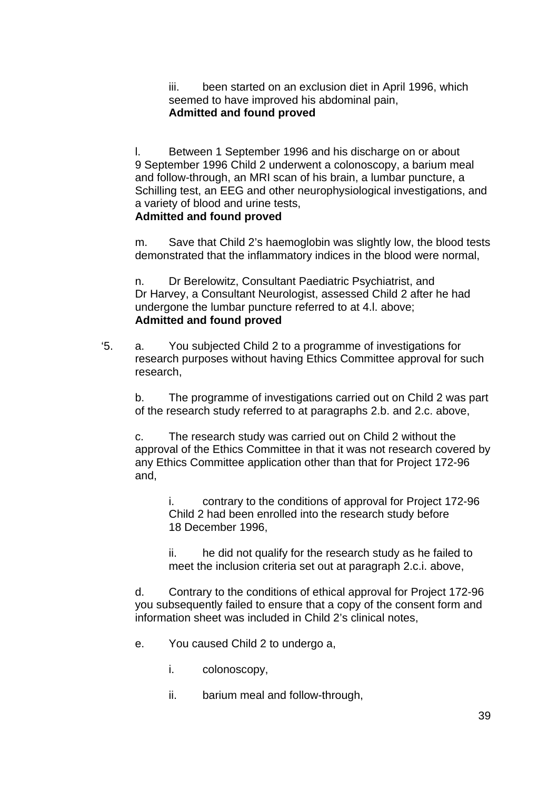iii. been started on an exclusion diet in April 1996, which seemed to have improved his abdominal pain, **Admitted and found proved**

l. Between 1 September 1996 and his discharge on or about 9 September 1996 Child 2 underwent a colonoscopy, a barium meal and follow-through, an MRI scan of his brain, a lumbar puncture, a Schilling test, an EEG and other neurophysiological investigations, and a variety of blood and urine tests,

# **Admitted and found proved**

m. Save that Child 2's haemoglobin was slightly low, the blood tests demonstrated that the inflammatory indices in the blood were normal,

n. Dr Berelowitz, Consultant Paediatric Psychiatrist, and Dr Harvey, a Consultant Neurologist, assessed Child 2 after he had undergone the lumbar puncture referred to at 4.l. above; **Admitted and found proved**

'5. a. You subjected Child 2 to a programme of investigations for research purposes without having Ethics Committee approval for such research,

b. The programme of investigations carried out on Child 2 was part of the research study referred to at paragraphs 2.b. and 2.c. above,

c. The research study was carried out on Child 2 without the approval of the Ethics Committee in that it was not research covered by any Ethics Committee application other than that for Project 172-96 and,

i. contrary to the conditions of approval for Project 172-96 Child 2 had been enrolled into the research study before 18 December 1996,

ii. he did not qualify for the research study as he failed to meet the inclusion criteria set out at paragraph 2.c.i. above,

d. Contrary to the conditions of ethical approval for Project 172-96 you subsequently failed to ensure that a copy of the consent form and information sheet was included in Child 2's clinical notes,

- e. You caused Child 2 to undergo a,
	- i. colonoscopy,
	- ii. barium meal and follow-through,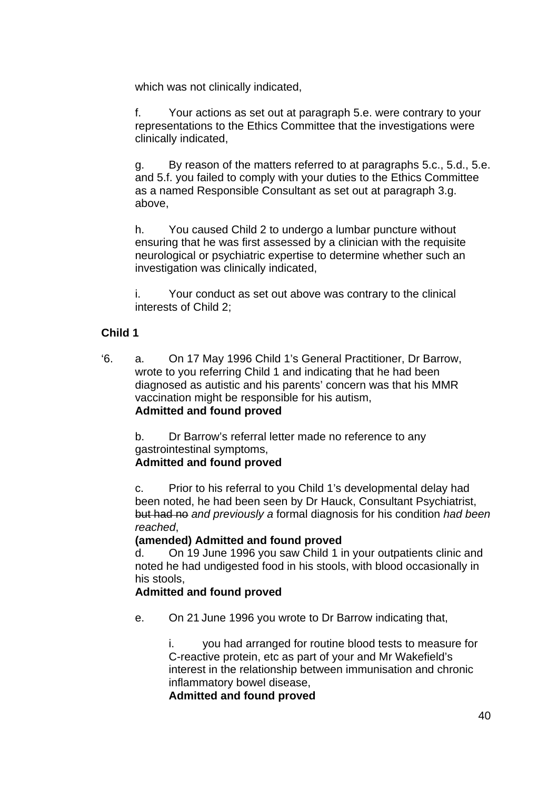which was not clinically indicated,

f. Your actions as set out at paragraph 5.e. were contrary to your representations to the Ethics Committee that the investigations were clinically indicated,

g. By reason of the matters referred to at paragraphs 5.c., 5.d., 5.e. and 5.f. you failed to comply with your duties to the Ethics Committee as a named Responsible Consultant as set out at paragraph 3.g. above,

h. You caused Child 2 to undergo a lumbar puncture without ensuring that he was first assessed by a clinician with the requisite neurological or psychiatric expertise to determine whether such an investigation was clinically indicated,

i. Your conduct as set out above was contrary to the clinical interests of Child 2;

#### **Child 1**

'6. a. On 17 May 1996 Child 1's General Practitioner, Dr Barrow, wrote to you referring Child 1 and indicating that he had been diagnosed as autistic and his parents' concern was that his MMR vaccination might be responsible for his autism, **Admitted and found proved**

b. Dr Barrow's referral letter made no reference to any gastrointestinal symptoms, **Admitted and found proved**

c. Prior to his referral to you Child 1's developmental delay had been noted, he had been seen by Dr Hauck, Consultant Psychiatrist, but had no *and previously a* formal diagnosis for his condition *had been reached*,

#### **(amended) Admitted and found proved**

d. On 19 June 1996 you saw Child 1 in your outpatients clinic and noted he had undigested food in his stools, with blood occasionally in his stools,

#### **Admitted and found proved**

e. On 21 June 1996 you wrote to Dr Barrow indicating that,

i. you had arranged for routine blood tests to measure for C-reactive protein, etc as part of your and Mr Wakefield's interest in the relationship between immunisation and chronic inflammatory bowel disease,

**Admitted and found proved**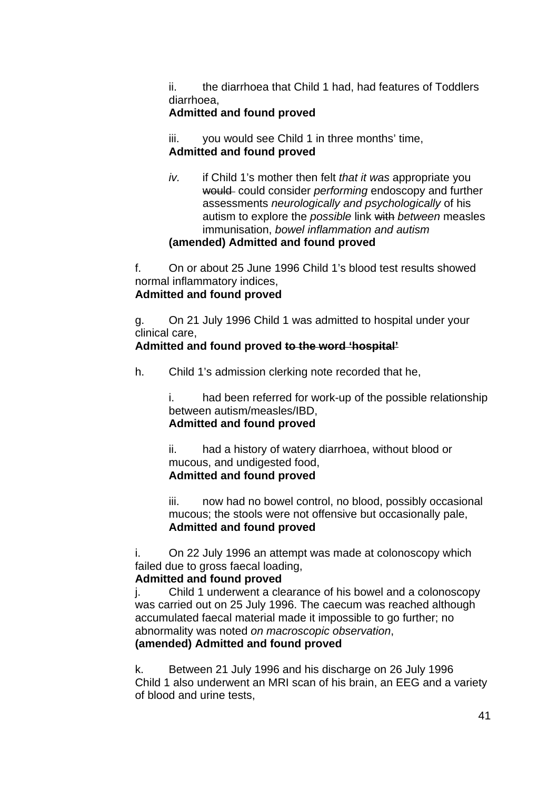ii. the diarrhoea that Child 1 had, had features of Toddlers diarrhoea,

# **Admitted and found proved**

iii. you would see Child 1 in three months' time, **Admitted and found proved**

*iv.* if Child 1's mother then felt *that it was* appropriate you would could consider *performing* endoscopy and further assessments *neurologically and psychologically* of his autism to explore the *possible* link with *between* measles immunisation, *bowel inflammation and autism* 

# **(amended) Admitted and found proved**

f. On or about 25 June 1996 Child 1's blood test results showed normal inflammatory indices,

## **Admitted and found proved**

g. On 21 July 1996 Child 1 was admitted to hospital under your clinical care,

## **Admitted and found proved to the word 'hospital'**

h. Child 1's admission clerking note recorded that he,

i. had been referred for work-up of the possible relationship between autism/measles/IBD, **Admitted and found proved**

ii. had a history of watery diarrhoea, without blood or mucous, and undigested food, **Admitted and found proved**

iii. now had no bowel control, no blood, possibly occasional mucous; the stools were not offensive but occasionally pale, **Admitted and found proved**

i. On 22 July 1996 an attempt was made at colonoscopy which failed due to gross faecal loading,

#### **Admitted and found proved**

j. Child 1 underwent a clearance of his bowel and a colonoscopy was carried out on 25 July 1996. The caecum was reached although accumulated faecal material made it impossible to go further; no abnormality was noted *on macroscopic observation*,

#### **(amended) Admitted and found proved**

k. Between 21 July 1996 and his discharge on 26 July 1996 Child 1 also underwent an MRI scan of his brain, an EEG and a variety of blood and urine tests,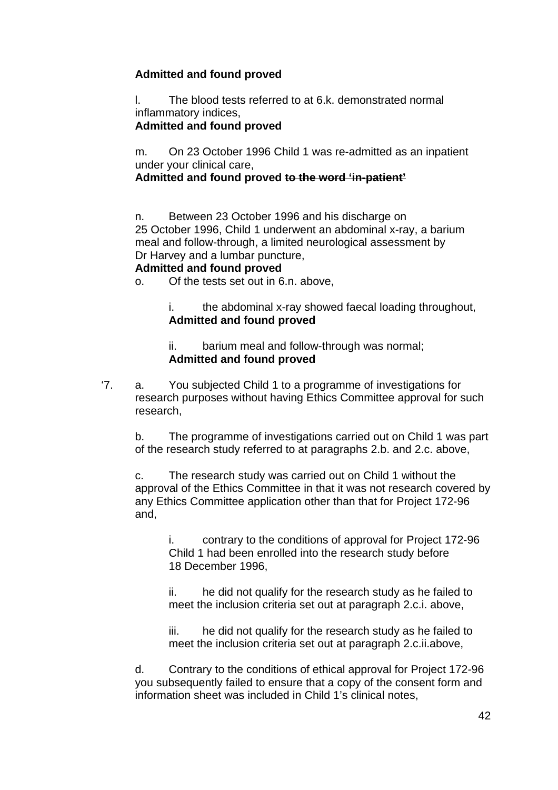# **Admitted and found proved**

l. The blood tests referred to at 6.k. demonstrated normal inflammatory indices,

# **Admitted and found proved**

m. On 23 October 1996 Child 1 was re-admitted as an inpatient under your clinical care,

**Admitted and found proved to the word 'in-patient'**

n. Between 23 October 1996 and his discharge on 25 October 1996, Child 1 underwent an abdominal x-ray, a barium meal and follow-through, a limited neurological assessment by Dr Harvey and a lumbar puncture,

## **Admitted and found proved**

o. Of the tests set out in 6.n. above,

i. the abdominal x-ray showed faecal loading throughout, **Admitted and found proved**

ii. barium meal and follow-through was normal; **Admitted and found proved**

'7. a. You subjected Child 1 to a programme of investigations for research purposes without having Ethics Committee approval for such research,

b. The programme of investigations carried out on Child 1 was part of the research study referred to at paragraphs 2.b. and 2.c. above,

c. The research study was carried out on Child 1 without the approval of the Ethics Committee in that it was not research covered by any Ethics Committee application other than that for Project 172-96 and,

i. contrary to the conditions of approval for Project 172-96 Child 1 had been enrolled into the research study before 18 December 1996,

ii. he did not qualify for the research study as he failed to meet the inclusion criteria set out at paragraph 2.c.i. above,

iii. he did not qualify for the research study as he failed to meet the inclusion criteria set out at paragraph 2.c.ii.above,

d. Contrary to the conditions of ethical approval for Project 172-96 you subsequently failed to ensure that a copy of the consent form and information sheet was included in Child 1's clinical notes,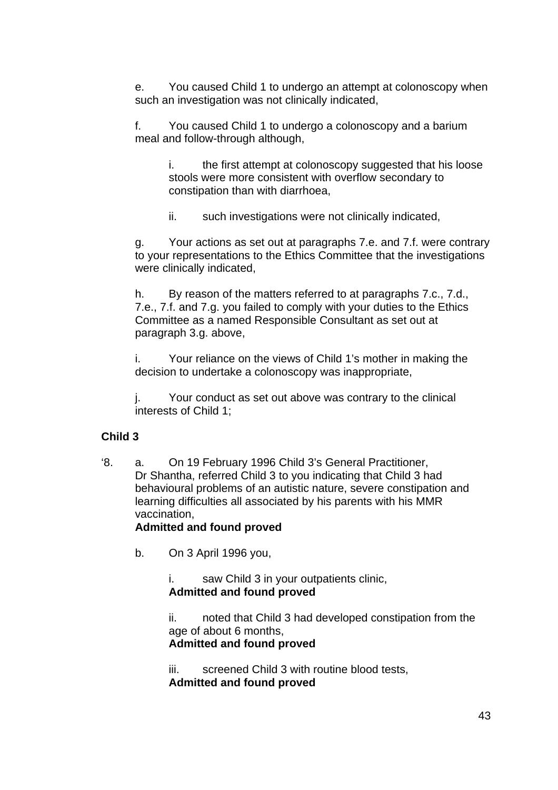e. You caused Child 1 to undergo an attempt at colonoscopy when such an investigation was not clinically indicated,

f. You caused Child 1 to undergo a colonoscopy and a barium meal and follow-through although,

i. the first attempt at colonoscopy suggested that his loose stools were more consistent with overflow secondary to constipation than with diarrhoea,

ii. such investigations were not clinically indicated,

g. Your actions as set out at paragraphs 7.e. and 7.f. were contrary to your representations to the Ethics Committee that the investigations were clinically indicated,

h. By reason of the matters referred to at paragraphs 7.c., 7.d., 7.e., 7.f. and 7.g. you failed to comply with your duties to the Ethics Committee as a named Responsible Consultant as set out at paragraph 3.g. above,

i. Your reliance on the views of Child 1's mother in making the decision to undertake a colonoscopy was inappropriate,

j. Your conduct as set out above was contrary to the clinical interests of Child 1;

#### **Child 3**

'8. a. On 19 February 1996 Child 3's General Practitioner, Dr Shantha, referred Child 3 to you indicating that Child 3 had behavioural problems of an autistic nature, severe constipation and learning difficulties all associated by his parents with his MMR vaccination,

#### **Admitted and found proved**

b. On 3 April 1996 you,

i. saw Child 3 in your outpatients clinic, **Admitted and found proved**

ii. noted that Child 3 had developed constipation from the age of about 6 months,

#### **Admitted and found proved**

iii. screened Child 3 with routine blood tests, **Admitted and found proved**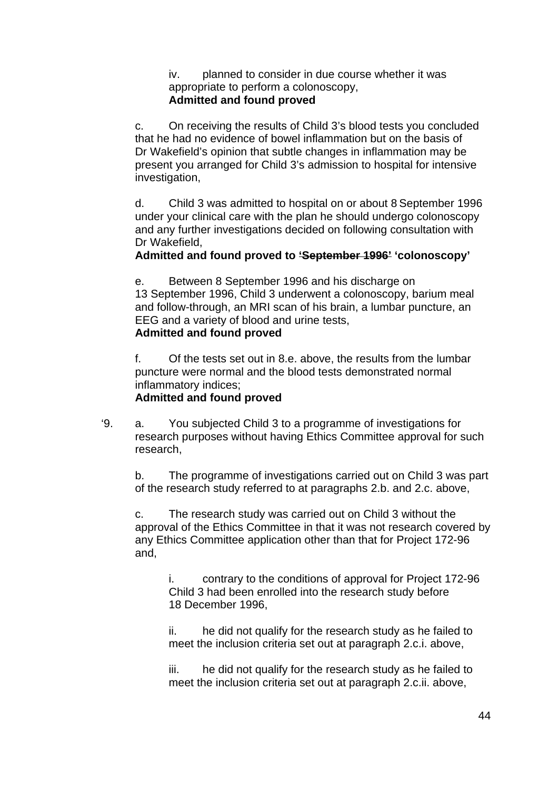iv. planned to consider in due course whether it was appropriate to perform a colonoscopy, **Admitted and found proved**

c. On receiving the results of Child 3's blood tests you concluded that he had no evidence of bowel inflammation but on the basis of Dr Wakefield's opinion that subtle changes in inflammation may be present you arranged for Child 3's admission to hospital for intensive investigation,

d. Child 3 was admitted to hospital on or about 8 September 1996 under your clinical care with the plan he should undergo colonoscopy and any further investigations decided on following consultation with Dr Wakefield,

# **Admitted and found proved to 'September 1996' 'colonoscopy'**

e. Between 8 September 1996 and his discharge on 13 September 1996, Child 3 underwent a colonoscopy, barium meal and follow-through, an MRI scan of his brain, a lumbar puncture, an EEG and a variety of blood and urine tests, **Admitted and found proved**

f. Of the tests set out in 8.e. above, the results from the lumbar puncture were normal and the blood tests demonstrated normal inflammatory indices;

#### **Admitted and found proved**

'9. a. You subjected Child 3 to a programme of investigations for research purposes without having Ethics Committee approval for such research,

b. The programme of investigations carried out on Child 3 was part of the research study referred to at paragraphs 2.b. and 2.c. above,

c. The research study was carried out on Child 3 without the approval of the Ethics Committee in that it was not research covered by any Ethics Committee application other than that for Project 172-96 and,

i. contrary to the conditions of approval for Project 172-96 Child 3 had been enrolled into the research study before 18 December 1996,

ii. he did not qualify for the research study as he failed to meet the inclusion criteria set out at paragraph 2.c.i. above,

iii. he did not qualify for the research study as he failed to meet the inclusion criteria set out at paragraph 2.c.ii. above,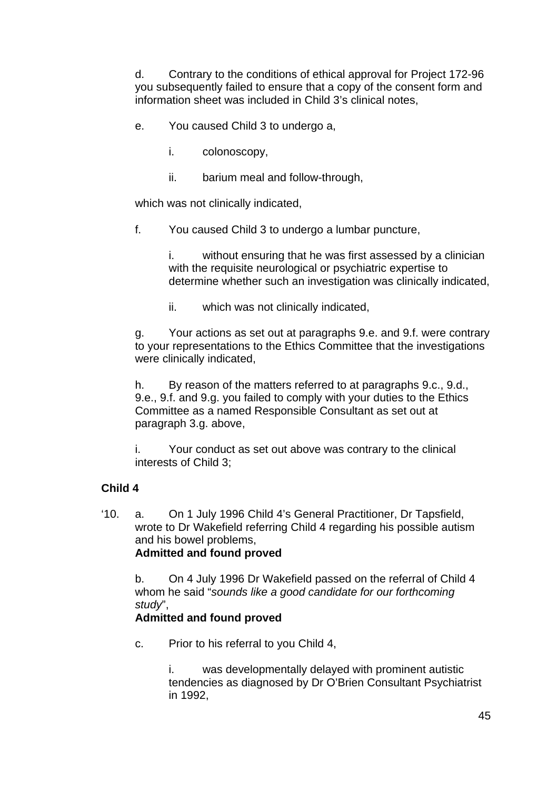d. Contrary to the conditions of ethical approval for Project 172-96 you subsequently failed to ensure that a copy of the consent form and information sheet was included in Child 3's clinical notes,

- e. You caused Child 3 to undergo a,
	- i. colonoscopy,
	- ii. barium meal and follow-through,

which was not clinically indicated,

f. You caused Child 3 to undergo a lumbar puncture,

i. without ensuring that he was first assessed by a clinician with the requisite neurological or psychiatric expertise to determine whether such an investigation was clinically indicated,

ii. which was not clinically indicated,

g. Your actions as set out at paragraphs 9.e. and 9.f. were contrary to your representations to the Ethics Committee that the investigations were clinically indicated,

h. By reason of the matters referred to at paragraphs 9.c., 9.d., 9.e., 9.f. and 9.g. you failed to comply with your duties to the Ethics Committee as a named Responsible Consultant as set out at paragraph 3.g. above,

i. Your conduct as set out above was contrary to the clinical interests of Child 3;

#### **Child 4**

'10. a. On 1 July 1996 Child 4's General Practitioner, Dr Tapsfield, wrote to Dr Wakefield referring Child 4 regarding his possible autism and his bowel problems, **Admitted and found proved**

b. On 4 July 1996 Dr Wakefield passed on the referral of Child 4 whom he said "*sounds like a good candidate for our forthcoming study*",

# **Admitted and found proved**

c. Prior to his referral to you Child 4,

was developmentally delayed with prominent autistic tendencies as diagnosed by Dr O'Brien Consultant Psychiatrist in 1992,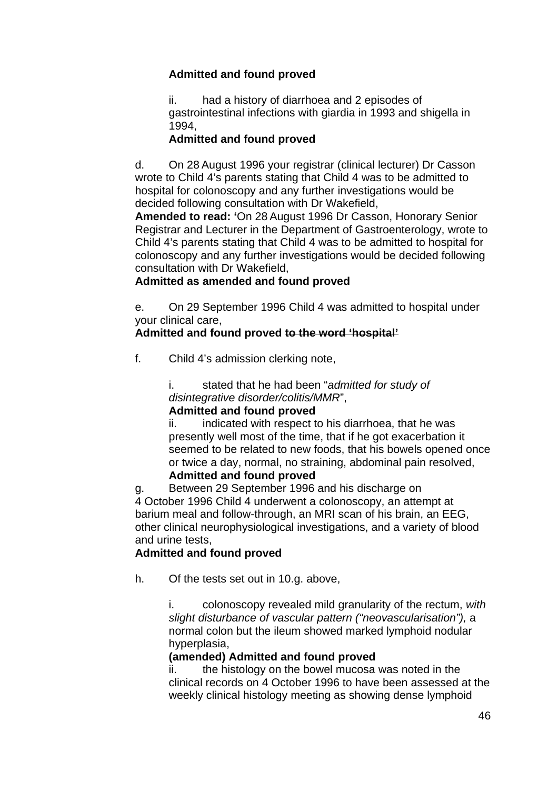# **Admitted and found proved**

ii. had a history of diarrhoea and 2 episodes of gastrointestinal infections with giardia in 1993 and shigella in 1994,

# **Admitted and found proved**

d. On 28 August 1996 your registrar (clinical lecturer) Dr Casson wrote to Child 4's parents stating that Child 4 was to be admitted to hospital for colonoscopy and any further investigations would be decided following consultation with Dr Wakefield,

**Amended to read: '**On 28 August 1996 Dr Casson, Honorary Senior Registrar and Lecturer in the Department of Gastroenterology, wrote to Child 4's parents stating that Child 4 was to be admitted to hospital for colonoscopy and any further investigations would be decided following consultation with Dr Wakefield,

# **Admitted as amended and found proved**

e. On 29 September 1996 Child 4 was admitted to hospital under your clinical care,

# **Admitted and found proved to the word 'hospital'**

f. Child 4's admission clerking note,

i. stated that he had been "*admitted for study of disintegrative disorder/colitis/MMR*",

# **Admitted and found proved**

ii. indicated with respect to his diarrhoea, that he was presently well most of the time, that if he got exacerbation it seemed to be related to new foods, that his bowels opened once or twice a day, normal, no straining, abdominal pain resolved, **Admitted and found proved**

g. Between 29 September 1996 and his discharge on 4 October 1996 Child 4 underwent a colonoscopy, an attempt at barium meal and follow-through, an MRI scan of his brain, an EEG, other clinical neurophysiological investigations, and a variety of blood and urine tests,

# **Admitted and found proved**

h. Of the tests set out in 10.g. above,

i. colonoscopy revealed mild granularity of the rectum, *with slight disturbance of vascular pattern ("neovascularisation"),* a normal colon but the ileum showed marked lymphoid nodular hyperplasia,

# **(amended) Admitted and found proved**

ii. the histology on the bowel mucosa was noted in the clinical records on 4 October 1996 to have been assessed at the weekly clinical histology meeting as showing dense lymphoid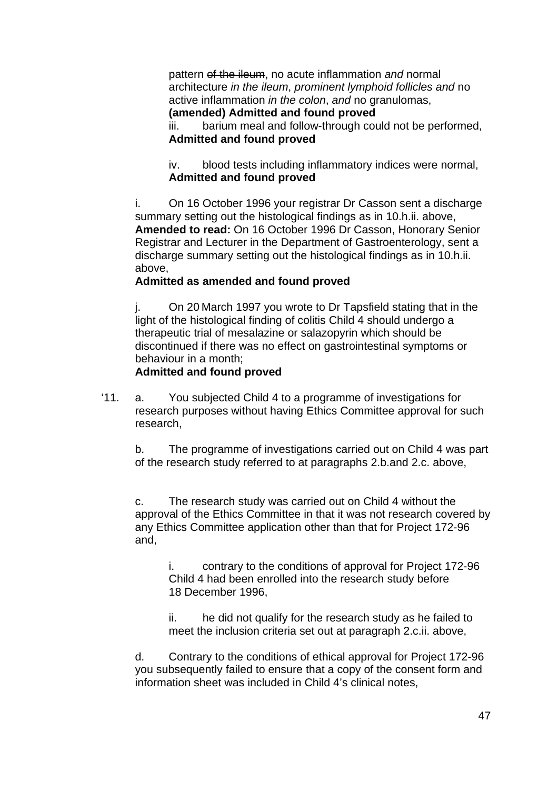pattern of the ileum, no acute inflammation *and* normal architecture *in the ileum*, *prominent lymphoid follicles and* no active inflammation *in the colon*, *and* no granulomas, **(amended) Admitted and found proved**

iii. barium meal and follow-through could not be performed, **Admitted and found proved**

iv. blood tests including inflammatory indices were normal, **Admitted and found proved**

i. On 16 October 1996 your registrar Dr Casson sent a discharge summary setting out the histological findings as in 10.h.ii. above, **Amended to read:** On 16 October 1996 Dr Casson, Honorary Senior Registrar and Lecturer in the Department of Gastroenterology, sent a discharge summary setting out the histological findings as in 10.h.ii. above,

## **Admitted as amended and found proved**

j. On 20 March 1997 you wrote to Dr Tapsfield stating that in the light of the histological finding of colitis Child 4 should undergo a therapeutic trial of mesalazine or salazopyrin which should be discontinued if there was no effect on gastrointestinal symptoms or behaviour in a month;

#### **Admitted and found proved**

'11. a. You subjected Child 4 to a programme of investigations for research purposes without having Ethics Committee approval for such research,

b. The programme of investigations carried out on Child 4 was part of the research study referred to at paragraphs 2.b.and 2.c. above,

c. The research study was carried out on Child 4 without the approval of the Ethics Committee in that it was not research covered by any Ethics Committee application other than that for Project 172-96 and,

i. contrary to the conditions of approval for Project 172-96 Child 4 had been enrolled into the research study before 18 December 1996,

ii. he did not qualify for the research study as he failed to meet the inclusion criteria set out at paragraph 2.c.ii. above,

d. Contrary to the conditions of ethical approval for Project 172-96 you subsequently failed to ensure that a copy of the consent form and information sheet was included in Child 4's clinical notes,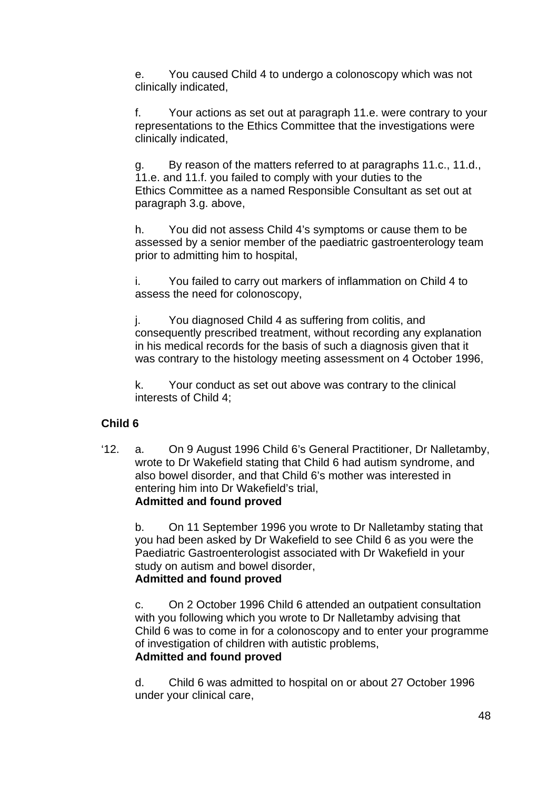e. You caused Child 4 to undergo a colonoscopy which was not clinically indicated,

f. Your actions as set out at paragraph 11.e. were contrary to your representations to the Ethics Committee that the investigations were clinically indicated,

g. By reason of the matters referred to at paragraphs 11.c., 11.d., 11.e. and 11.f. you failed to comply with your duties to the Ethics Committee as a named Responsible Consultant as set out at paragraph 3.g. above,

h. You did not assess Child 4's symptoms or cause them to be assessed by a senior member of the paediatric gastroenterology team prior to admitting him to hospital,

i. You failed to carry out markers of inflammation on Child 4 to assess the need for colonoscopy,

j. You diagnosed Child 4 as suffering from colitis, and consequently prescribed treatment, without recording any explanation in his medical records for the basis of such a diagnosis given that it was contrary to the histology meeting assessment on 4 October 1996,

k. Your conduct as set out above was contrary to the clinical interests of Child 4;

# **Child 6**

'12. a. On 9 August 1996 Child 6's General Practitioner, Dr Nalletamby, wrote to Dr Wakefield stating that Child 6 had autism syndrome, and also bowel disorder, and that Child 6's mother was interested in entering him into Dr Wakefield's trial, **Admitted and found proved**

b. On 11 September 1996 you wrote to Dr Nalletamby stating that you had been asked by Dr Wakefield to see Child 6 as you were the Paediatric Gastroenterologist associated with Dr Wakefield in your study on autism and bowel disorder, **Admitted and found proved**

c. On 2 October 1996 Child 6 attended an outpatient consultation with you following which you wrote to Dr Nalletamby advising that Child 6 was to come in for a colonoscopy and to enter your programme of investigation of children with autistic problems, **Admitted and found proved**

d. Child 6 was admitted to hospital on or about 27 October 1996 under your clinical care,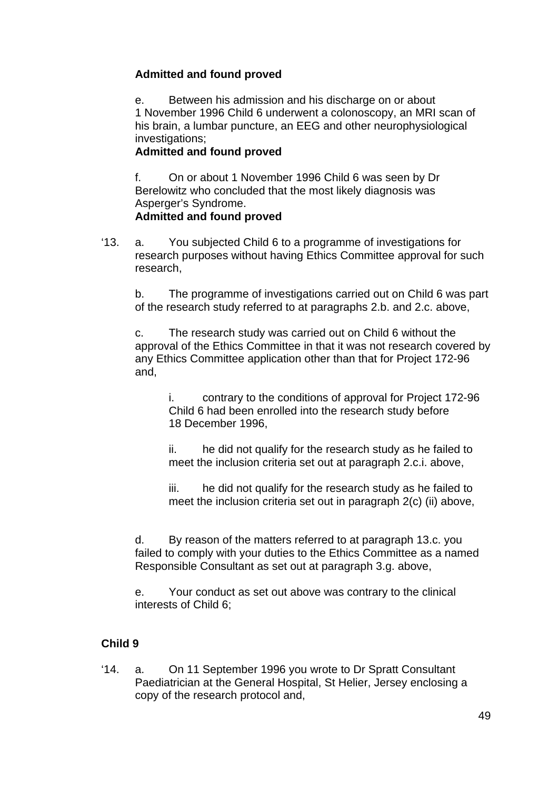# **Admitted and found proved**

e. Between his admission and his discharge on or about 1 November 1996 Child 6 underwent a colonoscopy, an MRI scan of his brain, a lumbar puncture, an EEG and other neurophysiological investigations;

#### **Admitted and found proved**

f. On or about 1 November 1996 Child 6 was seen by Dr Berelowitz who concluded that the most likely diagnosis was Asperger's Syndrome. **Admitted and found proved** 

'13. a. You subjected Child 6 to a programme of investigations for research purposes without having Ethics Committee approval for such research,

b. The programme of investigations carried out on Child 6 was part of the research study referred to at paragraphs 2.b. and 2.c. above,

c. The research study was carried out on Child 6 without the approval of the Ethics Committee in that it was not research covered by any Ethics Committee application other than that for Project 172-96 and,

i. contrary to the conditions of approval for Project 172-96 Child 6 had been enrolled into the research study before 18 December 1996,

ii. he did not qualify for the research study as he failed to meet the inclusion criteria set out at paragraph 2.c.i. above,

iii. he did not qualify for the research study as he failed to meet the inclusion criteria set out in paragraph 2(c) (ii) above,

d. By reason of the matters referred to at paragraph 13.c. you failed to comply with your duties to the Ethics Committee as a named Responsible Consultant as set out at paragraph 3.g. above,

e. Your conduct as set out above was contrary to the clinical interests of Child 6;

# **Child 9**

'14. a. On 11 September 1996 you wrote to Dr Spratt Consultant Paediatrician at the General Hospital, St Helier, Jersey enclosing a copy of the research protocol and,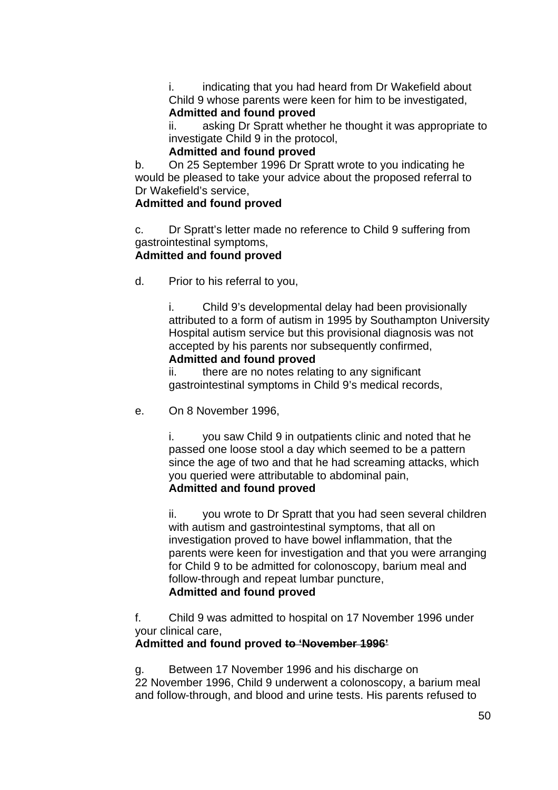i. indicating that you had heard from Dr Wakefield about Child 9 whose parents were keen for him to be investigated, **Admitted and found proved**

ii. asking Dr Spratt whether he thought it was appropriate to investigate Child 9 in the protocol,

## **Admitted and found proved**

b. On 25 September 1996 Dr Spratt wrote to you indicating he would be pleased to take your advice about the proposed referral to Dr Wakefield's service,

# **Admitted and found proved**

c. Dr Spratt's letter made no reference to Child 9 suffering from gastrointestinal symptoms,

## **Admitted and found proved**

d. Prior to his referral to you,

i. Child 9's developmental delay had been provisionally attributed to a form of autism in 1995 by Southampton University Hospital autism service but this provisional diagnosis was not accepted by his parents nor subsequently confirmed,

#### **Admitted and found proved**

ii. there are no notes relating to any significant gastrointestinal symptoms in Child 9's medical records,

e. On 8 November 1996,

i. you saw Child 9 in outpatients clinic and noted that he passed one loose stool a day which seemed to be a pattern since the age of two and that he had screaming attacks, which you queried were attributable to abdominal pain, **Admitted and found proved**

ii. you wrote to Dr Spratt that you had seen several children with autism and gastrointestinal symptoms, that all on investigation proved to have bowel inflammation, that the parents were keen for investigation and that you were arranging for Child 9 to be admitted for colonoscopy, barium meal and follow-through and repeat lumbar puncture, **Admitted and found proved**

f. Child 9 was admitted to hospital on 17 November 1996 under your clinical care,

# **Admitted and found proved to 'November 1996'**

g. Between 17 November 1996 and his discharge on 22 November 1996, Child 9 underwent a colonoscopy, a barium meal and follow-through, and blood and urine tests. His parents refused to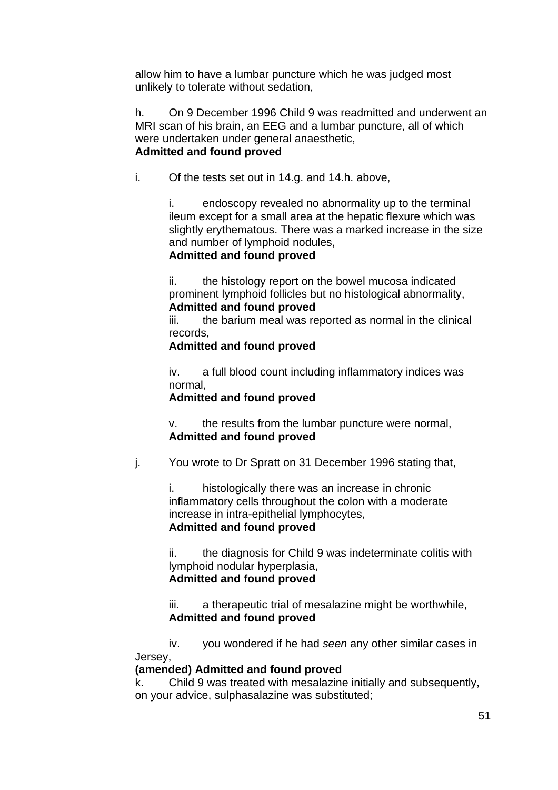allow him to have a lumbar puncture which he was judged most unlikely to tolerate without sedation,

h. On 9 December 1996 Child 9 was readmitted and underwent an MRI scan of his brain, an EEG and a lumbar puncture, all of which were undertaken under general anaesthetic, **Admitted and found proved**

i. Of the tests set out in 14.g. and 14.h. above,

i. endoscopy revealed no abnormality up to the terminal ileum except for a small area at the hepatic flexure which was slightly erythematous. There was a marked increase in the size and number of lymphoid nodules,

## **Admitted and found proved**

ii. the histology report on the bowel mucosa indicated prominent lymphoid follicles but no histological abnormality, **Admitted and found proved**

iii. the barium meal was reported as normal in the clinical records,

## **Admitted and found proved**

iv. a full blood count including inflammatory indices was normal,

#### **Admitted and found proved**

v. the results from the lumbar puncture were normal, **Admitted and found proved**

j. You wrote to Dr Spratt on 31 December 1996 stating that,

i. histologically there was an increase in chronic inflammatory cells throughout the colon with a moderate increase in intra-epithelial lymphocytes, **Admitted and found proved**

ii. the diagnosis for Child 9 was indeterminate colitis with lymphoid nodular hyperplasia, **Admitted and found proved**

iii. a therapeutic trial of mesalazine might be worthwhile, **Admitted and found proved**

iv. you wondered if he had *seen* any other similar cases in Jersey,

#### **(amended) Admitted and found proved**

k. Child 9 was treated with mesalazine initially and subsequently, on your advice, sulphasalazine was substituted;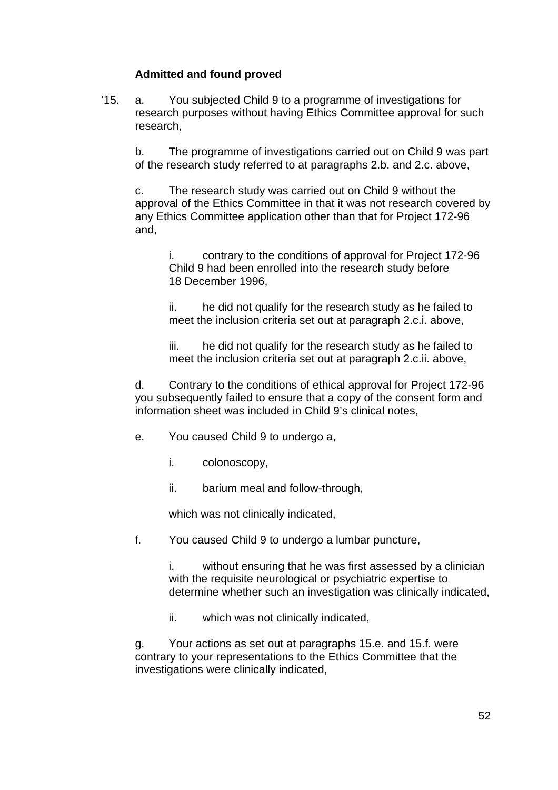# **Admitted and found proved**

'15. a. You subjected Child 9 to a programme of investigations for research purposes without having Ethics Committee approval for such research,

b. The programme of investigations carried out on Child 9 was part of the research study referred to at paragraphs 2.b. and 2.c. above,

c. The research study was carried out on Child 9 without the approval of the Ethics Committee in that it was not research covered by any Ethics Committee application other than that for Project 172-96 and,

i. contrary to the conditions of approval for Project 172-96 Child 9 had been enrolled into the research study before 18 December 1996,

ii. he did not qualify for the research study as he failed to meet the inclusion criteria set out at paragraph 2.c.i. above,

iii. he did not qualify for the research study as he failed to meet the inclusion criteria set out at paragraph 2.c.ii. above,

d. Contrary to the conditions of ethical approval for Project 172-96 you subsequently failed to ensure that a copy of the consent form and information sheet was included in Child 9's clinical notes,

- e. You caused Child 9 to undergo a,
	- i. colonoscopy,
	- ii. barium meal and follow-through,

which was not clinically indicated,

f. You caused Child 9 to undergo a lumbar puncture,

i. without ensuring that he was first assessed by a clinician with the requisite neurological or psychiatric expertise to determine whether such an investigation was clinically indicated,

ii. which was not clinically indicated,

g. Your actions as set out at paragraphs 15.e. and 15.f. were contrary to your representations to the Ethics Committee that the investigations were clinically indicated,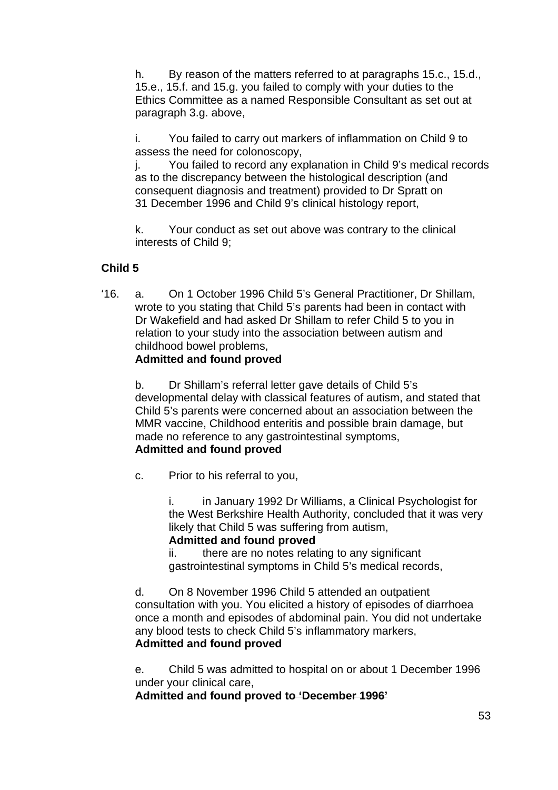h. By reason of the matters referred to at paragraphs 15.c., 15.d., 15.e., 15.f. and 15.g. you failed to comply with your duties to the Ethics Committee as a named Responsible Consultant as set out at paragraph 3.g. above,

i. You failed to carry out markers of inflammation on Child 9 to assess the need for colonoscopy,

j. You failed to record any explanation in Child 9's medical records as to the discrepancy between the histological description (and consequent diagnosis and treatment) provided to Dr Spratt on 31 December 1996 and Child 9's clinical histology report,

k. Your conduct as set out above was contrary to the clinical interests of Child 9;

# **Child 5**

'16. a. On 1 October 1996 Child 5's General Practitioner, Dr Shillam, wrote to you stating that Child 5's parents had been in contact with Dr Wakefield and had asked Dr Shillam to refer Child 5 to you in relation to your study into the association between autism and childhood bowel problems,

## **Admitted and found proved**

b. Dr Shillam's referral letter gave details of Child 5's developmental delay with classical features of autism, and stated that Child 5's parents were concerned about an association between the MMR vaccine, Childhood enteritis and possible brain damage, but made no reference to any gastrointestinal symptoms, **Admitted and found proved** 

c. Prior to his referral to you,

i. in January 1992 Dr Williams, a Clinical Psychologist for the West Berkshire Health Authority, concluded that it was very likely that Child 5 was suffering from autism, **Admitted and found proved**

ii. there are no notes relating to any significant gastrointestinal symptoms in Child 5's medical records,

d. On 8 November 1996 Child 5 attended an outpatient consultation with you. You elicited a history of episodes of diarrhoea once a month and episodes of abdominal pain. You did not undertake any blood tests to check Child 5's inflammatory markers,

# **Admitted and found proved**

e. Child 5 was admitted to hospital on or about 1 December 1996 under your clinical care,

**Admitted and found proved to 'December 1996'**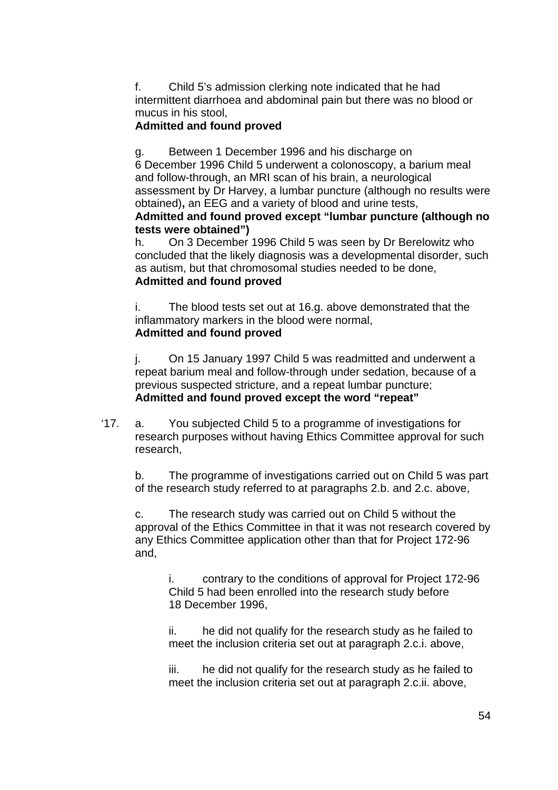f. Child 5's admission clerking note indicated that he had intermittent diarrhoea and abdominal pain but there was no blood or mucus in his stool,

## **Admitted and found proved**

g. Between 1 December 1996 and his discharge on

6 December 1996 Child 5 underwent a colonoscopy, a barium meal and follow-through, an MRI scan of his brain, a neurological assessment by Dr Harvey, a lumbar puncture (although no results were obtained)**,** an EEG and a variety of blood and urine tests,

#### **Admitted and found proved except "lumbar puncture (although no tests were obtained")**

h. On 3 December 1996 Child 5 was seen by Dr Berelowitz who concluded that the likely diagnosis was a developmental disorder, such as autism, but that chromosomal studies needed to be done, **Admitted and found proved**

i. The blood tests set out at 16.g. above demonstrated that the inflammatory markers in the blood were normal, **Admitted and found proved**

j. On 15 January 1997 Child 5 was readmitted and underwent a repeat barium meal and follow-through under sedation, because of a previous suspected stricture, and a repeat lumbar puncture; **Admitted and found proved except the word "repeat"** 

'17. a. You subjected Child 5 to a programme of investigations for research purposes without having Ethics Committee approval for such research,

b. The programme of investigations carried out on Child 5 was part of the research study referred to at paragraphs 2.b. and 2.c. above,

c. The research study was carried out on Child 5 without the approval of the Ethics Committee in that it was not research covered by any Ethics Committee application other than that for Project 172-96 and,

i. contrary to the conditions of approval for Project 172-96 Child 5 had been enrolled into the research study before 18 December 1996,

ii. he did not qualify for the research study as he failed to meet the inclusion criteria set out at paragraph 2.c.i. above,

iii. he did not qualify for the research study as he failed to meet the inclusion criteria set out at paragraph 2.c.ii. above,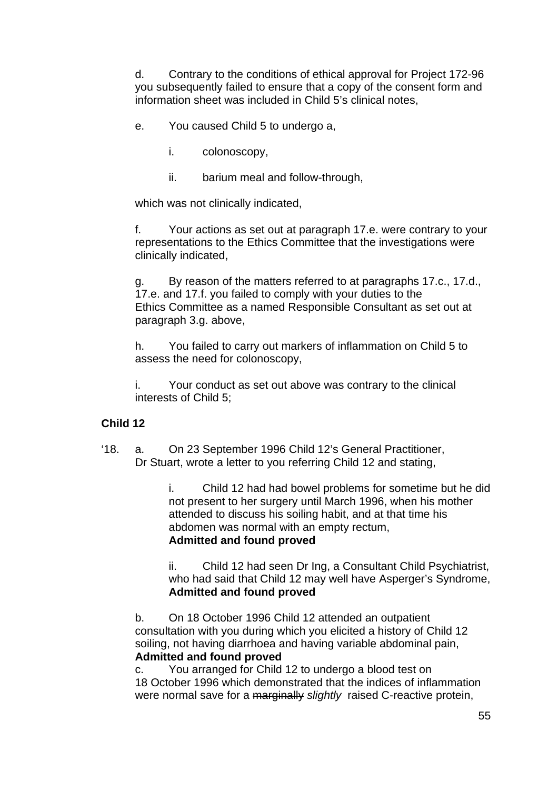d. Contrary to the conditions of ethical approval for Project 172-96 you subsequently failed to ensure that a copy of the consent form and information sheet was included in Child 5's clinical notes,

- e. You caused Child 5 to undergo a,
	- i. colonoscopy,
	- ii. barium meal and follow-through,

which was not clinically indicated,

f. Your actions as set out at paragraph 17.e. were contrary to your representations to the Ethics Committee that the investigations were clinically indicated,

g. By reason of the matters referred to at paragraphs 17.c., 17.d., 17.e. and 17.f. you failed to comply with your duties to the Ethics Committee as a named Responsible Consultant as set out at paragraph 3.g. above,

h. You failed to carry out markers of inflammation on Child 5 to assess the need for colonoscopy,

i. Your conduct as set out above was contrary to the clinical interests of Child 5;

# **Child 12**

'18. a. On 23 September 1996 Child 12's General Practitioner, Dr Stuart, wrote a letter to you referring Child 12 and stating,

> i. Child 12 had had bowel problems for sometime but he did not present to her surgery until March 1996, when his mother attended to discuss his soiling habit, and at that time his abdomen was normal with an empty rectum, **Admitted and found proved**

> ii. Child 12 had seen Dr Ing, a Consultant Child Psychiatrist, who had said that Child 12 may well have Asperger's Syndrome, **Admitted and found proved**

b. On 18 October 1996 Child 12 attended an outpatient consultation with you during which you elicited a history of Child 12 soiling, not having diarrhoea and having variable abdominal pain, **Admitted and found proved**

c. You arranged for Child 12 to undergo a blood test on 18 October 1996 which demonstrated that the indices of inflammation were normal save for a marginally *slightly* raised C-reactive protein,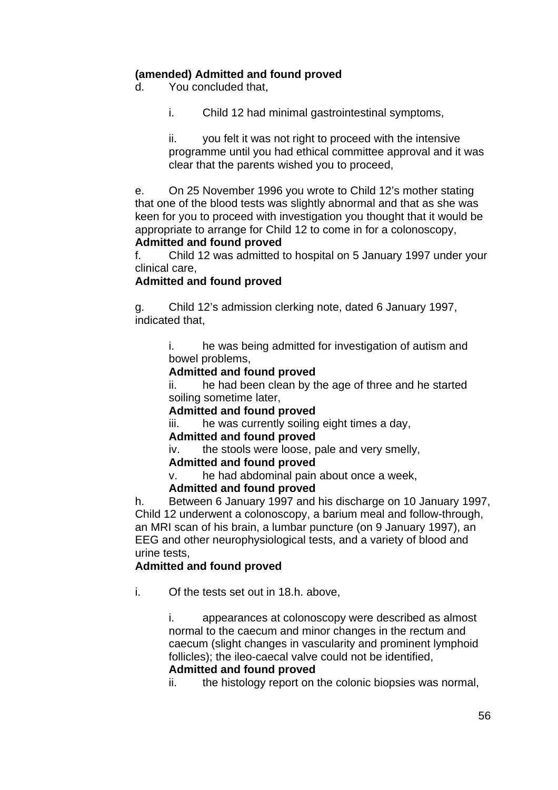# **(amended) Admitted and found proved**

d. You concluded that,

i. Child 12 had minimal gastrointestinal symptoms,

ii. you felt it was not right to proceed with the intensive programme until you had ethical committee approval and it was clear that the parents wished you to proceed,

e. On 25 November 1996 you wrote to Child 12's mother stating that one of the blood tests was slightly abnormal and that as she was keen for you to proceed with investigation you thought that it would be appropriate to arrange for Child 12 to come in for a colonoscopy, **Admitted and found proved**

#### f. Child 12 was admitted to hospital on 5 January 1997 under your clinical care,

#### **Admitted and found proved**

g. Child 12's admission clerking note, dated 6 January 1997, indicated that,

> i. he was being admitted for investigation of autism and bowel problems,

#### **Admitted and found proved**

ii. he had been clean by the age of three and he started soiling sometime later,

#### **Admitted and found proved**

iii. he was currently soiling eight times a day,

#### **Admitted and found proved**

iv. the stools were loose, pale and very smelly,

#### **Admitted and found proved**

v. he had abdominal pain about once a week,

#### **Admitted and found proved**

h. Between 6 January 1997 and his discharge on 10 January 1997, Child 12 underwent a colonoscopy, a barium meal and follow-through, an MRI scan of his brain, a lumbar puncture (on 9 January 1997), an EEG and other neurophysiological tests, and a variety of blood and urine tests,

#### **Admitted and found proved**

i. Of the tests set out in 18.h. above,

i. appearances at colonoscopy were described as almost normal to the caecum and minor changes in the rectum and caecum (slight changes in vascularity and prominent lymphoid follicles); the ileo-caecal valve could not be identified, **Admitted and found proved**

ii. the histology report on the colonic biopsies was normal,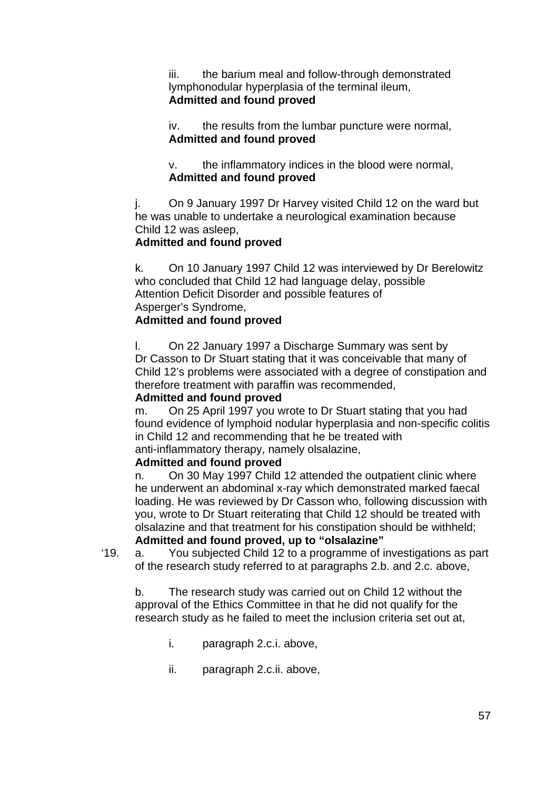iii. the barium meal and follow-through demonstrated lymphonodular hyperplasia of the terminal ileum, **Admitted and found proved**

iv. the results from the lumbar puncture were normal, **Admitted and found proved**

v. the inflammatory indices in the blood were normal, **Admitted and found proved**

j. On 9 January 1997 Dr Harvey visited Child 12 on the ward but he was unable to undertake a neurological examination because Child 12 was asleep,

## **Admitted and found proved**

k. On 10 January 1997 Child 12 was interviewed by Dr Berelowitz who concluded that Child 12 had language delay, possible Attention Deficit Disorder and possible features of Asperger's Syndrome,

## **Admitted and found proved**

l. On 22 January 1997 a Discharge Summary was sent by Dr Casson to Dr Stuart stating that it was conceivable that many of Child 12's problems were associated with a degree of constipation and therefore treatment with paraffin was recommended,

#### **Admitted and found proved**

m. On 25 April 1997 you wrote to Dr Stuart stating that you had found evidence of lymphoid nodular hyperplasia and non-specific colitis in Child 12 and recommending that he be treated with anti-inflammatory therapy, namely olsalazine,

#### **Admitted and found proved**

n. On 30 May 1997 Child 12 attended the outpatient clinic where he underwent an abdominal x-ray which demonstrated marked faecal loading. He was reviewed by Dr Casson who, following discussion with you, wrote to Dr Stuart reiterating that Child 12 should be treated with olsalazine and that treatment for his constipation should be withheld; **Admitted and found proved, up to "olsalazine"**

'19. a. You subjected Child 12 to a programme of investigations as part of the research study referred to at paragraphs 2.b. and 2.c. above,

b. The research study was carried out on Child 12 without the approval of the Ethics Committee in that he did not qualify for the research study as he failed to meet the inclusion criteria set out at,

- i. paragraph 2.c.i. above,
- ii. paragraph 2.c.ii. above,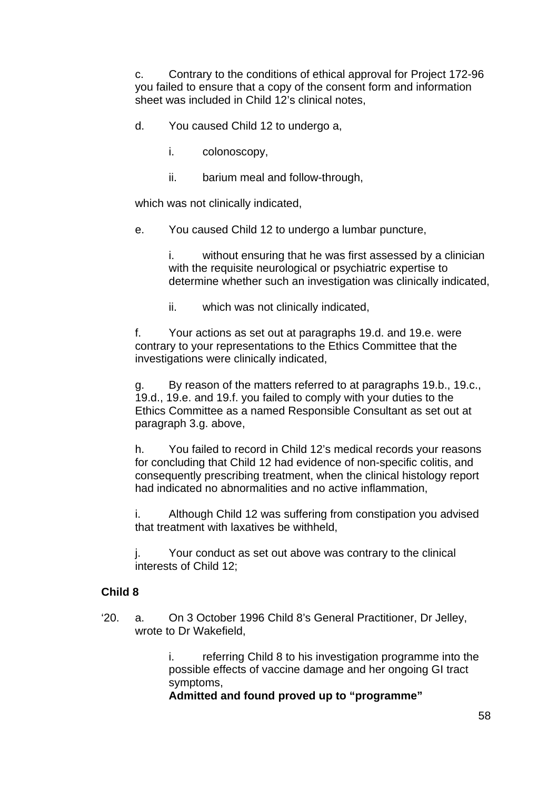c. Contrary to the conditions of ethical approval for Project 172-96 you failed to ensure that a copy of the consent form and information sheet was included in Child 12's clinical notes,

- d. You caused Child 12 to undergo a,
	- i. colonoscopy,
	- ii. barium meal and follow-through,

which was not clinically indicated,

e. You caused Child 12 to undergo a lumbar puncture,

i. without ensuring that he was first assessed by a clinician with the requisite neurological or psychiatric expertise to determine whether such an investigation was clinically indicated,

ii. which was not clinically indicated,

f. Your actions as set out at paragraphs 19.d. and 19.e. were contrary to your representations to the Ethics Committee that the investigations were clinically indicated,

g. By reason of the matters referred to at paragraphs 19.b., 19.c., 19.d., 19.e. and 19.f. you failed to comply with your duties to the Ethics Committee as a named Responsible Consultant as set out at paragraph 3.g. above,

h. You failed to record in Child 12's medical records your reasons for concluding that Child 12 had evidence of non-specific colitis, and consequently prescribing treatment, when the clinical histology report had indicated no abnormalities and no active inflammation,

i. Although Child 12 was suffering from constipation you advised that treatment with laxatives be withheld,

j. Your conduct as set out above was contrary to the clinical interests of Child 12;

#### **Child 8**

'20. a. On 3 October 1996 Child 8's General Practitioner, Dr Jelley, wrote to Dr Wakefield,

> i. referring Child 8 to his investigation programme into the possible effects of vaccine damage and her ongoing GI tract symptoms,

**Admitted and found proved up to "programme"**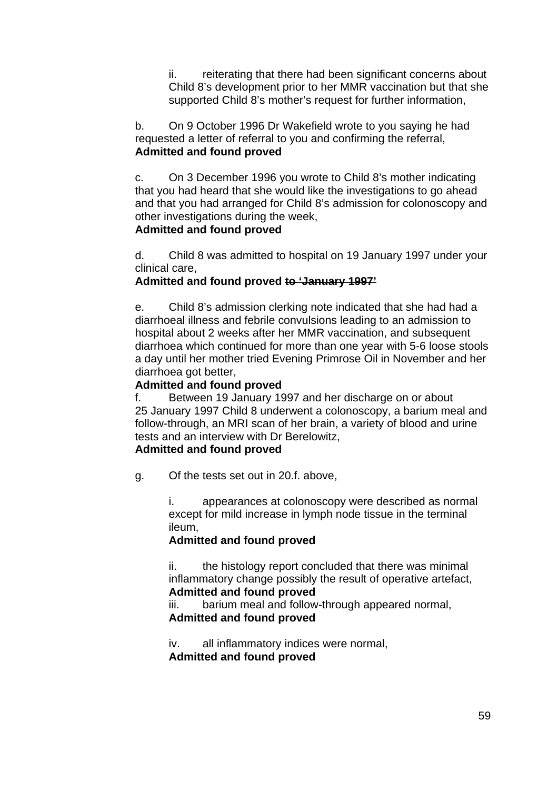ii. reiterating that there had been significant concerns about Child 8's development prior to her MMR vaccination but that she supported Child 8's mother's request for further information,

b. On 9 October 1996 Dr Wakefield wrote to you saying he had requested a letter of referral to you and confirming the referral, **Admitted and found proved**

c. On 3 December 1996 you wrote to Child 8's mother indicating that you had heard that she would like the investigations to go ahead and that you had arranged for Child 8's admission for colonoscopy and other investigations during the week,

#### **Admitted and found proved**

d. Child 8 was admitted to hospital on 19 January 1997 under your clinical care,

#### **Admitted and found proved to 'January 1997'**

e. Child 8's admission clerking note indicated that she had had a diarrhoeal illness and febrile convulsions leading to an admission to hospital about 2 weeks after her MMR vaccination, and subsequent diarrhoea which continued for more than one year with 5-6 loose stools a day until her mother tried Evening Primrose Oil in November and her diarrhoea got better,

#### **Admitted and found proved**

f. Between 19 January 1997 and her discharge on or about 25 January 1997 Child 8 underwent a colonoscopy, a barium meal and follow-through, an MRI scan of her brain, a variety of blood and urine tests and an interview with Dr Berelowitz,

## **Admitted and found proved**

g. Of the tests set out in 20.f. above,

i. appearances at colonoscopy were described as normal except for mild increase in lymph node tissue in the terminal ileum,

#### **Admitted and found proved**

ii. the histology report concluded that there was minimal inflammatory change possibly the result of operative artefact, **Admitted and found proved**

iii. barium meal and follow-through appeared normal, **Admitted and found proved**

iv. all inflammatory indices were normal, **Admitted and found proved**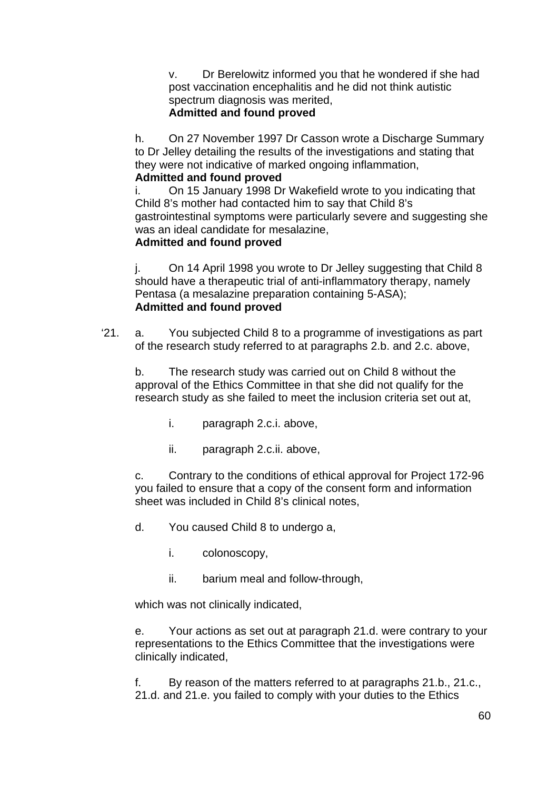v. Dr Berelowitz informed you that he wondered if she had post vaccination encephalitis and he did not think autistic spectrum diagnosis was merited, **Admitted and found proved**

h. On 27 November 1997 Dr Casson wrote a Discharge Summary to Dr Jelley detailing the results of the investigations and stating that they were not indicative of marked ongoing inflammation,

# **Admitted and found proved**

i. On 15 January 1998 Dr Wakefield wrote to you indicating that Child 8's mother had contacted him to say that Child 8's gastrointestinal symptoms were particularly severe and suggesting she was an ideal candidate for mesalazine,

# **Admitted and found proved**

j. On 14 April 1998 you wrote to Dr Jelley suggesting that Child 8 should have a therapeutic trial of anti-inflammatory therapy, namely Pentasa (a mesalazine preparation containing 5-ASA); **Admitted and found proved**

'21. a. You subjected Child 8 to a programme of investigations as part of the research study referred to at paragraphs 2.b. and 2.c. above,

b. The research study was carried out on Child 8 without the approval of the Ethics Committee in that she did not qualify for the research study as she failed to meet the inclusion criteria set out at,

- i. paragraph 2.c.i. above,
- ii. paragraph 2.c.ii. above,

c. Contrary to the conditions of ethical approval for Project 172-96 you failed to ensure that a copy of the consent form and information sheet was included in Child 8's clinical notes,

- d. You caused Child 8 to undergo a,
	- i. colonoscopy,
	- ii. barium meal and follow-through,

which was not clinically indicated,

e. Your actions as set out at paragraph 21.d. were contrary to your representations to the Ethics Committee that the investigations were clinically indicated,

f. By reason of the matters referred to at paragraphs 21.b., 21.c., 21.d. and 21.e. you failed to comply with your duties to the Ethics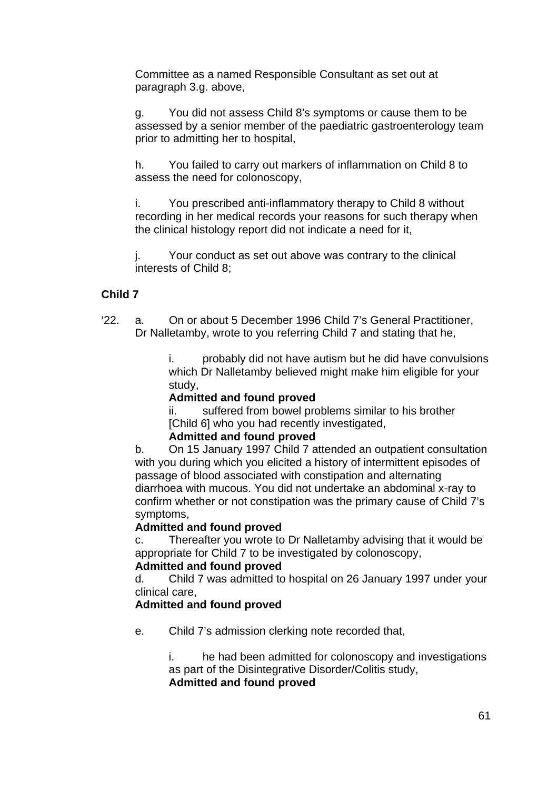Committee as a named Responsible Consultant as set out at paragraph 3.g. above,

g. You did not assess Child 8's symptoms or cause them to be assessed by a senior member of the paediatric gastroenterology team prior to admitting her to hospital,

h. You failed to carry out markers of inflammation on Child 8 to assess the need for colonoscopy,

i. You prescribed anti-inflammatory therapy to Child 8 without recording in her medical records your reasons for such therapy when the clinical histology report did not indicate a need for it,

j. Your conduct as set out above was contrary to the clinical interests of Child 8;

# **Child 7**

'22. a. On or about 5 December 1996 Child 7's General Practitioner, Dr Nalletamby, wrote to you referring Child 7 and stating that he,

> i. probably did not have autism but he did have convulsions which Dr Nalletamby believed might make him eligible for your study,

#### **Admitted and found proved**

ii. suffered from bowel problems similar to his brother [Child 6] who you had recently investigated,

#### **Admitted and found proved**

b. On 15 January 1997 Child 7 attended an outpatient consultation with you during which you elicited a history of intermittent episodes of passage of blood associated with constipation and alternating diarrhoea with mucous. You did not undertake an abdominal x-ray to confirm whether or not constipation was the primary cause of Child 7's symptoms,

#### **Admitted and found proved**

c. Thereafter you wrote to Dr Nalletamby advising that it would be appropriate for Child 7 to be investigated by colonoscopy,

#### **Admitted and found proved**

d. Child 7 was admitted to hospital on 26 January 1997 under your clinical care,

## **Admitted and found proved**

e. Child 7's admission clerking note recorded that,

i. he had been admitted for colonoscopy and investigations as part of the Disintegrative Disorder/Colitis study, **Admitted and found proved**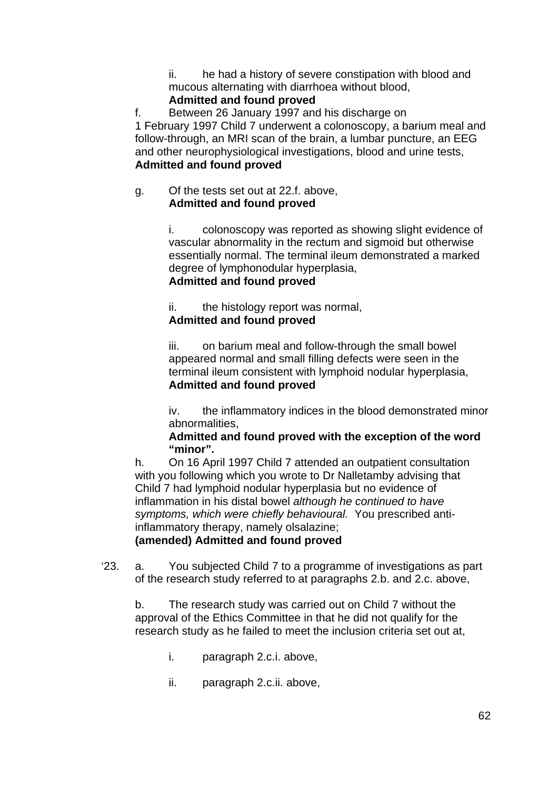ii. he had a history of severe constipation with blood and mucous alternating with diarrhoea without blood,

# **Admitted and found proved**

f. Between 26 January 1997 and his discharge on 1 February 1997 Child 7 underwent a colonoscopy, a barium meal and follow-through, an MRI scan of the brain, a lumbar puncture, an EEG and other neurophysiological investigations, blood and urine tests, **Admitted and found proved**

#### g. Of the tests set out at 22.f. above, **Admitted and found proved**

i. colonoscopy was reported as showing slight evidence of vascular abnormality in the rectum and sigmoid but otherwise essentially normal. The terminal ileum demonstrated a marked degree of lymphonodular hyperplasia, **Admitted and found proved**

ii. the histology report was normal, **Admitted and found proved**

iii. on barium meal and follow-through the small bowel appeared normal and small filling defects were seen in the terminal ileum consistent with lymphoid nodular hyperplasia, **Admitted and found proved**

iv. the inflammatory indices in the blood demonstrated minor abnormalities,

# **Admitted and found proved with the exception of the word "minor".**

h. On 16 April 1997 Child 7 attended an outpatient consultation with you following which you wrote to Dr Nalletamby advising that Child 7 had lymphoid nodular hyperplasia but no evidence of inflammation in his distal bowel *although he continued to have symptoms, which were chiefly behavioural.* You prescribed antiinflammatory therapy, namely olsalazine;

# **(amended) Admitted and found proved**

'23. a. You subjected Child 7 to a programme of investigations as part of the research study referred to at paragraphs 2.b. and 2.c. above,

b. The research study was carried out on Child 7 without the approval of the Ethics Committee in that he did not qualify for the research study as he failed to meet the inclusion criteria set out at,

- i. paragraph 2.c.i. above,
- ii. paragraph 2.c.ii. above,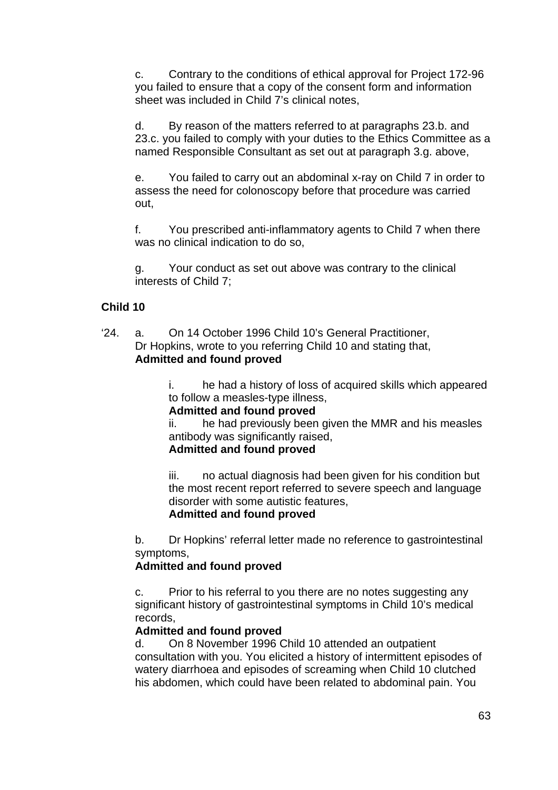c. Contrary to the conditions of ethical approval for Project 172-96 you failed to ensure that a copy of the consent form and information sheet was included in Child 7's clinical notes,

d. By reason of the matters referred to at paragraphs 23.b. and 23.c. you failed to comply with your duties to the Ethics Committee as a named Responsible Consultant as set out at paragraph 3.g. above,

e. You failed to carry out an abdominal x-ray on Child 7 in order to assess the need for colonoscopy before that procedure was carried out,

f. You prescribed anti-inflammatory agents to Child 7 when there was no clinical indication to do so,

g. Your conduct as set out above was contrary to the clinical interests of Child 7;

## **Child 10**

'24. a. On 14 October 1996 Child 10's General Practitioner, Dr Hopkins, wrote to you referring Child 10 and stating that, **Admitted and found proved**

> i. he had a history of loss of acquired skills which appeared to follow a measles-type illness,

#### **Admitted and found proved**

ii. he had previously been given the MMR and his measles antibody was significantly raised,

# **Admitted and found proved**

iii. no actual diagnosis had been given for his condition but the most recent report referred to severe speech and language disorder with some autistic features,

#### **Admitted and found proved**

b. Dr Hopkins' referral letter made no reference to gastrointestinal symptoms,

#### **Admitted and found proved**

c. Prior to his referral to you there are no notes suggesting any significant history of gastrointestinal symptoms in Child 10's medical records,

#### **Admitted and found proved**

d. On 8 November 1996 Child 10 attended an outpatient consultation with you. You elicited a history of intermittent episodes of watery diarrhoea and episodes of screaming when Child 10 clutched his abdomen, which could have been related to abdominal pain. You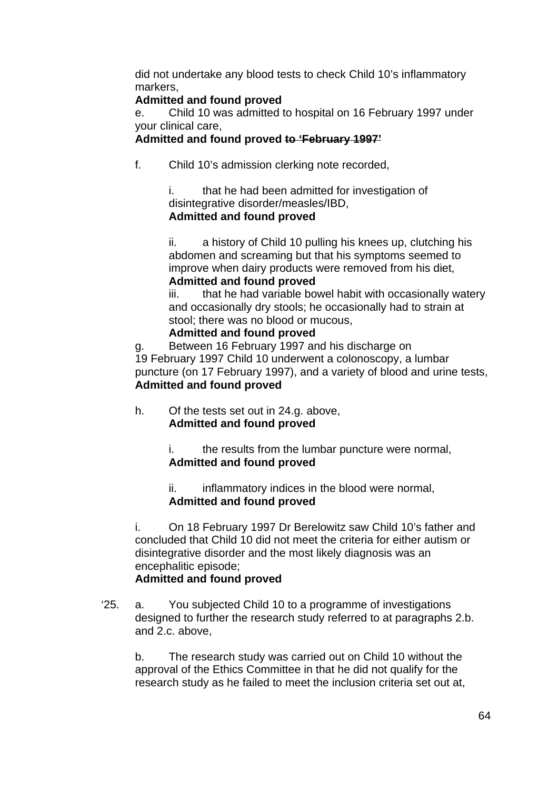did not undertake any blood tests to check Child 10's inflammatory markers,

# **Admitted and found proved**

e. Child 10 was admitted to hospital on 16 February 1997 under your clinical care,

## **Admitted and found proved to 'February 1997'**

f. Child 10's admission clerking note recorded,

i. that he had been admitted for investigation of disintegrative disorder/measles/IBD, **Admitted and found proved**

ii. a history of Child 10 pulling his knees up, clutching his abdomen and screaming but that his symptoms seemed to improve when dairy products were removed from his diet, **Admitted and found proved**

iii. that he had variable bowel habit with occasionally watery and occasionally dry stools; he occasionally had to strain at stool; there was no blood or mucous,

## **Admitted and found proved**

g. Between 16 February 1997 and his discharge on 19 February 1997 Child 10 underwent a colonoscopy, a lumbar puncture (on 17 February 1997), and a variety of blood and urine tests, **Admitted and found proved**

h. Of the tests set out in 24.g. above, **Admitted and found proved**

> i. the results from the lumbar puncture were normal, **Admitted and found proved**

ii. inflammatory indices in the blood were normal, **Admitted and found proved**

i. On 18 February 1997 Dr Berelowitz saw Child 10's father and concluded that Child 10 did not meet the criteria for either autism or disintegrative disorder and the most likely diagnosis was an encephalitic episode;

# **Admitted and found proved**

'25. a. You subjected Child 10 to a programme of investigations designed to further the research study referred to at paragraphs 2.b. and 2.c. above,

b. The research study was carried out on Child 10 without the approval of the Ethics Committee in that he did not qualify for the research study as he failed to meet the inclusion criteria set out at,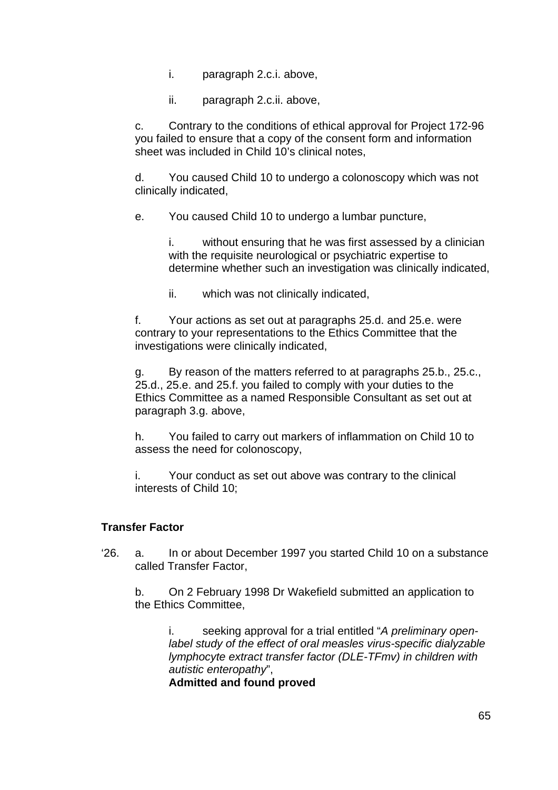- i. paragraph 2.c.i. above,
- ii. paragraph 2.c.ii. above,

c. Contrary to the conditions of ethical approval for Project 172-96 you failed to ensure that a copy of the consent form and information sheet was included in Child 10's clinical notes,

d. You caused Child 10 to undergo a colonoscopy which was not clinically indicated,

e. You caused Child 10 to undergo a lumbar puncture,

i. without ensuring that he was first assessed by a clinician with the requisite neurological or psychiatric expertise to determine whether such an investigation was clinically indicated,

ii. which was not clinically indicated,

f. Your actions as set out at paragraphs 25.d. and 25.e. were contrary to your representations to the Ethics Committee that the investigations were clinically indicated,

g. By reason of the matters referred to at paragraphs 25.b., 25.c., 25.d., 25.e. and 25.f. you failed to comply with your duties to the Ethics Committee as a named Responsible Consultant as set out at paragraph 3.g. above,

h. You failed to carry out markers of inflammation on Child 10 to assess the need for colonoscopy,

i. Your conduct as set out above was contrary to the clinical interests of Child 10;

#### **Transfer Factor**

'26. a. In or about December 1997 you started Child 10 on a substance called Transfer Factor,

b. On 2 February 1998 Dr Wakefield submitted an application to the Ethics Committee,

i. seeking approval for a trial entitled "*A preliminary openlabel study of the effect of oral measles virus-specific dialyzable lymphocyte extract transfer factor (DLE-TFmv) in children with autistic enteropathy*",

**Admitted and found proved**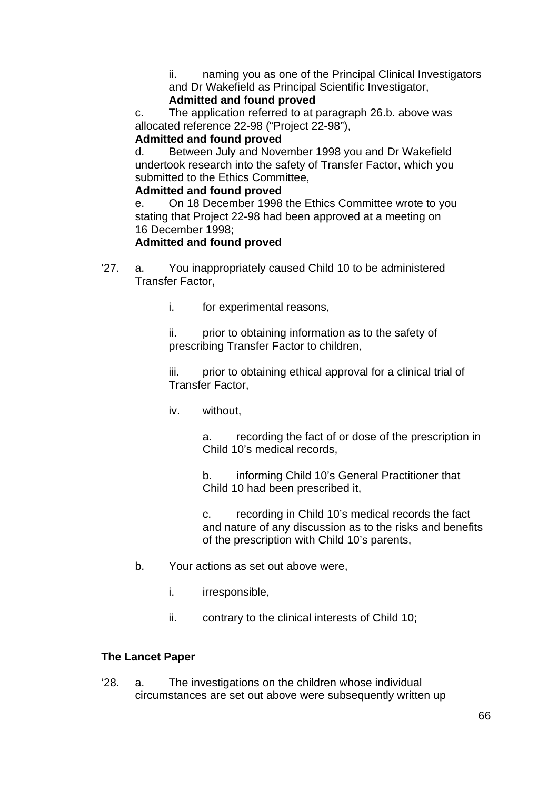ii. naming you as one of the Principal Clinical Investigators and Dr Wakefield as Principal Scientific Investigator,

# **Admitted and found proved**

c. The application referred to at paragraph 26.b. above was allocated reference 22-98 ("Project 22-98"),

#### **Admitted and found proved**

d. Between July and November 1998 you and Dr Wakefield undertook research into the safety of Transfer Factor, which you submitted to the Ethics Committee,

## **Admitted and found proved**

e. On 18 December 1998 the Ethics Committee wrote to you stating that Project 22-98 had been approved at a meeting on 16 December 1998;

# **Admitted and found proved**

- '27. a. You inappropriately caused Child 10 to be administered Transfer Factor,
	- i. for experimental reasons,

ii. prior to obtaining information as to the safety of prescribing Transfer Factor to children,

iii. prior to obtaining ethical approval for a clinical trial of Transfer Factor,

iv. without,

a. recording the fact of or dose of the prescription in Child 10's medical records,

b. informing Child 10's General Practitioner that Child 10 had been prescribed it,

c. recording in Child 10's medical records the fact and nature of any discussion as to the risks and benefits of the prescription with Child 10's parents,

- b. Your actions as set out above were,
	- i. irresponsible,
	- ii. contrary to the clinical interests of Child 10;

# **The Lancet Paper**

'28. a. The investigations on the children whose individual circumstances are set out above were subsequently written up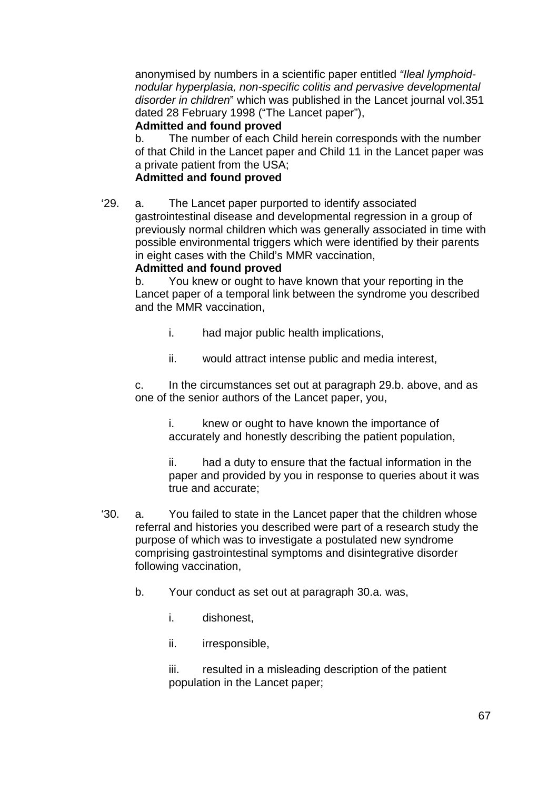anonymised by numbers in a scientific paper entitled *"Ileal lymphoidnodular hyperplasia, non-specific colitis and pervasive developmental disorder in children*" which was published in the Lancet journal vol.351 dated 28 February 1998 ("The Lancet paper"),

## **Admitted and found proved**

b. The number of each Child herein corresponds with the number of that Child in the Lancet paper and Child 11 in the Lancet paper was a private patient from the USA;

# **Admitted and found proved**

'29. a. The Lancet paper purported to identify associated gastrointestinal disease and developmental regression in a group of previously normal children which was generally associated in time with possible environmental triggers which were identified by their parents in eight cases with the Child's MMR vaccination,

## **Admitted and found proved**

b. You knew or ought to have known that your reporting in the Lancet paper of a temporal link between the syndrome you described and the MMR vaccination,

- i. had major public health implications,
- ii. would attract intense public and media interest,

c. In the circumstances set out at paragraph 29.b. above, and as one of the senior authors of the Lancet paper, you,

i. knew or ought to have known the importance of accurately and honestly describing the patient population,

ii. had a duty to ensure that the factual information in the paper and provided by you in response to queries about it was true and accurate;

- '30. a. You failed to state in the Lancet paper that the children whose referral and histories you described were part of a research study the purpose of which was to investigate a postulated new syndrome comprising gastrointestinal symptoms and disintegrative disorder following vaccination,
	- b. Your conduct as set out at paragraph 30.a. was,
		- i. dishonest,
		- ii. irresponsible,

iii. resulted in a misleading description of the patient population in the Lancet paper;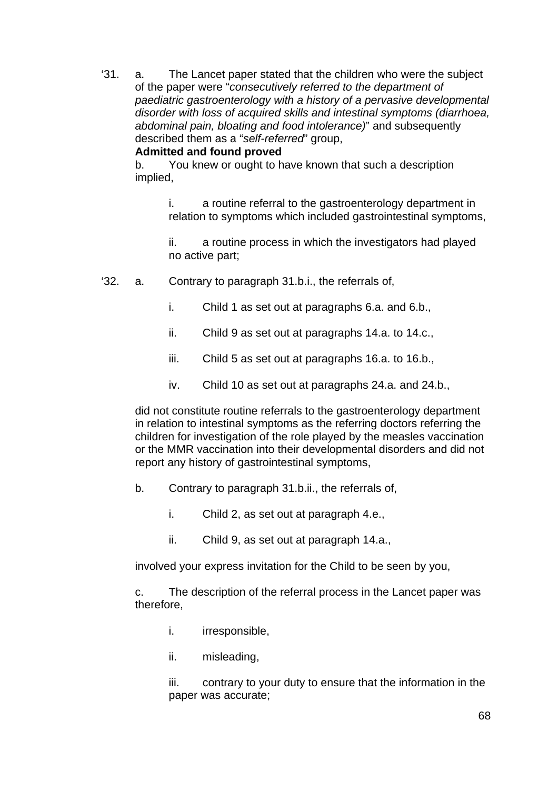'31. a. The Lancet paper stated that the children who were the subject of the paper were "*consecutively referred to the department of paediatric gastroenterology with a history of a pervasive developmental disorder with loss of acquired skills and intestinal symptoms (diarrhoea, abdominal pain, bloating and food intolerance)*" and subsequently described them as a "*self-referred*" group,

#### **Admitted and found proved**

b. You knew or ought to have known that such a description implied,

> i. a routine referral to the gastroenterology department in relation to symptoms which included gastrointestinal symptoms,

ii. a routine process in which the investigators had played no active part;

- '32. a. Contrary to paragraph 31.b.i., the referrals of,
	- i. Child 1 as set out at paragraphs 6.a. and 6.b.,
	- ii. Child 9 as set out at paragraphs 14.a. to 14.c.,
	- iii. Child 5 as set out at paragraphs 16.a. to 16.b.,
	- iv. Child 10 as set out at paragraphs 24.a. and 24.b.,

did not constitute routine referrals to the gastroenterology department in relation to intestinal symptoms as the referring doctors referring the children for investigation of the role played by the measles vaccination or the MMR vaccination into their developmental disorders and did not report any history of gastrointestinal symptoms,

- b. Contrary to paragraph 31.b.ii., the referrals of,
	- i. Child 2, as set out at paragraph 4.e.,
	- ii. Child 9, as set out at paragraph 14.a.,

involved your express invitation for the Child to be seen by you,

c. The description of the referral process in the Lancet paper was therefore,

- i. irresponsible,
- ii. misleading,

iii. contrary to your duty to ensure that the information in the paper was accurate;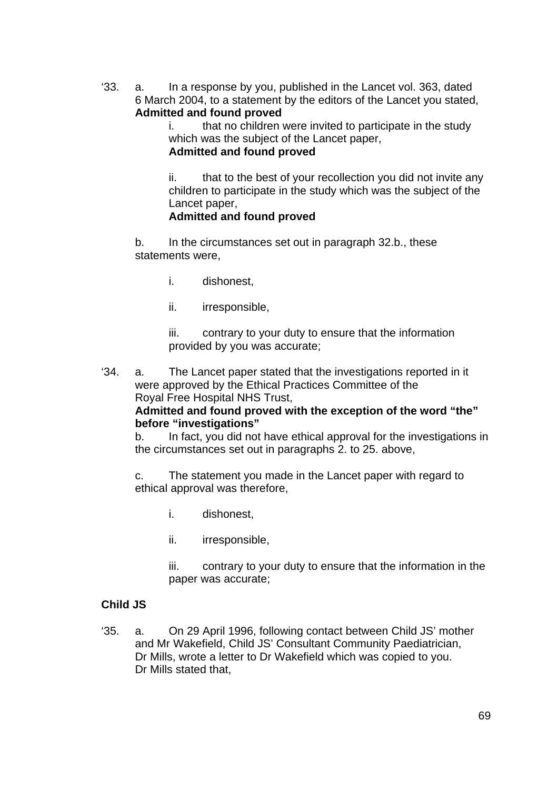'33. a. In a response by you, published in the Lancet vol. 363, dated 6 March 2004, to a statement by the editors of the Lancet you stated, **Admitted and found proved**

> i. that no children were invited to participate in the study which was the subject of the Lancet paper,

**Admitted and found proved**

ii. that to the best of your recollection you did not invite any children to participate in the study which was the subject of the Lancet paper,

## **Admitted and found proved**

b. In the circumstances set out in paragraph 32.b., these statements were,

- i. dishonest,
- ii. irresponsible,

iii. contrary to your duty to ensure that the information provided by you was accurate;

'34. a. The Lancet paper stated that the investigations reported in it were approved by the Ethical Practices Committee of the Royal Free Hospital NHS Trust,

## **Admitted and found proved with the exception of the word "the" before "investigations"**

b. In fact, you did not have ethical approval for the investigations in the circumstances set out in paragraphs 2. to 25. above,

c. The statement you made in the Lancet paper with regard to ethical approval was therefore,

- i. dishonest,
- ii. irresponsible,

iii. contrary to your duty to ensure that the information in the paper was accurate;

#### **Child JS**

'35. a. On 29 April 1996, following contact between Child JS' mother and Mr Wakefield, Child JS' Consultant Community Paediatrician, Dr Mills, wrote a letter to Dr Wakefield which was copied to you. Dr Mills stated that,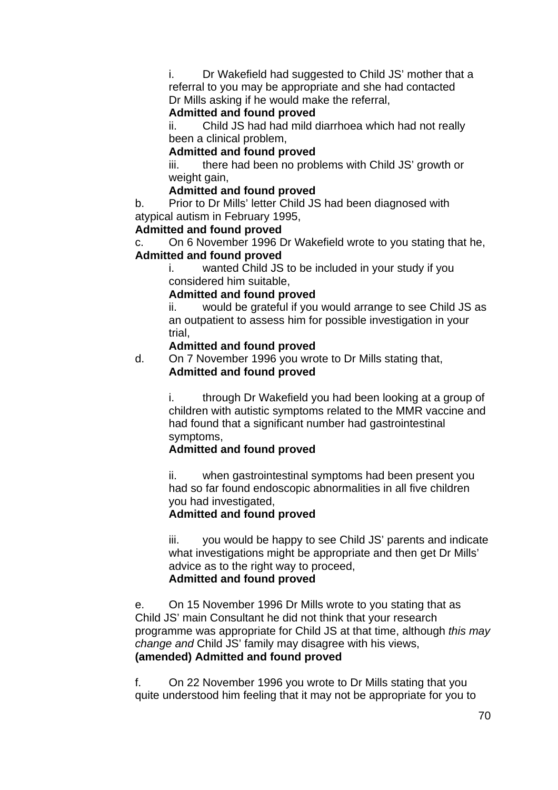i. Dr Wakefield had suggested to Child JS' mother that a referral to you may be appropriate and she had contacted Dr Mills asking if he would make the referral,

#### **Admitted and found proved**

ii. Child JS had had mild diarrhoea which had not really been a clinical problem,

## **Admitted and found proved**

iii. there had been no problems with Child JS' growth or weight gain,

#### **Admitted and found proved**

b. Prior to Dr Mills' letter Child JS had been diagnosed with atypical autism in February 1995,

## **Admitted and found proved**

c. On 6 November 1996 Dr Wakefield wrote to you stating that he, **Admitted and found proved**

i. wanted Child JS to be included in your study if you considered him suitable,

#### **Admitted and found proved**

ii. would be grateful if you would arrange to see Child JS as an outpatient to assess him for possible investigation in your trial,

#### **Admitted and found proved**

d. On 7 November 1996 you wrote to Dr Mills stating that, **Admitted and found proved**

> i. through Dr Wakefield you had been looking at a group of children with autistic symptoms related to the MMR vaccine and had found that a significant number had gastrointestinal symptoms,

# **Admitted and found proved**

ii. when gastrointestinal symptoms had been present you had so far found endoscopic abnormalities in all five children you had investigated,

# **Admitted and found proved**

iii. you would be happy to see Child JS' parents and indicate what investigations might be appropriate and then get Dr Mills' advice as to the right way to proceed, **Admitted and found proved**

e. On 15 November 1996 Dr Mills wrote to you stating that as Child JS' main Consultant he did not think that your research programme was appropriate for Child JS at that time, although *this may change and* Child JS' family may disagree with his views, **(amended) Admitted and found proved** 

f. On 22 November 1996 you wrote to Dr Mills stating that you quite understood him feeling that it may not be appropriate for you to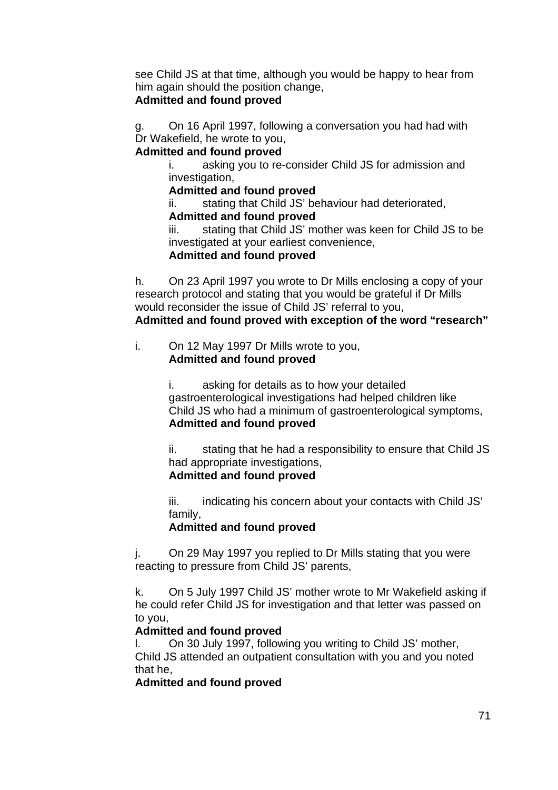see Child JS at that time, although you would be happy to hear from him again should the position change,

## **Admitted and found proved**

g. On 16 April 1997, following a conversation you had had with Dr Wakefield, he wrote to you,

## **Admitted and found proved**

i. asking you to re-consider Child JS for admission and investigation,

## **Admitted and found proved**

ii. stating that Child JS' behaviour had deteriorated, **Admitted and found proved**

iii. stating that Child JS' mother was keen for Child JS to be investigated at your earliest convenience,

## **Admitted and found proved**

h. On 23 April 1997 you wrote to Dr Mills enclosing a copy of your research protocol and stating that you would be grateful if Dr Mills would reconsider the issue of Child JS' referral to you,

**Admitted and found proved with exception of the word "research"** 

## i. On 12 May 1997 Dr Mills wrote to you, **Admitted and found proved**

i. asking for details as to how your detailed gastroenterological investigations had helped children like Child JS who had a minimum of gastroenterological symptoms, **Admitted and found proved**

ii. stating that he had a responsibility to ensure that Child JS had appropriate investigations, **Admitted and found proved**

iii. indicating his concern about your contacts with Child JS' family,

# **Admitted and found proved**

j. On 29 May 1997 you replied to Dr Mills stating that you were reacting to pressure from Child JS' parents,

k. On 5 July 1997 Child JS' mother wrote to Mr Wakefield asking if he could refer Child JS for investigation and that letter was passed on to you,

# **Admitted and found proved**

l. On 30 July 1997, following you writing to Child JS' mother, Child JS attended an outpatient consultation with you and you noted that he,

# **Admitted and found proved**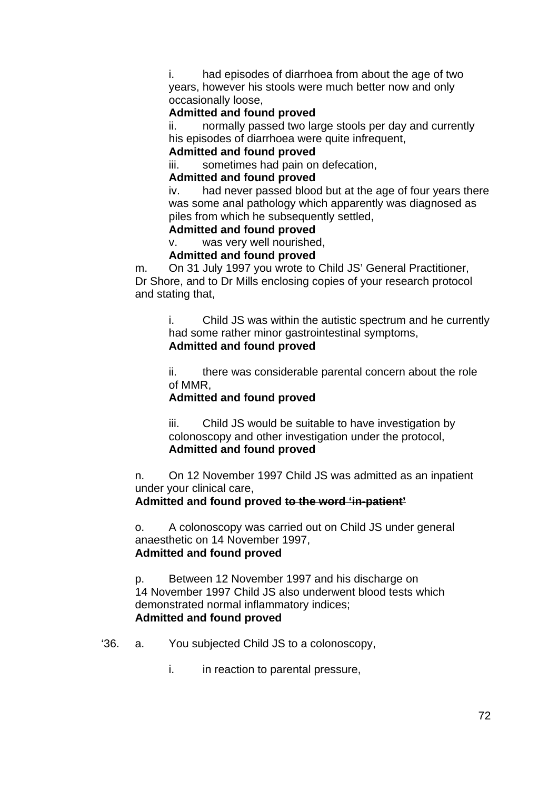i. had episodes of diarrhoea from about the age of two years, however his stools were much better now and only occasionally loose,

#### **Admitted and found proved**

ii. normally passed two large stools per day and currently his episodes of diarrhoea were quite infrequent,

#### **Admitted and found proved**

iii. sometimes had pain on defecation,

#### **Admitted and found proved**

iv. had never passed blood but at the age of four years there was some anal pathology which apparently was diagnosed as piles from which he subsequently settled,

#### **Admitted and found proved**

v. was very well nourished,

#### **Admitted and found proved**

m. On 31 July 1997 you wrote to Child JS' General Practitioner, Dr Shore, and to Dr Mills enclosing copies of your research protocol and stating that,

i. Child JS was within the autistic spectrum and he currently had some rather minor gastrointestinal symptoms, **Admitted and found proved** 

ii. there was considerable parental concern about the role of MMR,

#### **Admitted and found proved**

iii. Child JS would be suitable to have investigation by colonoscopy and other investigation under the protocol, **Admitted and found proved**

n. On 12 November 1997 Child JS was admitted as an inpatient under your clinical care,

**Admitted and found proved to the word 'in-patient'**

o. A colonoscopy was carried out on Child JS under general anaesthetic on 14 November 1997, **Admitted and found proved**

p. Between 12 November 1997 and his discharge on 14 November 1997 Child JS also underwent blood tests which demonstrated normal inflammatory indices; **Admitted and found proved**

#### '36. a. You subjected Child JS to a colonoscopy,

i. in reaction to parental pressure,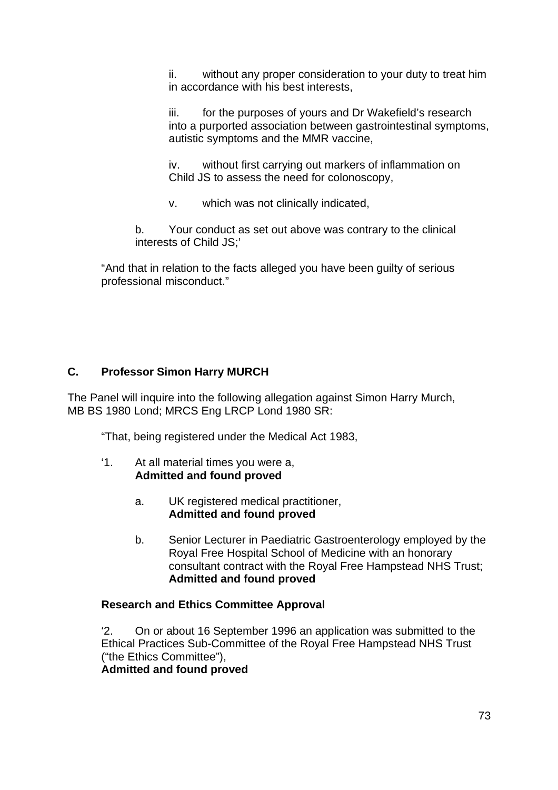ii. without any proper consideration to your duty to treat him in accordance with his best interests,

iii. for the purposes of yours and Dr Wakefield's research into a purported association between gastrointestinal symptoms, autistic symptoms and the MMR vaccine,

iv. without first carrying out markers of inflammation on Child JS to assess the need for colonoscopy,

v. which was not clinically indicated,

b. Your conduct as set out above was contrary to the clinical interests of Child JS;'

"And that in relation to the facts alleged you have been guilty of serious professional misconduct."

## **C. Professor Simon Harry MURCH**

The Panel will inquire into the following allegation against Simon Harry Murch, MB BS 1980 Lond; MRCS Eng LRCP Lond 1980 SR:

"That, being registered under the Medical Act 1983,

- '1. At all material times you were a, **Admitted and found proved**
	- a. UK registered medical practitioner, **Admitted and found proved**
	- b. Senior Lecturer in Paediatric Gastroenterology employed by the Royal Free Hospital School of Medicine with an honorary consultant contract with the Royal Free Hampstead NHS Trust; **Admitted and found proved**

## **Research and Ethics Committee Approval**

'2. On or about 16 September 1996 an application was submitted to the Ethical Practices Sub-Committee of the Royal Free Hampstead NHS Trust ("the Ethics Committee"),

**Admitted and found proved**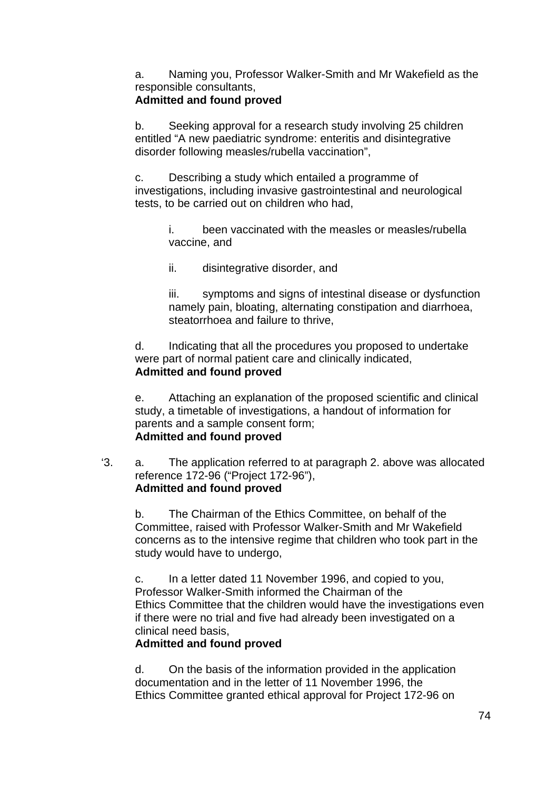a. Naming you, Professor Walker-Smith and Mr Wakefield as the responsible consultants,

## **Admitted and found proved**

b. Seeking approval for a research study involving 25 children entitled "A new paediatric syndrome: enteritis and disintegrative disorder following measles/rubella vaccination",

c. Describing a study which entailed a programme of investigations, including invasive gastrointestinal and neurological tests, to be carried out on children who had,

> i. been vaccinated with the measles or measles/rubella vaccine, and

ii. disintegrative disorder, and

iii. symptoms and signs of intestinal disease or dysfunction namely pain, bloating, alternating constipation and diarrhoea, steatorrhoea and failure to thrive,

d. Indicating that all the procedures you proposed to undertake were part of normal patient care and clinically indicated, **Admitted and found proved**

e. Attaching an explanation of the proposed scientific and clinical study, a timetable of investigations, a handout of information for parents and a sample consent form; **Admitted and found proved**

'3. a. The application referred to at paragraph 2. above was allocated reference 172-96 ("Project 172-96"), **Admitted and found proved**

b. The Chairman of the Ethics Committee, on behalf of the Committee, raised with Professor Walker-Smith and Mr Wakefield concerns as to the intensive regime that children who took part in the study would have to undergo,

c. In a letter dated 11 November 1996, and copied to you, Professor Walker-Smith informed the Chairman of the Ethics Committee that the children would have the investigations even if there were no trial and five had already been investigated on a clinical need basis,

## **Admitted and found proved**

d. On the basis of the information provided in the application documentation and in the letter of 11 November 1996, the Ethics Committee granted ethical approval for Project 172-96 on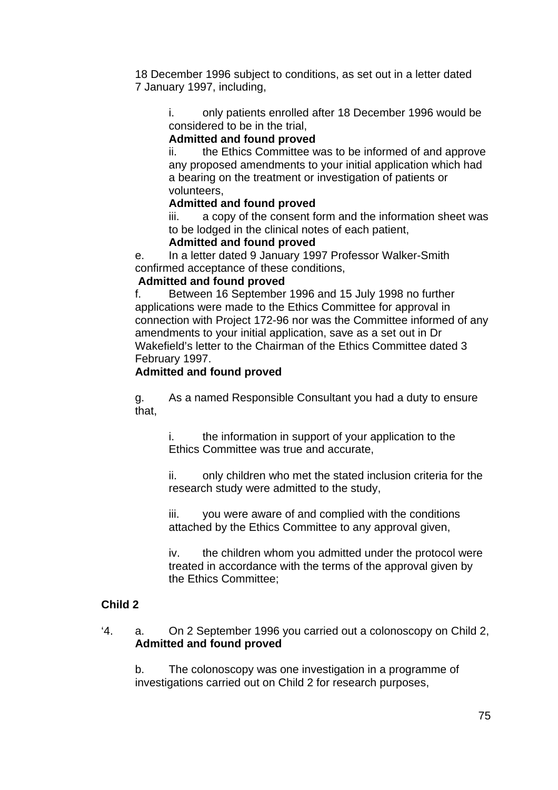18 December 1996 subject to conditions, as set out in a letter dated 7 January 1997, including,

i. only patients enrolled after 18 December 1996 would be considered to be in the trial,

### **Admitted and found proved**

ii. the Ethics Committee was to be informed of and approve any proposed amendments to your initial application which had a bearing on the treatment or investigation of patients or volunteers,

### **Admitted and found proved**

iii. a copy of the consent form and the information sheet was to be lodged in the clinical notes of each patient,

## **Admitted and found proved**

e. In a letter dated 9 January 1997 Professor Walker-Smith confirmed acceptance of these conditions,

#### **Admitted and found proved**

f. Between 16 September 1996 and 15 July 1998 no further applications were made to the Ethics Committee for approval in connection with Project 172-96 nor was the Committee informed of any amendments to your initial application, save as a set out in Dr Wakefield's letter to the Chairman of the Ethics Committee dated 3 February 1997.

#### **Admitted and found proved**

g. As a named Responsible Consultant you had a duty to ensure that,

i. the information in support of your application to the Ethics Committee was true and accurate,

ii. only children who met the stated inclusion criteria for the research study were admitted to the study,

iii. you were aware of and complied with the conditions attached by the Ethics Committee to any approval given,

iv. the children whom you admitted under the protocol were treated in accordance with the terms of the approval given by the Ethics Committee;

## **Child 2**

'4. a. On 2 September 1996 you carried out a colonoscopy on Child 2, **Admitted and found proved** 

b. The colonoscopy was one investigation in a programme of investigations carried out on Child 2 for research purposes,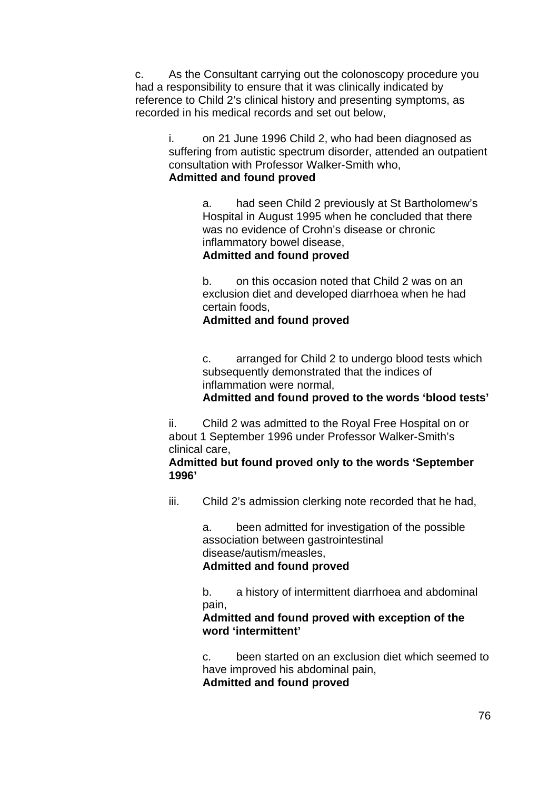c. As the Consultant carrying out the colonoscopy procedure you had a responsibility to ensure that it was clinically indicated by reference to Child 2's clinical history and presenting symptoms, as recorded in his medical records and set out below,

i. on 21 June 1996 Child 2, who had been diagnosed as suffering from autistic spectrum disorder, attended an outpatient consultation with Professor Walker-Smith who, **Admitted and found proved**

> a. had seen Child 2 previously at St Bartholomew's Hospital in August 1995 when he concluded that there was no evidence of Crohn's disease or chronic inflammatory bowel disease,

#### **Admitted and found proved**

b. on this occasion noted that Child 2 was on an exclusion diet and developed diarrhoea when he had certain foods,

#### **Admitted and found proved**

c. arranged for Child 2 to undergo blood tests which subsequently demonstrated that the indices of inflammation were normal,

**Admitted and found proved to the words 'blood tests'**

ii. Child 2 was admitted to the Royal Free Hospital on or about 1 September 1996 under Professor Walker-Smith's clinical care,

**Admitted but found proved only to the words 'September 1996'**

iii. Child 2's admission clerking note recorded that he had,

a. been admitted for investigation of the possible association between gastrointestinal disease/autism/measles, **Admitted and found proved**

b. a history of intermittent diarrhoea and abdominal pain,

#### **Admitted and found proved with exception of the word 'intermittent'**

c. been started on an exclusion diet which seemed to have improved his abdominal pain,

**Admitted and found proved**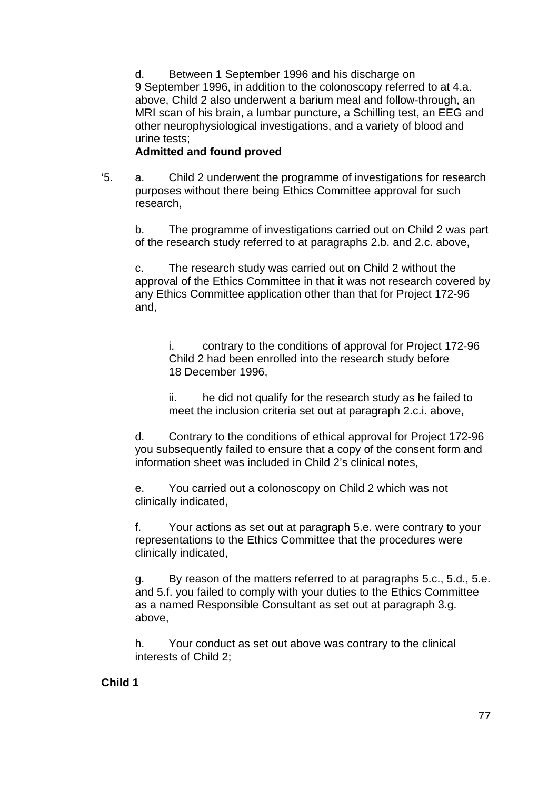d. Between 1 September 1996 and his discharge on 9 September 1996, in addition to the colonoscopy referred to at 4.a. above, Child 2 also underwent a barium meal and follow-through, an MRI scan of his brain, a lumbar puncture, a Schilling test, an EEG and other neurophysiological investigations, and a variety of blood and urine tests;

### **Admitted and found proved**

'5. a. Child 2 underwent the programme of investigations for research purposes without there being Ethics Committee approval for such research,

b. The programme of investigations carried out on Child 2 was part of the research study referred to at paragraphs 2.b. and 2.c. above,

c. The research study was carried out on Child 2 without the approval of the Ethics Committee in that it was not research covered by any Ethics Committee application other than that for Project 172-96 and,

i. contrary to the conditions of approval for Project 172-96 Child 2 had been enrolled into the research study before 18 December 1996,

ii. he did not qualify for the research study as he failed to meet the inclusion criteria set out at paragraph 2.c.i. above,

d. Contrary to the conditions of ethical approval for Project 172-96 you subsequently failed to ensure that a copy of the consent form and information sheet was included in Child 2's clinical notes,

e. You carried out a colonoscopy on Child 2 which was not clinically indicated,

f. Your actions as set out at paragraph 5.e. were contrary to your representations to the Ethics Committee that the procedures were clinically indicated,

g. By reason of the matters referred to at paragraphs 5.c., 5.d., 5.e. and 5.f. you failed to comply with your duties to the Ethics Committee as a named Responsible Consultant as set out at paragraph 3.g. above,

h. Your conduct as set out above was contrary to the clinical interests of Child 2;

#### **Child 1**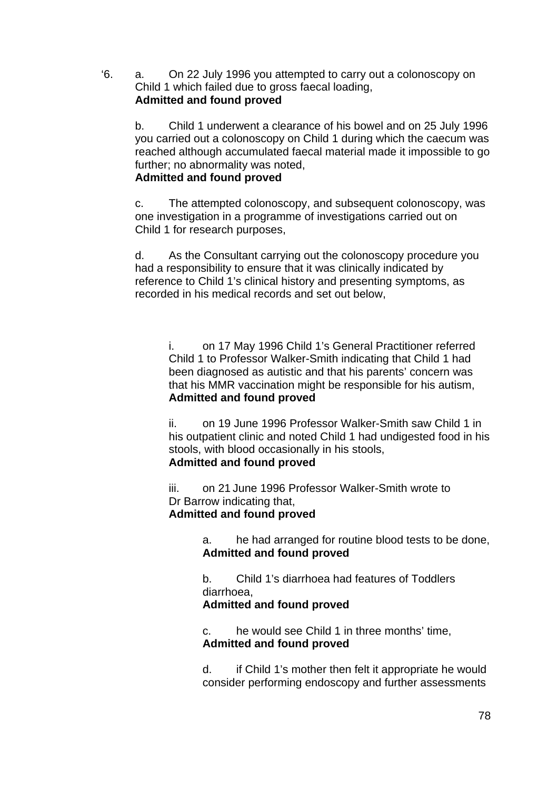'6. a. On 22 July 1996 you attempted to carry out a colonoscopy on Child 1 which failed due to gross faecal loading, **Admitted and found proved**

b. Child 1 underwent a clearance of his bowel and on 25 July 1996 you carried out a colonoscopy on Child 1 during which the caecum was reached although accumulated faecal material made it impossible to go further; no abnormality was noted,

### **Admitted and found proved**

c. The attempted colonoscopy, and subsequent colonoscopy, was one investigation in a programme of investigations carried out on Child 1 for research purposes,

d. As the Consultant carrying out the colonoscopy procedure you had a responsibility to ensure that it was clinically indicated by reference to Child 1's clinical history and presenting symptoms, as recorded in his medical records and set out below,

i. on 17 May 1996 Child 1's General Practitioner referred Child 1 to Professor Walker-Smith indicating that Child 1 had been diagnosed as autistic and that his parents' concern was that his MMR vaccination might be responsible for his autism, **Admitted and found proved**

ii. on 19 June 1996 Professor Walker-Smith saw Child 1 in his outpatient clinic and noted Child 1 had undigested food in his stools, with blood occasionally in his stools, **Admitted and found proved**

### iii. on 21 June 1996 Professor Walker-Smith wrote to Dr Barrow indicating that, **Admitted and found proved**

a. he had arranged for routine blood tests to be done, **Admitted and found proved**

b. Child 1's diarrhoea had features of Toddlers diarrhoea,

## **Admitted and found proved**

c. he would see Child 1 in three months' time, **Admitted and found proved**

d. if Child 1's mother then felt it appropriate he would consider performing endoscopy and further assessments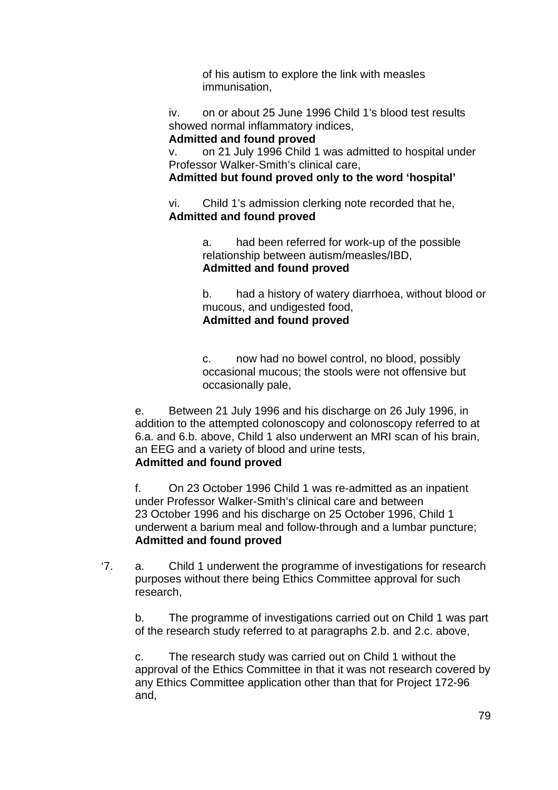of his autism to explore the link with measles immunisation,

iv. on or about 25 June 1996 Child 1's blood test results showed normal inflammatory indices,

### **Admitted and found proved**

v. on 21 July 1996 Child 1 was admitted to hospital under Professor Walker-Smith's clinical care,

**Admitted but found proved only to the word 'hospital'**

vi. Child 1's admission clerking note recorded that he, **Admitted and found proved**

> a. had been referred for work-up of the possible relationship between autism/measles/IBD, **Admitted and found proved**

b. had a history of watery diarrhoea, without blood or mucous, and undigested food, **Admitted and found proved**

c. now had no bowel control, no blood, possibly occasional mucous; the stools were not offensive but occasionally pale,

e. Between 21 July 1996 and his discharge on 26 July 1996, in addition to the attempted colonoscopy and colonoscopy referred to at 6.a. and 6.b. above, Child 1 also underwent an MRI scan of his brain, an EEG and a variety of blood and urine tests, **Admitted and found proved**

f. On 23 October 1996 Child 1 was re-admitted as an inpatient under Professor Walker-Smith's clinical care and between 23 October 1996 and his discharge on 25 October 1996, Child 1 underwent a barium meal and follow-through and a lumbar puncture; **Admitted and found proved**

'7. a. Child 1 underwent the programme of investigations for research purposes without there being Ethics Committee approval for such research,

b. The programme of investigations carried out on Child 1 was part of the research study referred to at paragraphs 2.b. and 2.c. above,

c. The research study was carried out on Child 1 without the approval of the Ethics Committee in that it was not research covered by any Ethics Committee application other than that for Project 172-96 and,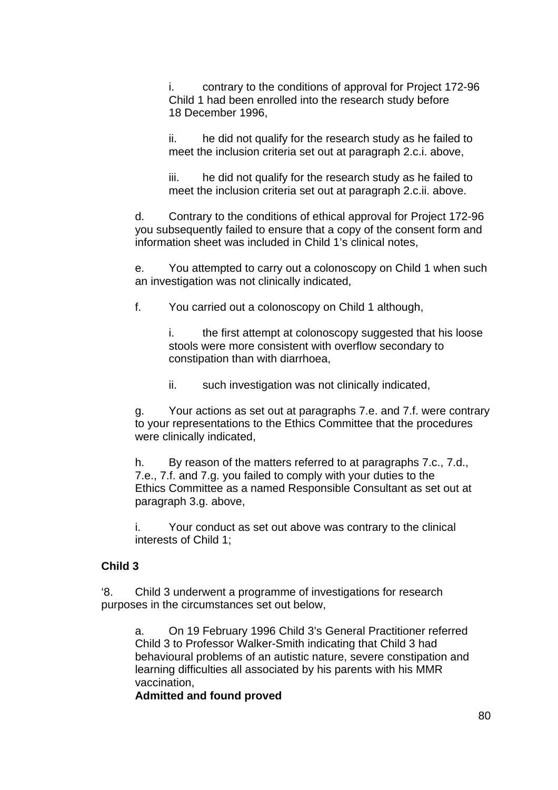i. contrary to the conditions of approval for Project 172-96 Child 1 had been enrolled into the research study before 18 December 1996,

ii. he did not qualify for the research study as he failed to meet the inclusion criteria set out at paragraph 2.c.i. above,

iii. he did not qualify for the research study as he failed to meet the inclusion criteria set out at paragraph 2.c.ii. above.

d. Contrary to the conditions of ethical approval for Project 172-96 you subsequently failed to ensure that a copy of the consent form and information sheet was included in Child 1's clinical notes,

e. You attempted to carry out a colonoscopy on Child 1 when such an investigation was not clinically indicated,

f. You carried out a colonoscopy on Child 1 although,

i. the first attempt at colonoscopy suggested that his loose stools were more consistent with overflow secondary to constipation than with diarrhoea,

ii. such investigation was not clinically indicated,

g. Your actions as set out at paragraphs 7.e. and 7.f. were contrary to your representations to the Ethics Committee that the procedures were clinically indicated,

h. By reason of the matters referred to at paragraphs 7.c., 7.d., 7.e., 7.f. and 7.g. you failed to comply with your duties to the Ethics Committee as a named Responsible Consultant as set out at paragraph 3.g. above,

i. Your conduct as set out above was contrary to the clinical interests of Child 1;

## **Child 3**

'8. Child 3 underwent a programme of investigations for research purposes in the circumstances set out below,

a. On 19 February 1996 Child 3's General Practitioner referred Child 3 to Professor Walker-Smith indicating that Child 3 had behavioural problems of an autistic nature, severe constipation and learning difficulties all associated by his parents with his MMR vaccination,

#### **Admitted and found proved**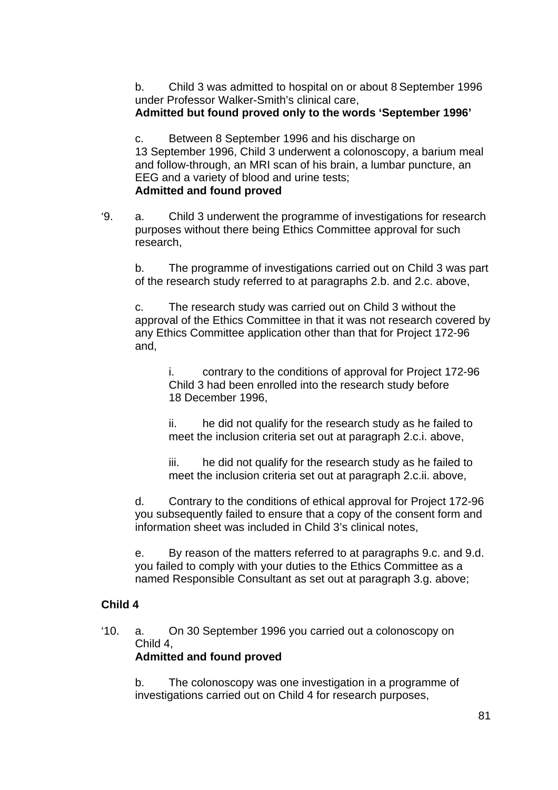b. Child 3 was admitted to hospital on or about 8 September 1996 under Professor Walker-Smith's clinical care, **Admitted but found proved only to the words 'September 1996'**

c. Between 8 September 1996 and his discharge on 13 September 1996, Child 3 underwent a colonoscopy, a barium meal and follow-through, an MRI scan of his brain, a lumbar puncture, an EEG and a variety of blood and urine tests;

#### **Admitted and found proved**

'9. a. Child 3 underwent the programme of investigations for research purposes without there being Ethics Committee approval for such research,

b. The programme of investigations carried out on Child 3 was part of the research study referred to at paragraphs 2.b. and 2.c. above,

c. The research study was carried out on Child 3 without the approval of the Ethics Committee in that it was not research covered by any Ethics Committee application other than that for Project 172-96 and,

i. contrary to the conditions of approval for Project 172-96 Child 3 had been enrolled into the research study before 18 December 1996,

ii. he did not qualify for the research study as he failed to meet the inclusion criteria set out at paragraph 2.c.i. above,

iii. he did not qualify for the research study as he failed to meet the inclusion criteria set out at paragraph 2.c.ii. above,

d. Contrary to the conditions of ethical approval for Project 172-96 you subsequently failed to ensure that a copy of the consent form and information sheet was included in Child 3's clinical notes,

e. By reason of the matters referred to at paragraphs 9.c. and 9.d. you failed to comply with your duties to the Ethics Committee as a named Responsible Consultant as set out at paragraph 3.g. above;

## **Child 4**

'10. a. On 30 September 1996 you carried out a colonoscopy on Child 4, **Admitted and found proved** 

b. The colonoscopy was one investigation in a programme of investigations carried out on Child 4 for research purposes,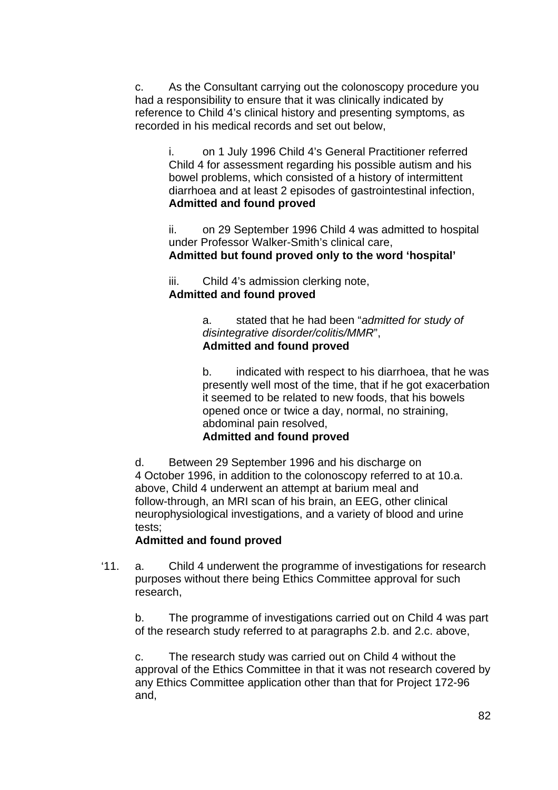c. As the Consultant carrying out the colonoscopy procedure you had a responsibility to ensure that it was clinically indicated by reference to Child 4's clinical history and presenting symptoms, as recorded in his medical records and set out below,

i. on 1 July 1996 Child 4's General Practitioner referred Child 4 for assessment regarding his possible autism and his bowel problems, which consisted of a history of intermittent diarrhoea and at least 2 episodes of gastrointestinal infection, **Admitted and found proved**

ii. on 29 September 1996 Child 4 was admitted to hospital under Professor Walker-Smith's clinical care, **Admitted but found proved only to the word 'hospital'**

iii. Child 4's admission clerking note, **Admitted and found proved**

> a. stated that he had been "*admitted for study of disintegrative disorder/colitis/MMR*", **Admitted and found proved**

b. indicated with respect to his diarrhoea, that he was presently well most of the time, that if he got exacerbation it seemed to be related to new foods, that his bowels opened once or twice a day, normal, no straining, abdominal pain resolved, **Admitted and found proved**

d. Between 29 September 1996 and his discharge on 4 October 1996, in addition to the colonoscopy referred to at 10.a. above, Child 4 underwent an attempt at barium meal and follow-through, an MRI scan of his brain, an EEG, other clinical neurophysiological investigations, and a variety of blood and urine tests;

## **Admitted and found proved**

'11. a. Child 4 underwent the programme of investigations for research purposes without there being Ethics Committee approval for such research,

b. The programme of investigations carried out on Child 4 was part of the research study referred to at paragraphs 2.b. and 2.c. above,

c. The research study was carried out on Child 4 without the approval of the Ethics Committee in that it was not research covered by any Ethics Committee application other than that for Project 172-96 and,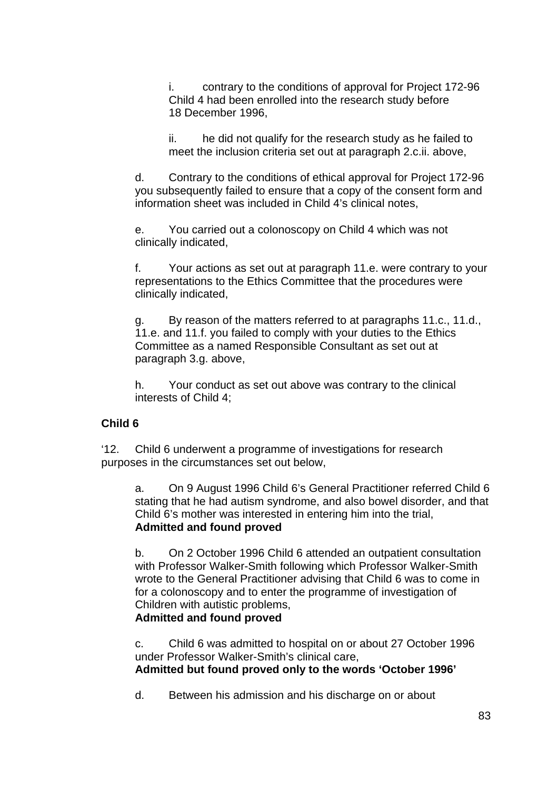i. contrary to the conditions of approval for Project 172-96 Child 4 had been enrolled into the research study before 18 December 1996,

ii. he did not qualify for the research study as he failed to meet the inclusion criteria set out at paragraph 2.c.ii. above,

d. Contrary to the conditions of ethical approval for Project 172-96 you subsequently failed to ensure that a copy of the consent form and information sheet was included in Child 4's clinical notes,

e. You carried out a colonoscopy on Child 4 which was not clinically indicated,

f. Your actions as set out at paragraph 11.e. were contrary to your representations to the Ethics Committee that the procedures were clinically indicated,

g. By reason of the matters referred to at paragraphs 11.c., 11.d., 11.e. and 11.f. you failed to comply with your duties to the Ethics Committee as a named Responsible Consultant as set out at paragraph 3.g. above,

h. Your conduct as set out above was contrary to the clinical interests of Child 4;

#### **Child 6**

'12. Child 6 underwent a programme of investigations for research purposes in the circumstances set out below,

a. On 9 August 1996 Child 6's General Practitioner referred Child 6 stating that he had autism syndrome, and also bowel disorder, and that Child 6's mother was interested in entering him into the trial, **Admitted and found proved**

b. On 2 October 1996 Child 6 attended an outpatient consultation with Professor Walker-Smith following which Professor Walker-Smith wrote to the General Practitioner advising that Child 6 was to come in for a colonoscopy and to enter the programme of investigation of Children with autistic problems,

#### **Admitted and found proved**

c. Child 6 was admitted to hospital on or about 27 October 1996 under Professor Walker-Smith's clinical care, **Admitted but found proved only to the words 'October 1996'**

d. Between his admission and his discharge on or about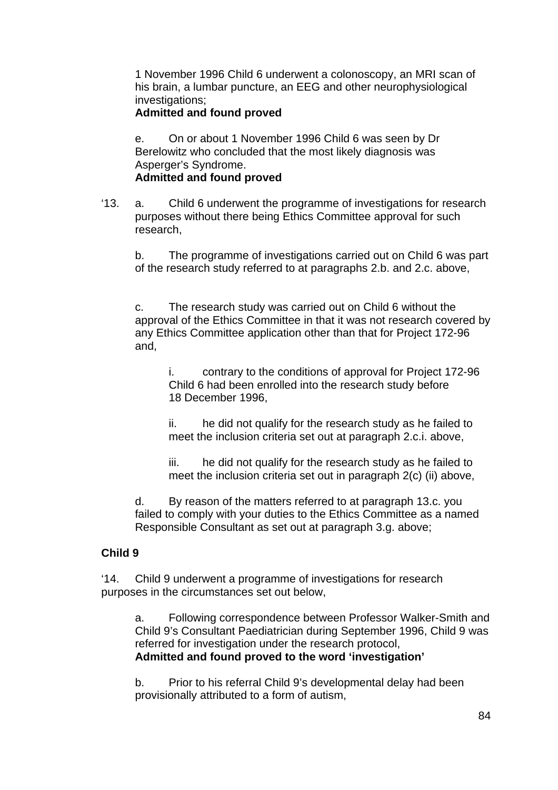1 November 1996 Child 6 underwent a colonoscopy, an MRI scan of his brain, a lumbar puncture, an EEG and other neurophysiological investigations:

### **Admitted and found proved**

e. On or about 1 November 1996 Child 6 was seen by Dr Berelowitz who concluded that the most likely diagnosis was Asperger's Syndrome.

### **Admitted and found proved**

'13. a. Child 6 underwent the programme of investigations for research purposes without there being Ethics Committee approval for such research,

b. The programme of investigations carried out on Child 6 was part of the research study referred to at paragraphs 2.b. and 2.c. above,

c. The research study was carried out on Child 6 without the approval of the Ethics Committee in that it was not research covered by any Ethics Committee application other than that for Project 172-96 and,

i. contrary to the conditions of approval for Project 172-96 Child 6 had been enrolled into the research study before 18 December 1996,

ii. he did not qualify for the research study as he failed to meet the inclusion criteria set out at paragraph 2.c.i. above,

iii. he did not qualify for the research study as he failed to meet the inclusion criteria set out in paragraph 2(c) (ii) above,

d. By reason of the matters referred to at paragraph 13.c. you failed to comply with your duties to the Ethics Committee as a named Responsible Consultant as set out at paragraph 3.g. above;

## **Child 9**

'14. Child 9 underwent a programme of investigations for research purposes in the circumstances set out below,

a. Following correspondence between Professor Walker-Smith and Child 9's Consultant Paediatrician during September 1996, Child 9 was referred for investigation under the research protocol, **Admitted and found proved to the word 'investigation'**

b. Prior to his referral Child 9's developmental delay had been provisionally attributed to a form of autism,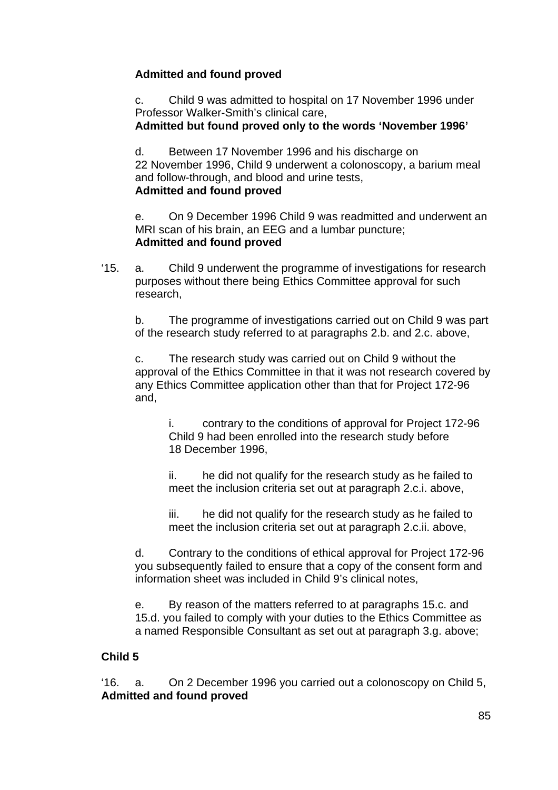# **Admitted and found proved**

c. Child 9 was admitted to hospital on 17 November 1996 under Professor Walker-Smith's clinical care,

**Admitted but found proved only to the words 'November 1996'**

d. Between 17 November 1996 and his discharge on

22 November 1996, Child 9 underwent a colonoscopy, a barium meal and follow-through, and blood and urine tests,

# **Admitted and found proved**

e. On 9 December 1996 Child 9 was readmitted and underwent an MRI scan of his brain, an EEG and a lumbar puncture; **Admitted and found proved**

'15. a. Child 9 underwent the programme of investigations for research purposes without there being Ethics Committee approval for such research,

b. The programme of investigations carried out on Child 9 was part of the research study referred to at paragraphs 2.b. and 2.c. above,

c. The research study was carried out on Child 9 without the approval of the Ethics Committee in that it was not research covered by any Ethics Committee application other than that for Project 172-96 and,

i. contrary to the conditions of approval for Project 172-96 Child 9 had been enrolled into the research study before 18 December 1996,

ii. he did not qualify for the research study as he failed to meet the inclusion criteria set out at paragraph 2.c.i. above,

iii. he did not qualify for the research study as he failed to meet the inclusion criteria set out at paragraph 2.c.ii. above,

d. Contrary to the conditions of ethical approval for Project 172-96 you subsequently failed to ensure that a copy of the consent form and information sheet was included in Child 9's clinical notes,

e. By reason of the matters referred to at paragraphs 15.c. and 15.d. you failed to comply with your duties to the Ethics Committee as a named Responsible Consultant as set out at paragraph 3.g. above;

# **Child 5**

'16. a. On 2 December 1996 you carried out a colonoscopy on Child 5, **Admitted and found proved**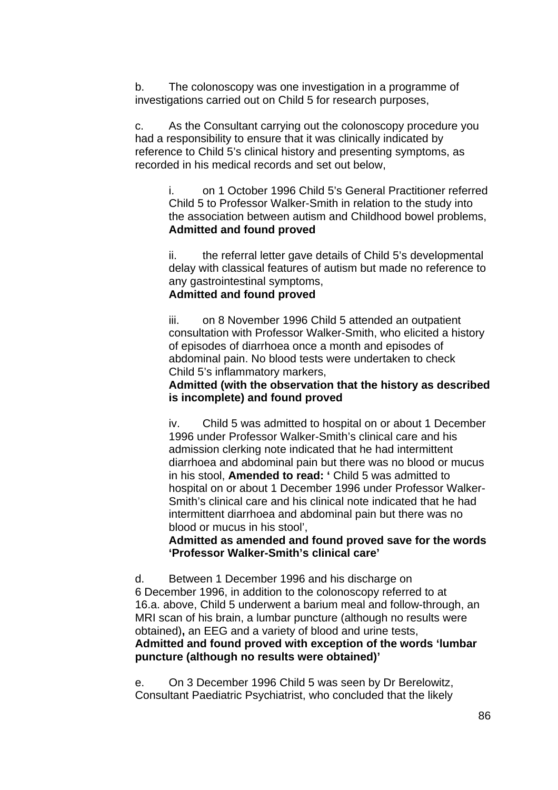b. The colonoscopy was one investigation in a programme of investigations carried out on Child 5 for research purposes,

c. As the Consultant carrying out the colonoscopy procedure you had a responsibility to ensure that it was clinically indicated by reference to Child 5's clinical history and presenting symptoms, as recorded in his medical records and set out below,

i. on 1 October 1996 Child 5's General Practitioner referred Child 5 to Professor Walker-Smith in relation to the study into the association between autism and Childhood bowel problems, **Admitted and found proved**

ii. the referral letter gave details of Child 5's developmental delay with classical features of autism but made no reference to any gastrointestinal symptoms,

#### **Admitted and found proved**

iii. on 8 November 1996 Child 5 attended an outpatient consultation with Professor Walker-Smith, who elicited a history of episodes of diarrhoea once a month and episodes of abdominal pain. No blood tests were undertaken to check Child 5's inflammatory markers,

### **Admitted (with the observation that the history as described is incomplete) and found proved**

iv. Child 5 was admitted to hospital on or about 1 December 1996 under Professor Walker-Smith's clinical care and his admission clerking note indicated that he had intermittent diarrhoea and abdominal pain but there was no blood or mucus in his stool, **Amended to read: '** Child 5 was admitted to hospital on or about 1 December 1996 under Professor Walker-Smith's clinical care and his clinical note indicated that he had intermittent diarrhoea and abdominal pain but there was no blood or mucus in his stool',

**Admitted as amended and found proved save for the words 'Professor Walker-Smith's clinical care'** 

d. Between 1 December 1996 and his discharge on 6 December 1996, in addition to the colonoscopy referred to at 16.a. above, Child 5 underwent a barium meal and follow-through, an MRI scan of his brain, a lumbar puncture (although no results were obtained)**,** an EEG and a variety of blood and urine tests,

### **Admitted and found proved with exception of the words 'lumbar puncture (although no results were obtained)'**

e. On 3 December 1996 Child 5 was seen by Dr Berelowitz, Consultant Paediatric Psychiatrist, who concluded that the likely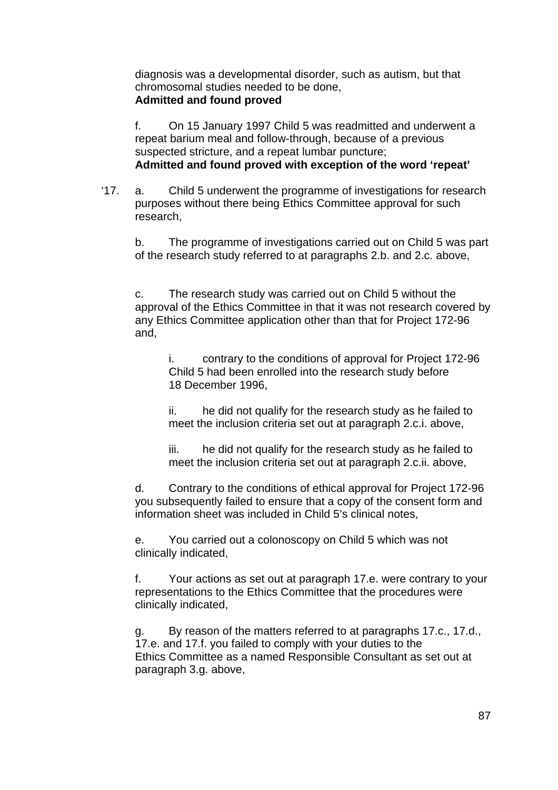diagnosis was a developmental disorder, such as autism, but that chromosomal studies needed to be done, **Admitted and found proved**

f. On 15 January 1997 Child 5 was readmitted and underwent a repeat barium meal and follow-through, because of a previous suspected stricture, and a repeat lumbar puncture; **Admitted and found proved with exception of the word 'repeat'**

'17. a. Child 5 underwent the programme of investigations for research purposes without there being Ethics Committee approval for such research,

b. The programme of investigations carried out on Child 5 was part of the research study referred to at paragraphs 2.b. and 2.c. above,

c. The research study was carried out on Child 5 without the approval of the Ethics Committee in that it was not research covered by any Ethics Committee application other than that for Project 172-96 and,

i. contrary to the conditions of approval for Project 172-96 Child 5 had been enrolled into the research study before 18 December 1996,

ii. he did not qualify for the research study as he failed to meet the inclusion criteria set out at paragraph 2.c.i. above,

iii. he did not qualify for the research study as he failed to meet the inclusion criteria set out at paragraph 2.c.ii. above,

d. Contrary to the conditions of ethical approval for Project 172-96 you subsequently failed to ensure that a copy of the consent form and information sheet was included in Child 5's clinical notes,

e. You carried out a colonoscopy on Child 5 which was not clinically indicated,

f. Your actions as set out at paragraph 17.e. were contrary to your representations to the Ethics Committee that the procedures were clinically indicated,

g. By reason of the matters referred to at paragraphs 17.c., 17.d., 17.e. and 17.f. you failed to comply with your duties to the Ethics Committee as a named Responsible Consultant as set out at paragraph 3.g. above,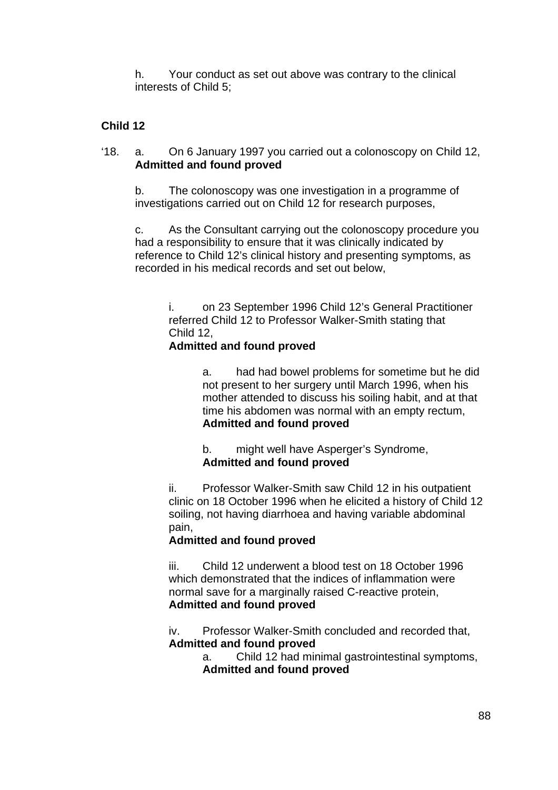h. Your conduct as set out above was contrary to the clinical interests of Child 5;

## **Child 12**

'18. a. On 6 January 1997 you carried out a colonoscopy on Child 12, **Admitted and found proved** 

b. The colonoscopy was one investigation in a programme of investigations carried out on Child 12 for research purposes,

c. As the Consultant carrying out the colonoscopy procedure you had a responsibility to ensure that it was clinically indicated by reference to Child 12's clinical history and presenting symptoms, as recorded in his medical records and set out below,

i. on 23 September 1996 Child 12's General Practitioner referred Child 12 to Professor Walker-Smith stating that Child 12,

### **Admitted and found proved**

a. had had bowel problems for sometime but he did not present to her surgery until March 1996, when his mother attended to discuss his soiling habit, and at that time his abdomen was normal with an empty rectum, **Admitted and found proved**

b. might well have Asperger's Syndrome, **Admitted and found proved**

ii. Professor Walker-Smith saw Child 12 in his outpatient clinic on 18 October 1996 when he elicited a history of Child 12 soiling, not having diarrhoea and having variable abdominal pain,

## **Admitted and found proved**

iii. Child 12 underwent a blood test on 18 October 1996 which demonstrated that the indices of inflammation were normal save for a marginally raised C-reactive protein, **Admitted and found proved**

iv. Professor Walker-Smith concluded and recorded that, **Admitted and found proved**

a. Child 12 had minimal gastrointestinal symptoms, **Admitted and found proved**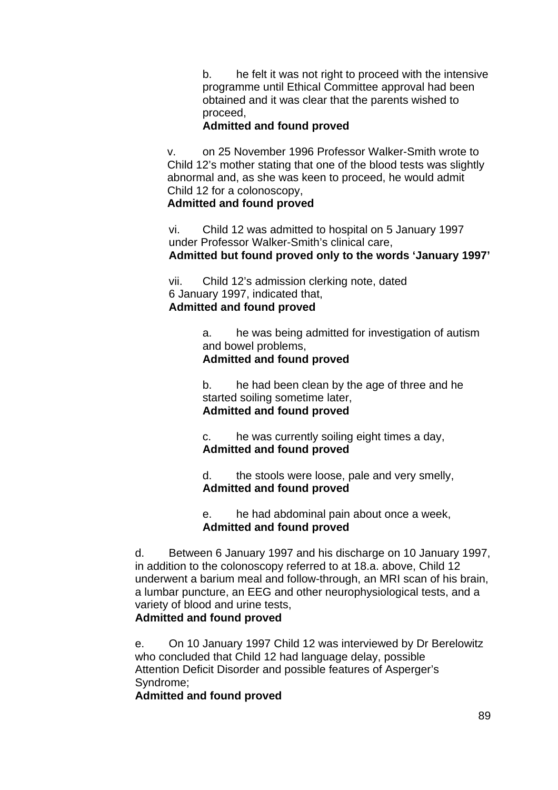b. he felt it was not right to proceed with the intensive programme until Ethical Committee approval had been obtained and it was clear that the parents wished to proceed,

#### **Admitted and found proved**

v. on 25 November 1996 Professor Walker-Smith wrote to Child 12's mother stating that one of the blood tests was slightly abnormal and, as she was keen to proceed, he would admit Child 12 for a colonoscopy,

#### **Admitted and found proved**

vi. Child 12 was admitted to hospital on 5 January 1997 under Professor Walker-Smith's clinical care, **Admitted but found proved only to the words 'January 1997'**

vii. Child 12's admission clerking note, dated 6 January 1997, indicated that, **Admitted and found proved**

> a. he was being admitted for investigation of autism and bowel problems,

### **Admitted and found proved**

b. he had been clean by the age of three and he started soiling sometime later, **Admitted and found proved**

c. he was currently soiling eight times a day, **Admitted and found proved**

d. the stools were loose, pale and very smelly, **Admitted and found proved**

e. he had abdominal pain about once a week, **Admitted and found proved**

d. Between 6 January 1997 and his discharge on 10 January 1997, in addition to the colonoscopy referred to at 18.a. above, Child 12 underwent a barium meal and follow-through, an MRI scan of his brain, a lumbar puncture, an EEG and other neurophysiological tests, and a variety of blood and urine tests,

### **Admitted and found proved**

e. On 10 January 1997 Child 12 was interviewed by Dr Berelowitz who concluded that Child 12 had language delay, possible Attention Deficit Disorder and possible features of Asperger's Syndrome;

**Admitted and found proved**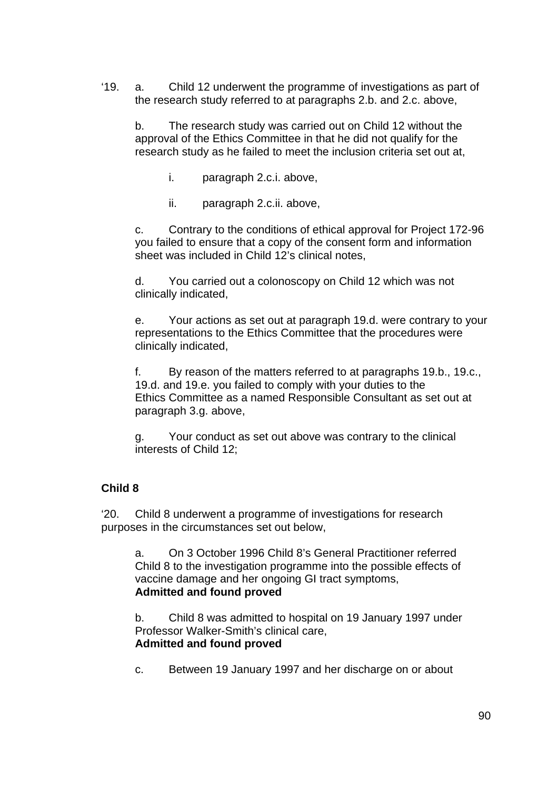'19. a. Child 12 underwent the programme of investigations as part of the research study referred to at paragraphs 2.b. and 2.c. above,

b. The research study was carried out on Child 12 without the approval of the Ethics Committee in that he did not qualify for the research study as he failed to meet the inclusion criteria set out at,

- i. paragraph 2.c.i. above,
- ii. paragraph 2.c.ii. above,

c. Contrary to the conditions of ethical approval for Project 172-96 you failed to ensure that a copy of the consent form and information sheet was included in Child 12's clinical notes,

d. You carried out a colonoscopy on Child 12 which was not clinically indicated,

e. Your actions as set out at paragraph 19.d. were contrary to your representations to the Ethics Committee that the procedures were clinically indicated,

f. By reason of the matters referred to at paragraphs 19.b., 19.c., 19.d. and 19.e. you failed to comply with your duties to the Ethics Committee as a named Responsible Consultant as set out at paragraph 3.g. above,

g. Your conduct as set out above was contrary to the clinical interests of Child 12;

## **Child 8**

'20. Child 8 underwent a programme of investigations for research purposes in the circumstances set out below,

a. On 3 October 1996 Child 8's General Practitioner referred Child 8 to the investigation programme into the possible effects of vaccine damage and her ongoing GI tract symptoms, **Admitted and found proved**

b. Child 8 was admitted to hospital on 19 January 1997 under Professor Walker-Smith's clinical care, **Admitted and found proved**

c. Between 19 January 1997 and her discharge on or about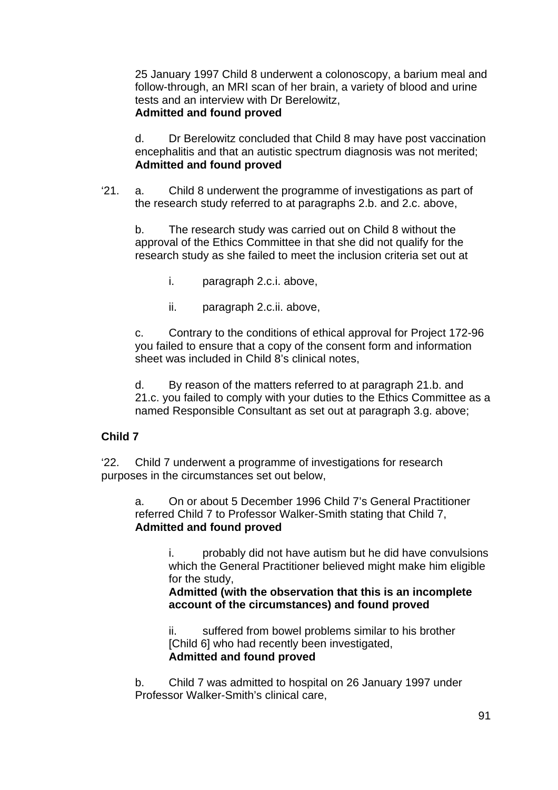25 January 1997 Child 8 underwent a colonoscopy, a barium meal and follow-through, an MRI scan of her brain, a variety of blood and urine tests and an interview with Dr Berelowitz, **Admitted and found proved**

d. Dr Berelowitz concluded that Child 8 may have post vaccination encephalitis and that an autistic spectrum diagnosis was not merited; **Admitted and found proved**

'21. a. Child 8 underwent the programme of investigations as part of the research study referred to at paragraphs 2.b. and 2.c. above,

b. The research study was carried out on Child 8 without the approval of the Ethics Committee in that she did not qualify for the research study as she failed to meet the inclusion criteria set out at

i. paragraph 2.c.i. above,

ii. paragraph 2.c.ii. above,

c. Contrary to the conditions of ethical approval for Project 172-96 you failed to ensure that a copy of the consent form and information sheet was included in Child 8's clinical notes,

d. By reason of the matters referred to at paragraph 21.b. and 21.c. you failed to comply with your duties to the Ethics Committee as a named Responsible Consultant as set out at paragraph 3.g. above;

## **Child 7**

'22. Child 7 underwent a programme of investigations for research purposes in the circumstances set out below,

a. On or about 5 December 1996 Child 7's General Practitioner referred Child 7 to Professor Walker-Smith stating that Child 7, **Admitted and found proved** 

> i. probably did not have autism but he did have convulsions which the General Practitioner believed might make him eligible for the study,

**Admitted (with the observation that this is an incomplete account of the circumstances) and found proved** 

ii. suffered from bowel problems similar to his brother [Child 6] who had recently been investigated, **Admitted and found proved**

b. Child 7 was admitted to hospital on 26 January 1997 under Professor Walker-Smith's clinical care,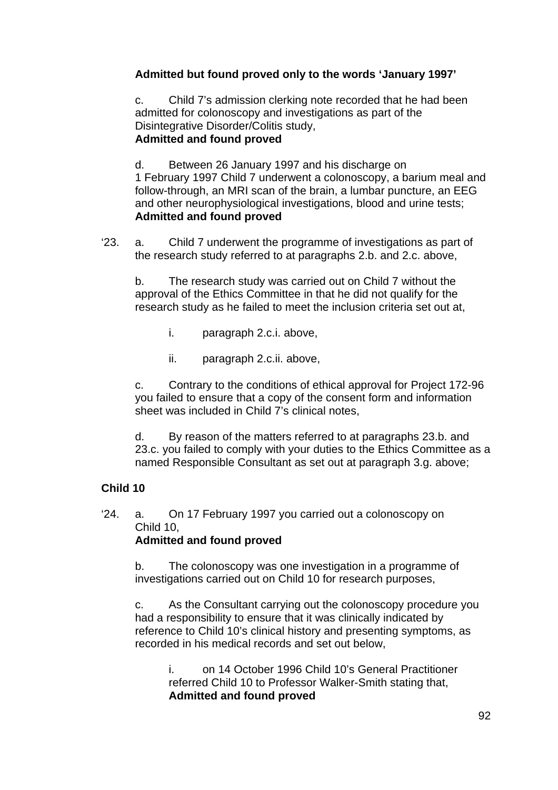# **Admitted but found proved only to the words 'January 1997'**

c. Child 7's admission clerking note recorded that he had been admitted for colonoscopy and investigations as part of the Disintegrative Disorder/Colitis study, **Admitted and found proved**

d. Between 26 January 1997 and his discharge on 1 February 1997 Child 7 underwent a colonoscopy, a barium meal and follow-through, an MRI scan of the brain, a lumbar puncture, an EEG and other neurophysiological investigations, blood and urine tests; **Admitted and found proved**

'23. a. Child 7 underwent the programme of investigations as part of the research study referred to at paragraphs 2.b. and 2.c. above,

b. The research study was carried out on Child 7 without the approval of the Ethics Committee in that he did not qualify for the research study as he failed to meet the inclusion criteria set out at,

- i. paragraph 2.c.i. above,
- ii. paragraph 2.c.ii. above,

c. Contrary to the conditions of ethical approval for Project 172-96 you failed to ensure that a copy of the consent form and information sheet was included in Child 7's clinical notes,

d. By reason of the matters referred to at paragraphs 23.b. and 23.c. you failed to comply with your duties to the Ethics Committee as a named Responsible Consultant as set out at paragraph 3.g. above;

## **Child 10**

'24. a. On 17 February 1997 you carried out a colonoscopy on Child 10, **Admitted and found proved** 

b. The colonoscopy was one investigation in a programme of investigations carried out on Child 10 for research purposes,

c. As the Consultant carrying out the colonoscopy procedure you had a responsibility to ensure that it was clinically indicated by reference to Child 10's clinical history and presenting symptoms, as recorded in his medical records and set out below,

i. on 14 October 1996 Child 10's General Practitioner referred Child 10 to Professor Walker-Smith stating that, **Admitted and found proved**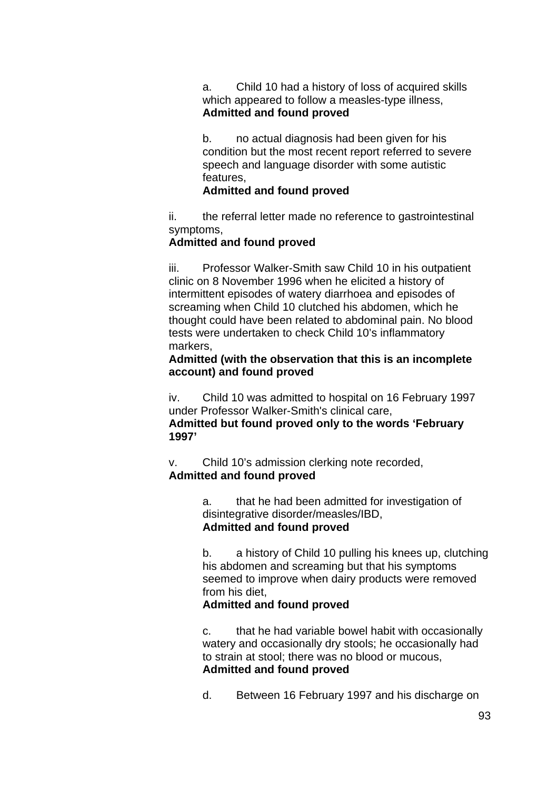a. Child 10 had a history of loss of acquired skills which appeared to follow a measles-type illness, **Admitted and found proved**

b. no actual diagnosis had been given for his condition but the most recent report referred to severe speech and language disorder with some autistic features,

#### **Admitted and found proved**

ii. the referral letter made no reference to gastrointestinal symptoms,

#### **Admitted and found proved**

**1997'**

iii. Professor Walker-Smith saw Child 10 in his outpatient clinic on 8 November 1996 when he elicited a history of intermittent episodes of watery diarrhoea and episodes of screaming when Child 10 clutched his abdomen, which he thought could have been related to abdominal pain. No blood tests were undertaken to check Child 10's inflammatory markers,

#### **Admitted (with the observation that this is an incomplete account) and found proved**

iv. Child 10 was admitted to hospital on 16 February 1997 under Professor Walker-Smith's clinical care, **Admitted but found proved only to the words 'February** 

v. Child 10's admission clerking note recorded, **Admitted and found proved**

> a. that he had been admitted for investigation of disintegrative disorder/measles/IBD, **Admitted and found proved**

b. a history of Child 10 pulling his knees up, clutching his abdomen and screaming but that his symptoms seemed to improve when dairy products were removed from his diet,

#### **Admitted and found proved**

c. that he had variable bowel habit with occasionally watery and occasionally dry stools; he occasionally had to strain at stool; there was no blood or mucous, **Admitted and found proved**

d. Between 16 February 1997 and his discharge on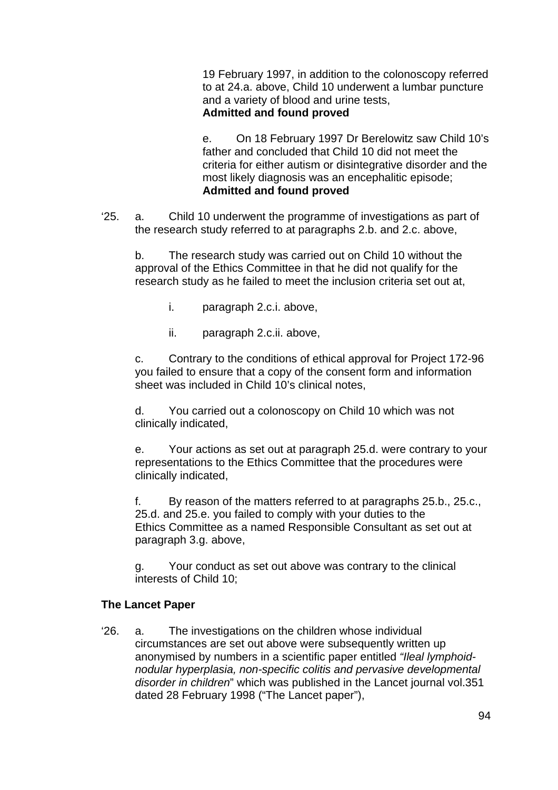19 February 1997, in addition to the colonoscopy referred to at 24.a. above, Child 10 underwent a lumbar puncture and a variety of blood and urine tests, **Admitted and found proved**

e. On 18 February 1997 Dr Berelowitz saw Child 10's father and concluded that Child 10 did not meet the criteria for either autism or disintegrative disorder and the most likely diagnosis was an encephalitic episode; **Admitted and found proved** 

'25. a. Child 10 underwent the programme of investigations as part of the research study referred to at paragraphs 2.b. and 2.c. above,

b. The research study was carried out on Child 10 without the approval of the Ethics Committee in that he did not qualify for the research study as he failed to meet the inclusion criteria set out at,

- i. paragraph 2.c.i. above,
- ii. paragraph 2.c.ii. above,

c. Contrary to the conditions of ethical approval for Project 172-96 you failed to ensure that a copy of the consent form and information sheet was included in Child 10's clinical notes,

d. You carried out a colonoscopy on Child 10 which was not clinically indicated,

e. Your actions as set out at paragraph 25.d. were contrary to your representations to the Ethics Committee that the procedures were clinically indicated,

f. By reason of the matters referred to at paragraphs 25.b., 25.c., 25.d. and 25.e. you failed to comply with your duties to the Ethics Committee as a named Responsible Consultant as set out at paragraph 3.g. above,

g. Your conduct as set out above was contrary to the clinical interests of Child 10;

#### **The Lancet Paper**

'26. a. The investigations on the children whose individual circumstances are set out above were subsequently written up anonymised by numbers in a scientific paper entitled *"Ileal lymphoidnodular hyperplasia, non-specific colitis and pervasive developmental disorder in children*" which was published in the Lancet journal vol.351 dated 28 February 1998 ("The Lancet paper"),